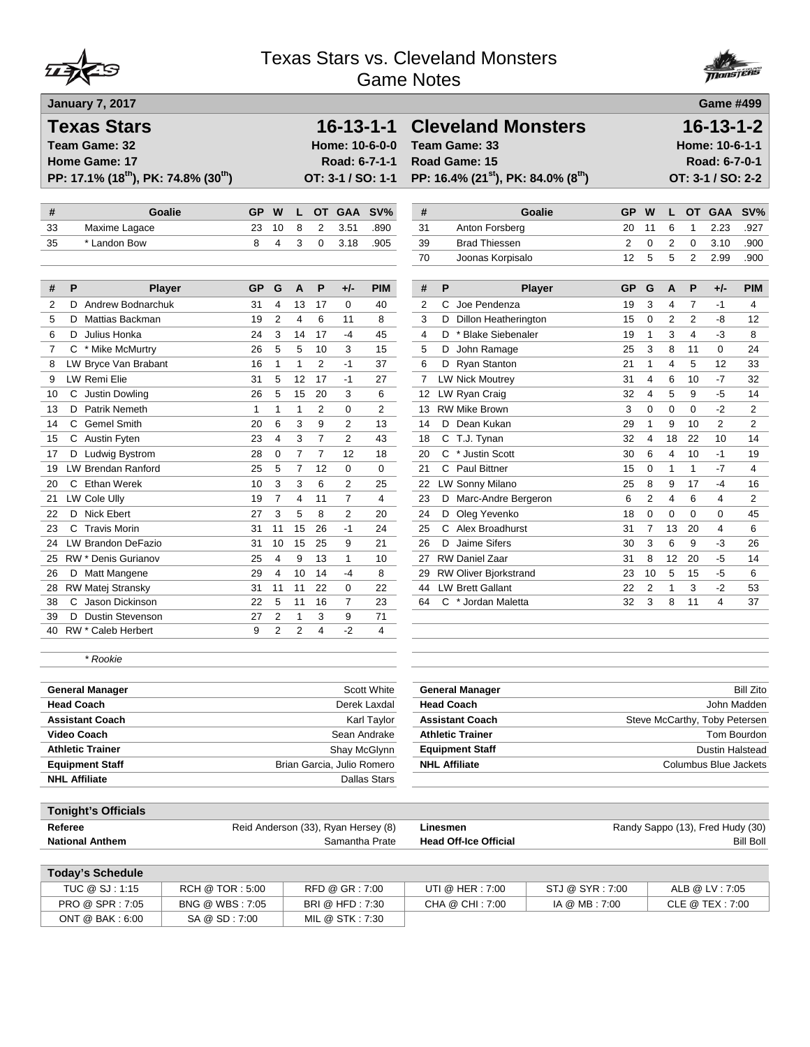



| <b>Texas Stars</b><br>Team Game: 32<br><b>Home Game: 17</b><br>PP: 17.1% (18 <sup>th</sup> ), PK: 74.8% (30 <sup>th</sup> ) |                                     |                |                |                     | Road: 6-7-1-1                    | $16 - 13 - 1 - 1$<br>Home: 10-6-0-0<br>OT: 3-1 / SO: 1-1 |          | <b>Cleveland Monsters</b><br>Team Game: 33<br>Road Game: 15<br>PP: 16.4% (21 <sup>st</sup> ), PK: 84.0% (8 <sup>th</sup> ) |                 |                |                                |                |                | $16 - 13 - 1 - 2$<br>Home: 10-6-1-1<br>Road: 6-7-0-1<br>OT: 3-1 / SO: 2-2 |                  |
|-----------------------------------------------------------------------------------------------------------------------------|-------------------------------------|----------------|----------------|---------------------|----------------------------------|----------------------------------------------------------|----------|----------------------------------------------------------------------------------------------------------------------------|-----------------|----------------|--------------------------------|----------------|----------------|---------------------------------------------------------------------------|------------------|
| #<br><b>Goalie</b>                                                                                                          | <b>GP</b>                           | W              | L              | <b>OT</b>           | <b>GAA</b>                       | SV%                                                      | #        |                                                                                                                            | <b>Goalie</b>   | <b>GP</b>      | W                              | L.             | <b>OT</b>      | <b>GAA</b>                                                                | SV%              |
| 33<br>Maxime Lagace                                                                                                         | 23                                  | 10             | 8              | $\overline{2}$      | 3.51                             | .890                                                     | 31       | Anton Forsberg                                                                                                             |                 | 20             | 11                             | 6              | $\mathbf{1}$   | 2.23                                                                      | .927             |
| * Landon Bow<br>35                                                                                                          | 8                                   | 4              | 3              | 0                   | 3.18                             | .905                                                     | 39       | <b>Brad Thiessen</b>                                                                                                       |                 | $\overline{2}$ | 0                              | $\overline{2}$ | 0              | 3.10                                                                      | .900             |
|                                                                                                                             |                                     |                |                |                     |                                  |                                                          | 70       | Joonas Korpisalo                                                                                                           |                 | 12             | 5                              | 5              | $\overline{2}$ | 2.99                                                                      | .900             |
| P<br>#<br><b>Player</b>                                                                                                     | GP                                  | G              | A              | P                   | +/-                              | <b>PIM</b>                                               | #        | P                                                                                                                          | <b>Player</b>   | GP             | G                              | Α              | P              | +/-                                                                       | <b>PIM</b>       |
| 2<br><b>Andrew Bodnarchuk</b><br>D                                                                                          | 31                                  | 4              | 13             | 17                  | 0                                | 40                                                       | 2        | C.<br>Joe Pendenza                                                                                                         |                 | 19             | 3                              | 4              | $\overline{7}$ | $-1$                                                                      | 4                |
| 5<br>D Mattias Backman                                                                                                      | 19                                  | 2              | $\overline{4}$ | 6                   | 11                               | 8                                                        | 3        | D Dillon Heatherington                                                                                                     |                 | 15             | 0                              | $\overline{2}$ | $\overline{2}$ | -8                                                                        | 12               |
| 6<br>D Julius Honka                                                                                                         | 24                                  | 3              | 14             | 17                  | $-4$                             | 45                                                       | 4        | D * Blake Siebenaler                                                                                                       |                 | 19             | $\mathbf{1}$                   | 3              | 4              | $-3$                                                                      | 8                |
| 7<br>C * Mike McMurtry                                                                                                      | 26                                  | 5              | 5              | 10                  | 3                                | 15                                                       | 5        | John Ramage<br>D                                                                                                           |                 | 25             | 3                              | 8              | 11             | 0                                                                         | 24               |
| LW Bryce Van Brabant<br>8                                                                                                   | 16                                  | 1              | $\mathbf{1}$   | $\overline{2}$      | $-1$                             | 37                                                       | 6        | D Ryan Stanton                                                                                                             |                 | 21             | $\mathbf{1}$                   | $\overline{4}$ | 5              | 12                                                                        | 33               |
| LW Remi Elie<br>9                                                                                                           | 31                                  | 5              | 12             | 17                  | $-1$                             | 27                                                       | 7        | <b>LW Nick Moutrey</b>                                                                                                     |                 | 31             | 4                              | 6              | 10             | $-7$                                                                      | 32               |
| C Justin Dowling<br>10                                                                                                      | 26                                  | 5              | 15             | 20                  | 3                                | 6                                                        | 12       | LW Ryan Craig                                                                                                              |                 | 32             | 4                              | 5              | 9              | -5                                                                        | 14               |
| <b>Patrik Nemeth</b><br>13<br>D                                                                                             | 1                                   | 1              | 1              | $\overline{2}$      | 0                                | $\overline{2}$                                           | 13       | <b>RW Mike Brown</b><br>D Dean Kukan                                                                                       |                 | 3              | 0                              | $\mathbf 0$    | 0              | $-2$                                                                      | $\overline{2}$   |
| <b>Gemel Smith</b><br>С<br>14                                                                                               | 20<br>23                            | 6<br>4         | 3<br>3         | 9<br>$\overline{7}$ | $\overline{2}$<br>$\overline{2}$ | 13<br>43                                                 | 14       |                                                                                                                            |                 | 29<br>32       | $\mathbf{1}$<br>$\overline{4}$ | 9<br>18        | 10<br>22       | 2<br>10                                                                   | 2<br>14          |
| C Austin Fyten<br>15<br>D Ludwig Bystrom<br>17                                                                              | 28                                  | 0              | $\overline{7}$ | $\overline{7}$      | 12                               | 18                                                       | 18<br>20 | C T.J. Tynan<br>C * Justin Scott                                                                                           |                 | 30             | 6                              | 4              | 10             | $-1$                                                                      | 19               |
| LW Brendan Ranford<br>19                                                                                                    | 25                                  | 5              | $\overline{7}$ | 12                  | 0                                | $\mathbf 0$                                              | 21       | C Paul Bittner                                                                                                             |                 | 15             | 0                              | $\mathbf{1}$   | $\mathbf{1}$   | $-7$                                                                      | 4                |
| C Ethan Werek<br>20                                                                                                         | 10                                  | 3              | 3              | 6                   | 2                                | 25                                                       | 22       | LW Sonny Milano                                                                                                            |                 | 25             | 8                              | 9              | 17             | $-4$                                                                      | 16               |
| 21<br>LW Cole Ully                                                                                                          | 19                                  | $\overline{7}$ | $\overline{4}$ | 11                  | $\overline{7}$                   | 4                                                        | 23       | D Marc-Andre Bergeron                                                                                                      |                 | 6              | $\overline{2}$                 | 4              | 6              | 4                                                                         | $\overline{2}$   |
| D Nick Ebert<br>22                                                                                                          | 27                                  | 3              | 5              | 8                   | 2                                | 20                                                       | 24       | D Oleg Yevenko                                                                                                             |                 | 18             | 0                              | 0              | 0              | 0                                                                         | 45               |
| 23<br>C Travis Morin                                                                                                        | 31                                  | 11             | 15             | 26                  | $-1$                             | 24                                                       | 25       | C Alex Broadhurst                                                                                                          |                 | 31             | $\overline{7}$                 | 13             | 20             | 4                                                                         | 6                |
| LW Brandon DeFazio<br>24                                                                                                    | 31                                  | 10             | 15             | 25                  | 9                                | 21                                                       | 26       | D Jaime Sifers                                                                                                             |                 | 30             | 3                              | 6              | 9              | -3                                                                        | 26               |
| RW * Denis Gurianov<br>25                                                                                                   | 25                                  | $\overline{4}$ | 9              | 13                  | $\mathbf{1}$                     | 10                                                       |          | 27 RW Daniel Zaar                                                                                                          |                 | 31             | 8                              | 12             | 20             | -5                                                                        | 14               |
| 26<br>D Matt Mangene                                                                                                        | 29                                  | 4              | 10             | 14                  | -4                               | 8                                                        |          | 29 RW Oliver Bjorkstrand                                                                                                   |                 | 23             | 10                             | 5              | 15             | $-5$                                                                      | 6                |
| RW Matej Stransky<br>28                                                                                                     | 31                                  | 11             | 11             | 22                  | 0                                | 22                                                       | 44       | <b>LW Brett Gallant</b>                                                                                                    |                 | 22             | 2                              | 1              | 3              | $-2$                                                                      | 53               |
| C Jason Dickinson<br>38                                                                                                     | 22                                  | 5              | 11             | 16                  | $\overline{7}$                   | 23                                                       | 64       | C * Jordan Maletta                                                                                                         |                 | 32             | 3                              | 8              | 11             | 4                                                                         | 37               |
| 39<br><b>Dustin Stevenson</b><br>D                                                                                          | 27                                  | 2              | 1              | 3                   | 9                                | 71                                                       |          |                                                                                                                            |                 |                |                                |                |                |                                                                           |                  |
| 40 RW * Caleb Herbert                                                                                                       | 9                                   | $\overline{2}$ | $\overline{2}$ | $\overline{4}$      | $-2$                             | 4                                                        |          |                                                                                                                            |                 |                |                                |                |                |                                                                           |                  |
| * Rookie                                                                                                                    |                                     |                |                |                     |                                  |                                                          |          |                                                                                                                            |                 |                |                                |                |                |                                                                           |                  |
| <b>General Manager</b>                                                                                                      |                                     |                |                |                     |                                  | Scott White                                              |          | <b>General Manager</b>                                                                                                     |                 |                |                                |                |                |                                                                           | <b>Bill Zito</b> |
| <b>Head Coach</b>                                                                                                           |                                     |                |                |                     |                                  | Derek Laxdal                                             |          | <b>Head Coach</b>                                                                                                          |                 |                |                                |                |                | John Madden                                                               |                  |
| <b>Assistant Coach</b>                                                                                                      |                                     |                |                |                     |                                  | Karl Taylor                                              |          | <b>Assistant Coach</b>                                                                                                     |                 |                |                                |                |                | Steve McCarthy, Toby Petersen                                             |                  |
| <b>Video Coach</b>                                                                                                          |                                     |                |                |                     | Sean Andrake                     |                                                          |          | <b>Athletic Trainer</b>                                                                                                    |                 |                |                                |                |                | Tom Bourdon                                                               |                  |
| <b>Athletic Trainer</b>                                                                                                     |                                     |                |                |                     | Shay McGlynn                     |                                                          |          | <b>Equipment Staff</b>                                                                                                     |                 |                |                                |                |                | Dustin Halstead                                                           |                  |
| <b>Equipment Staff</b><br><b>NHL Affiliate</b>                                                                              |                                     |                |                |                     | Brian Garcia, Julio Romero       |                                                          |          | <b>NHL Affiliate</b>                                                                                                       |                 |                |                                |                |                | Columbus Blue Jackets                                                     |                  |
|                                                                                                                             |                                     |                |                |                     |                                  | Dallas Stars                                             |          |                                                                                                                            |                 |                |                                |                |                |                                                                           |                  |
| <b>Tonight's Officials</b>                                                                                                  |                                     |                |                |                     |                                  |                                                          |          |                                                                                                                            |                 |                |                                |                |                |                                                                           |                  |
| Referee<br><b>National Anthem</b>                                                                                           | Reid Anderson (33), Ryan Hersey (8) |                |                |                     |                                  | Samantha Prate                                           |          | Linesmen<br><b>Head Off-Ice Official</b>                                                                                   |                 |                |                                |                |                | Randy Sappo (13), Fred Hudy (30)                                          | <b>Bill Boll</b> |
| <b>Today's Schedule</b>                                                                                                     |                                     |                |                |                     |                                  |                                                          |          |                                                                                                                            |                 |                |                                |                |                |                                                                           |                  |
| TUC @ SJ: 1:15                                                                                                              | RCH @ TOR: 5:00                     |                |                |                     | RFD @ GR: 7:00                   |                                                          |          | UTI @ HER: 7:00                                                                                                            | STJ @ SYR: 7:00 |                |                                |                |                | ALB @ LV: 7:05                                                            |                  |
| PRO @ SPR: 7:05                                                                                                             | BNG @ WBS: 7:05                     |                |                |                     | BRI @ HFD: 7:30                  |                                                          |          | CHA @ CHI: 7:00                                                                                                            | IA @ MB: 7:00   |                |                                |                |                | CLE @ TEX: 7:00                                                           |                  |
| ONT @ BAK: 6:00                                                                                                             | SA @ SD: 7:00                       |                |                | MIL @ STK: 7:30     |                                  |                                                          |          |                                                                                                                            |                 |                |                                |                |                |                                                                           |                  |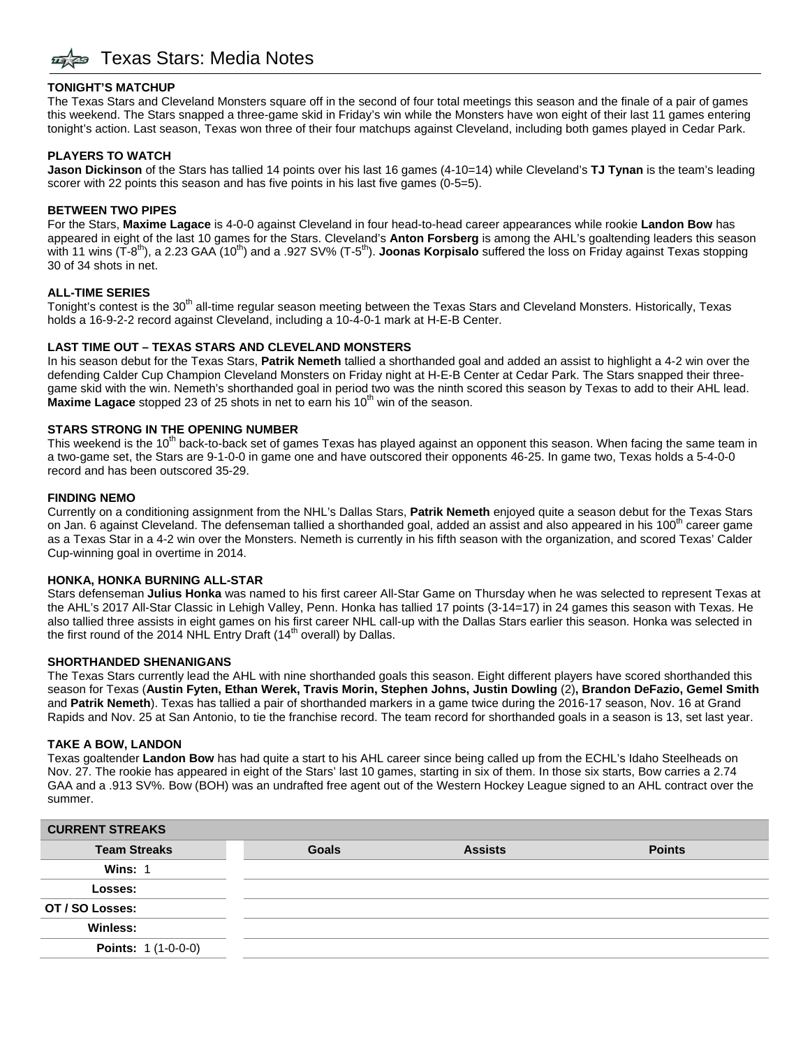#### **TONIGHT'S MATCHUP**

The Texas Stars and Cleveland Monsters square off in the second of four total meetings this season and the finale of a pair of games this weekend. The Stars snapped a three-game skid in Friday's win while the Monsters have won eight of their last 11 games entering tonight's action. Last season, Texas won three of their four matchups against Cleveland, including both games played in Cedar Park.

#### **PLAYERS TO WATCH**

**Jason Dickinson** of the Stars has tallied 14 points over his last 16 games (4-10=14) while Cleveland's **TJ Tynan** is the team's leading scorer with 22 points this season and has five points in his last five games (0-5=5).

#### **BETWEEN TWO PIPES**

For the Stars, **Maxime Lagace** is 4-0-0 against Cleveland in four head-to-head career appearances while rookie **Landon Bow** has appeared in eight of the last 10 games for the Stars. Cleveland's **Anton Forsberg** is among the AHL's goaltending leaders this season with 11 wins (T-8<sup>th</sup>), a 2.23 GAA (10<sup>th</sup>) and a .927 SV% (T-5<sup>th</sup>). **Joonas Korpisalo** suffered the loss on Friday against Texas stopping 30 of 34 shots in net.

#### **ALL-TIME SERIES**

Tonight's contest is the 30<sup>th</sup> all-time regular season meeting between the Texas Stars and Cleveland Monsters. Historically, Texas holds a 16-9-2-2 record against Cleveland, including a 10-4-0-1 mark at H-E-B Center.

#### **LAST TIME OUT – TEXAS STARS AND CLEVELAND MONSTERS**

In his season debut for the Texas Stars, **Patrik Nemeth** tallied a shorthanded goal and added an assist to highlight a 4-2 win over the defending Calder Cup Champion Cleveland Monsters on Friday night at H-E-B Center at Cedar Park. The Stars snapped their threegame skid with the win. Nemeth's shorthanded goal in period two was the ninth scored this season by Texas to add to their AHL lead. **Maxime Lagace** stopped 23 of 25 shots in net to earn his 10<sup>th</sup> win of the season.

#### **STARS STRONG IN THE OPENING NUMBER**

This weekend is the 10<sup>th</sup> back-to-back set of games Texas has played against an opponent this season. When facing the same team in a two-game set, the Stars are 9-1-0-0 in game one and have outscored their opponents 46-25. In game two, Texas holds a 5-4-0-0 record and has been outscored 35-29.

#### **FINDING NEMO**

Currently on a conditioning assignment from the NHL's Dallas Stars, **Patrik Nemeth** enjoyed quite a season debut for the Texas Stars on Jan. 6 against Cleveland. The defenseman tallied a shorthanded goal, added an assist and also appeared in his 100<sup>th</sup> career game as a Texas Star in a 4-2 win over the Monsters. Nemeth is currently in his fifth season with the organization, and scored Texas' Calder Cup-winning goal in overtime in 2014.

#### **HONKA, HONKA BURNING ALL-STAR**

Stars defenseman **Julius Honka** was named to his first career All-Star Game on Thursday when he was selected to represent Texas at the AHL's 2017 All-Star Classic in Lehigh Valley, Penn. Honka has tallied 17 points (3-14=17) in 24 games this season with Texas. He also tallied three assists in eight games on his first career NHL call-up with the Dallas Stars earlier this season. Honka was selected in the first round of the 2014 NHL Entry Draft (14<sup>th</sup> overall) by Dallas.

#### **SHORTHANDED SHENANIGANS**

The Texas Stars currently lead the AHL with nine shorthanded goals this season. Eight different players have scored shorthanded this season for Texas (Austin Fyten, Ethan Werek, Travis Morin, Stephen Johns, Justin Dowling (2), Brandon DeFazio, Gemel Smith and **Patrik Nemeth**). Texas has tallied a pair of shorthanded markers in a game twice during the 2016-17 season, Nov. 16 at Grand Rapids and Nov. 25 at San Antonio, to tie the franchise record. The team record for shorthanded goals in a season is 13, set last year.

#### **TAKE A BOW, LANDON**

Texas goaltender **Landon Bow** has had quite a start to his AHL career since being called up from the ECHL's Idaho Steelheads on Nov. 27. The rookie has appeared in eight of the Stars' last 10 games, starting in six of them. In those six starts, Bow carries a 2.74 GAA and a .913 SV%. Bow (BOH) was an undrafted free agent out of the Western Hockey League signed to an AHL contract over the summer.

| <b>CURRENT STREAKS</b>     |              |                |               |
|----------------------------|--------------|----------------|---------------|
| <b>Team Streaks</b>        | <b>Goals</b> | <b>Assists</b> | <b>Points</b> |
| Wins: 1                    |              |                |               |
| Losses:                    |              |                |               |
| OT / SO Losses:            |              |                |               |
| Winless:                   |              |                |               |
| <b>Points: 1 (1-0-0-0)</b> |              |                |               |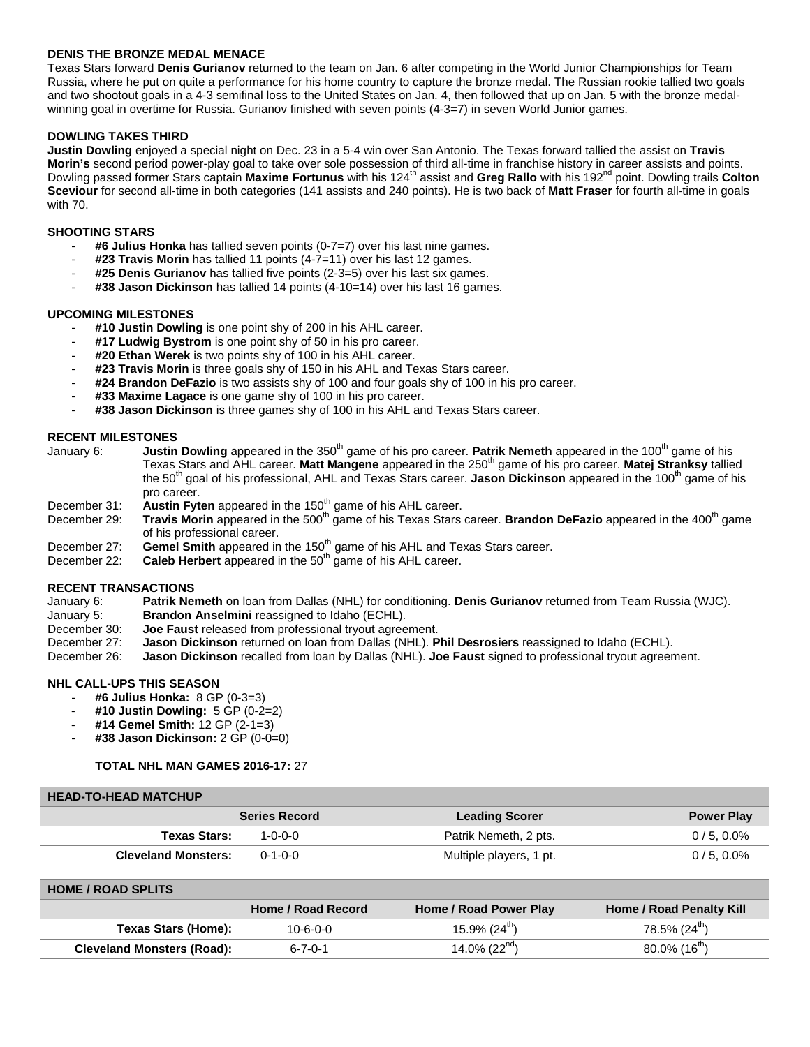#### **DENIS THE BRONZE MEDAL MENACE**

Texas Stars forward **Denis Gurianov** returned to the team on Jan. 6 after competing in the World Junior Championships for Team Russia, where he put on quite a performance for his home country to capture the bronze medal. The Russian rookie tallied two goals and two shootout goals in a 4-3 semifinal loss to the United States on Jan. 4, then followed that up on Jan. 5 with the bronze medalwinning goal in overtime for Russia. Gurianov finished with seven points (4-3=7) in seven World Junior games.

#### **DOWLING TAKES THIRD**

**Justin Dowling** enjoyed a special night on Dec. 23 in a 5-4 win over San Antonio. The Texas forward tallied the assist on **Travis Morin's** second period power-play goal to take over sole possession of third all-time in franchise history in career assists and points. Dowling passed former Stars captain Maxime Fortunus with his 124<sup>th</sup> assist and Greg Rallo with his 192<sup>nd</sup> point. Dowling trails Colton **Sceviour** for second all-time in both categories (141 assists and 240 points). He is two back of **Matt Fraser** for fourth all-time in goals with 70.

#### **SHOOTING STARS**

- **#6 Julius Honka** has tallied seven points (0-7=7) over his last nine games.
- **#23 Travis Morin** has tallied 11 points (4-7=11) over his last 12 games.
- **#25 Denis Gurianov** has tallied five points (2-3=5) over his last six games.
- **#38 Jason Dickinson** has tallied 14 points (4-10=14) over his last 16 games.

#### **UPCOMING MILESTONES**

- #10 Justin Dowling is one point shy of 200 in his AHL career.
- #17 Ludwig Bystrom is one point shy of 50 in his pro career.
- #20 Ethan Werek is two points shy of 100 in his AHL career.
- **#23 Travis Morin** is three goals shy of 150 in his AHL and Texas Stars career.
- **#24 Brandon DeFazio** is two assists shy of 100 and four goals shy of 100 in his pro career.
- #33 Maxime Lagace is one game shy of 100 in his pro career.
- #38 Jason Dickinson is three games shy of 100 in his AHL and Texas Stars career.

- **RECENT MILESTONES**<br>January 6: **Justin** Justin Dowling appeared in the 350<sup>th</sup> game of his pro career. Patrik Nemeth appeared in the 100<sup>th</sup> game of his Texas Stars and AHL career. **Matt Mangene** appeared in the 250th game of his pro career. **Matej Stranksy** tallied the 50<sup>th</sup> goal of his professional, AHL and Texas Stars career. **Jason Dickinson** appeared in the 100<sup>th</sup> game of his pro career.
- December 31: Austin Fyten appeared in the 150<sup>th</sup> game of his AHL career.
- December 29: **Travis Morin** appeared in the 500<sup>th</sup> game of his Texas Stars career. **Brandon DeFazio** appeared in the 400<sup>th</sup> game of his professional career.
- December 27: **Gemel Smith** appeared in the 150<sup>th</sup> game of his AHL and Texas Stars career.
- December 22: **Caleb Herbert** appeared in the 50<sup>th</sup> game of his AHL career.

## **RECENT TRANSACTIONS**<br>January 6: Patrik Ne

January 6: **Patrik Nemeth** on loan from Dallas (NHL) for conditioning. **Denis Gurianov** returned from Team Russia (WJC).

- **Brandon Anselmini** reassigned to Idaho (ECHL).
- December 30: **Joe Faust** released from professional tryout agreement.<br>December 27: **Jason Dickinson** returned on loan from Dallas (NHL).
- December 27: **Jason Dickinson** returned on loan from Dallas (NHL). **Phil Desrosiers** reassigned to Idaho (ECHL).
- **Jason Dickinson** recalled from loan by Dallas (NHL). **Joe Faust** signed to professional tryout agreement.

#### **NHL CALL-UPS THIS SEASON**

- **#6 Julius Honka:** 8 GP (0-3=3)
- **#10 Justin Dowling:** 5 GP (0-2=2)
- **#14 Gemel Smith:** 12 GP (2-1=3)
- **#38 Jason Dickinson:** 2 GP (0-0=0)

#### **TOTAL NHL MAN GAMES 2016-17:** 27

#### **HEAD-TO-HEAD MATCHUP**

|                            | <b>Series Record</b> | <b>Leading Scorer</b>   | <b>Power Play</b> |
|----------------------------|----------------------|-------------------------|-------------------|
| <b>Texas Stars:</b>        | 1-0-0-0              | Patrik Nemeth, 2 pts.   | $0/5, 0.0\%$      |
| <b>Cleveland Monsters:</b> | $0 - 1 - 0 - 0$      | Multiple players, 1 pt. | $0/5, 0.0\%$      |
|                            |                      |                         |                   |

| <b>HOME / ROAD SPLITS</b>         |                    |                            |                                 |  |  |  |  |
|-----------------------------------|--------------------|----------------------------|---------------------------------|--|--|--|--|
|                                   | Home / Road Record | Home / Road Power Play     | <b>Home / Road Penalty Kill</b> |  |  |  |  |
| Texas Stars (Home):               | $10 - 6 - 0 - 0$   | 15.9% $(24^{th})$          | $78.5\%$ (24 <sup>th</sup> )    |  |  |  |  |
| <b>Cleveland Monsters (Road):</b> | 6-7-0-1            | 14.0% (22 $^{\text{nd}}$ ) | $80.0\%$ (16 <sup>m</sup> )     |  |  |  |  |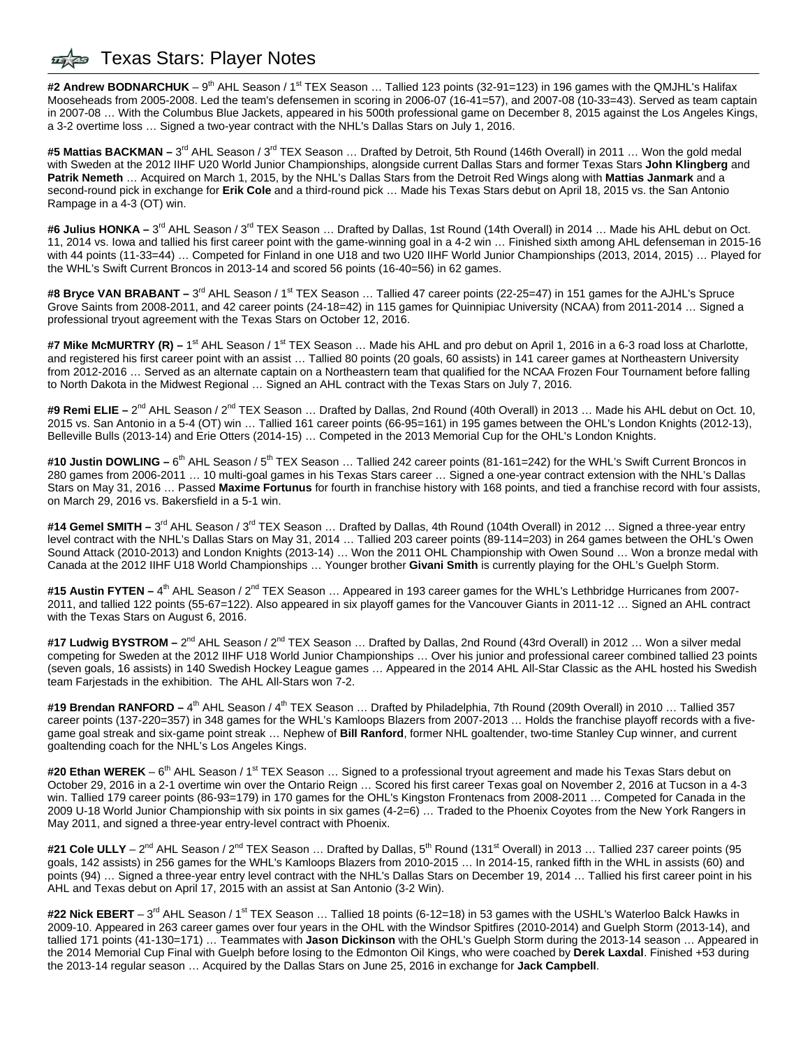### Texas Stars: Player Notes

#2 Andrew BODNARCHUK – 9<sup>th</sup> AHL Season / 1<sup>st</sup> TEX Season ... Tallied 123 points (32-91=123) in 196 games with the QMJHL's Halifax Mooseheads from 2005-2008. Led the team's defensemen in scoring in 2006-07 (16-41=57), and 2007-08 (10-33=43). Served as team captain in 2007-08 … With the Columbus Blue Jackets, appeared in his 500th professional game on December 8, 2015 against the Los Angeles Kings, a 3-2 overtime loss … Signed a two-year contract with the NHL's Dallas Stars on July 1, 2016.

#5 Mattias BACKMAN – 3<sup>rd</sup> AHL Season / 3<sup>rd</sup> TEX Season ... Drafted by Detroit, 5th Round (146th Overall) in 2011 ... Won the gold medal with Sweden at the 2012 IIHF U20 World Junior Championships, alongside current Dallas Stars and former Texas Stars **John Klingberg** and **Patrik Nemeth** … Acquired on March 1, 2015, by the NHL's Dallas Stars from the Detroit Red Wings along with **Mattias Janmark** and a second-round pick in exchange for **Erik Cole** and a third-round pick … Made his Texas Stars debut on April 18, 2015 vs. the San Antonio Rampage in a 4-3 (OT) win.

**#6 Julius HONKA –** 3rd AHL Season / 3rd TEX Season … Drafted by Dallas, 1st Round (14th Overall) in 2014 … Made his AHL debut on Oct. 11, 2014 vs. Iowa and tallied his first career point with the game-winning goal in a 4-2 win … Finished sixth among AHL defenseman in 2015-16 with 44 points (11-33=44) … Competed for Finland in one U18 and two U20 IIHF World Junior Championships (2013, 2014, 2015) … Played for the WHL's Swift Current Broncos in 2013-14 and scored 56 points (16-40=56) in 62 games.

**#8 Bryce VAN BRABANT –** 3rd AHL Season / 1st TEX Season … Tallied 47 career points (22-25=47) in 151 games for the AJHL's Spruce Grove Saints from 2008-2011, and 42 career points (24-18=42) in 115 games for Quinnipiac University (NCAA) from 2011-2014 … Signed a professional tryout agreement with the Texas Stars on October 12, 2016.

#7 Mike McMURTRY (R) – 1<sup>st</sup> AHL Season / 1<sup>st</sup> TEX Season ... Made his AHL and pro debut on April 1, 2016 in a 6-3 road loss at Charlotte, and registered his first career point with an assist … Tallied 80 points (20 goals, 60 assists) in 141 career games at Northeastern University from 2012-2016 … Served as an alternate captain on a Northeastern team that qualified for the NCAA Frozen Four Tournament before falling to North Dakota in the Midwest Regional … Signed an AHL contract with the Texas Stars on July 7, 2016.

#9 Remi ELIE – 2<sup>nd</sup> AHL Season / 2<sup>nd</sup> TEX Season ... Drafted by Dallas, 2nd Round (40th Overall) in 2013 ... Made his AHL debut on Oct. 10, 2015 vs. San Antonio in a 5-4 (OT) win … Tallied 161 career points (66-95=161) in 195 games between the OHL's London Knights (2012-13), Belleville Bulls (2013-14) and Erie Otters (2014-15) … Competed in the 2013 Memorial Cup for the OHL's London Knights.

#10 Justin DOWLING – 6<sup>th</sup> AHL Season / 5<sup>th</sup> TEX Season ... Tallied 242 career points (81-161=242) for the WHL's Swift Current Broncos in 280 games from 2006-2011 … 10 multi-goal games in his Texas Stars career … Signed a one-year contract extension with the NHL's Dallas Stars on May 31, 2016 … Passed **Maxime Fortunus** for fourth in franchise history with 168 points, and tied a franchise record with four assists, on March 29, 2016 vs. Bakersfield in a 5-1 win.

#14 Gemel SMITH – 3<sup>rd</sup> AHL Season / 3<sup>rd</sup> TEX Season ... Drafted by Dallas, 4th Round (104th Overall) in 2012 ... Signed a three-year entry level contract with the NHL's Dallas Stars on May 31, 2014 … Tallied 203 career points (89-114=203) in 264 games between the OHL's Owen Sound Attack (2010-2013) and London Knights (2013-14) … Won the 2011 OHL Championship with Owen Sound … Won a bronze medal with Canada at the 2012 IIHF U18 World Championships … Younger brother **Givani Smith** is currently playing for the OHL's Guelph Storm.

#15 Austin FYTEN – 4<sup>th</sup> AHL Season / 2<sup>nd</sup> TEX Season ... Appeared in 193 career games for the WHL's Lethbridge Hurricanes from 2007-2011, and tallied 122 points (55-67=122). Also appeared in six playoff games for the Vancouver Giants in 2011-12 … Signed an AHL contract with the Texas Stars on August 6, 2016.

**#17 Ludwig BYSTROM –** 2nd AHL Season / 2nd TEX Season … Drafted by Dallas, 2nd Round (43rd Overall) in 2012 … Won a silver medal competing for Sweden at the 2012 IIHF U18 World Junior Championships … Over his junior and professional career combined tallied 23 points (seven goals, 16 assists) in 140 Swedish Hockey League games … Appeared in the 2014 AHL All-Star Classic as the AHL hosted his Swedish team Farjestads in the exhibition. The AHL All-Stars won 7-2.

#19 Brendan RANFORD – 4<sup>th</sup> AHL Season / 4<sup>th</sup> TEX Season ... Drafted by Philadelphia, 7th Round (209th Overall) in 2010 ... Tallied 357 career points (137-220=357) in 348 games for the WHL's Kamloops Blazers from 2007-2013 … Holds the franchise playoff records with a fivegame goal streak and six-game point streak … Nephew of **Bill Ranford**, former NHL goaltender, two-time Stanley Cup winner, and current goaltending coach for the NHL's Los Angeles Kings.

#20 Ethan WEREK – 6<sup>th</sup> AHL Season / 1<sup>st</sup> TEX Season ... Signed to a professional tryout agreement and made his Texas Stars debut on October 29, 2016 in a 2-1 overtime win over the Ontario Reign … Scored his first career Texas goal on November 2, 2016 at Tucson in a 4-3 win. Tallied 179 career points (86-93=179) in 170 games for the OHL's Kingston Frontenacs from 2008-2011 ... Competed for Canada in the 2009 U-18 World Junior Championship with six points in six games (4-2=6) … Traded to the Phoenix Coyotes from the New York Rangers in May 2011, and signed a three-year entry-level contract with Phoenix.

#21 Cole ULLY – 2<sup>nd</sup> AHL Season / 2<sup>nd</sup> TEX Season ... Drafted by Dallas, 5<sup>th</sup> Round (131<sup>st</sup> Overall) in 2013 ... Tallied 237 career points (95 goals, 142 assists) in 256 games for the WHL's Kamloops Blazers from 2010-2015 … In 2014-15, ranked fifth in the WHL in assists (60) and points (94) … Signed a three-year entry level contract with the NHL's Dallas Stars on December 19, 2014 … Tallied his first career point in his AHL and Texas debut on April 17, 2015 with an assist at San Antonio (3-2 Win).

#22 Nick EBERT – 3<sup>rd</sup> AHL Season / 1<sup>st</sup> TEX Season ... Tallied 18 points (6-12=18) in 53 games with the USHL's Waterloo Balck Hawks in 2009-10. Appeared in 263 career games over four years in the OHL with the Windsor Spitfires (2010-2014) and Guelph Storm (2013-14), and tallied 171 points (41-130=171) … Teammates with **Jason Dickinson** with the OHL's Guelph Storm during the 2013-14 season … Appeared in the 2014 Memorial Cup Final with Guelph before losing to the Edmonton Oil Kings, who were coached by **Derek Laxdal**. Finished +53 during the 2013-14 regular season … Acquired by the Dallas Stars on June 25, 2016 in exchange for **Jack Campbell**.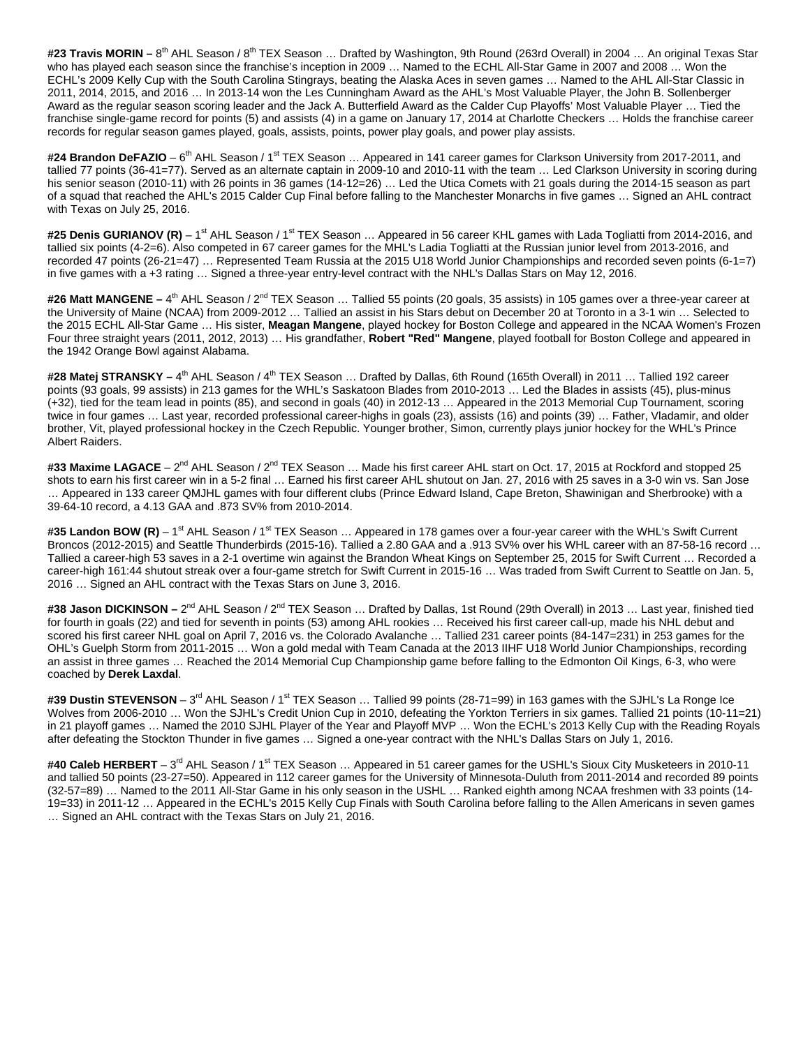#23 Travis MORIN – 8<sup>th</sup> AHL Season / 8<sup>th</sup> TEX Season ... Drafted by Washington, 9th Round (263rd Overall) in 2004 ... An original Texas Star who has played each season since the franchise's inception in 2009 … Named to the ECHL All-Star Game in 2007 and 2008 … Won the ECHL's 2009 Kelly Cup with the South Carolina Stingrays, beating the Alaska Aces in seven games … Named to the AHL All-Star Classic in 2011, 2014, 2015, and 2016 … In 2013-14 won the Les Cunningham Award as the AHL's Most Valuable Player, the John B. Sollenberger Award as the regular season scoring leader and the Jack A. Butterfield Award as the Calder Cup Playoffs' Most Valuable Player … Tied the franchise single-game record for points (5) and assists (4) in a game on January 17, 2014 at Charlotte Checkers … Holds the franchise career records for regular season games played, goals, assists, points, power play goals, and power play assists.

#24 Brandon DeFAZIO – 6<sup>th</sup> AHL Season / 1<sup>st</sup> TEX Season ... Appeared in 141 career games for Clarkson University from 2017-2011, and tallied 77 points (36-41=77). Served as an alternate captain in 2009-10 and 2010-11 with the team … Led Clarkson University in scoring during his senior season (2010-11) with 26 points in 36 games (14-12=26) ... Led the Utica Comets with 21 goals during the 2014-15 season as part of a squad that reached the AHL's 2015 Calder Cup Final before falling to the Manchester Monarchs in five games … Signed an AHL contract with Texas on July 25, 2016.

#25 Denis GURIANOV (R) – 1<sup>st</sup> AHL Season / 1<sup>st</sup> TEX Season ... Appeared in 56 career KHL games with Lada Togliatti from 2014-2016, and tallied six points (4-2=6). Also competed in 67 career games for the MHL's Ladia Togliatti at the Russian junior level from 2013-2016, and recorded 47 points (26-21=47) … Represented Team Russia at the 2015 U18 World Junior Championships and recorded seven points (6-1=7) in five games with a +3 rating … Signed a three-year entry-level contract with the NHL's Dallas Stars on May 12, 2016.

#26 Matt MANGENE - 4<sup>th</sup> AHL Season / 2<sup>nd</sup> TEX Season ... Tallied 55 points (20 goals, 35 assists) in 105 games over a three-year career at the University of Maine (NCAA) from 2009-2012 … Tallied an assist in his Stars debut on December 20 at Toronto in a 3-1 win … Selected to the 2015 ECHL All-Star Game … His sister, **Meagan Mangene**, played hockey for Boston College and appeared in the NCAA Women's Frozen Four three straight years (2011, 2012, 2013) … His grandfather, **Robert "Red" Mangene**, played football for Boston College and appeared in the 1942 Orange Bowl against Alabama.

#28 Matej STRANSKY – 4<sup>th</sup> AHL Season / 4<sup>th</sup> TEX Season ... Drafted by Dallas, 6th Round (165th Overall) in 2011 ... Tallied 192 career points (93 goals, 99 assists) in 213 games for the WHL's Saskatoon Blades from 2010-2013 … Led the Blades in assists (45), plus-minus (+32), tied for the team lead in points (85), and second in goals (40) in 2012-13 … Appeared in the 2013 Memorial Cup Tournament, scoring twice in four games … Last year, recorded professional career-highs in goals (23), assists (16) and points (39) … Father, Vladamir, and older brother, Vit, played professional hockey in the Czech Republic. Younger brother, Simon, currently plays junior hockey for the WHL's Prince Albert Raiders.

#33 Maxime LAGACE – 2<sup>nd</sup> AHL Season / 2<sup>nd</sup> TEX Season ... Made his first career AHL start on Oct. 17, 2015 at Rockford and stopped 25 shots to earn his first career win in a 5-2 final … Earned his first career AHL shutout on Jan. 27, 2016 with 25 saves in a 3-0 win vs. San Jose … Appeared in 133 career QMJHL games with four different clubs (Prince Edward Island, Cape Breton, Shawinigan and Sherbrooke) with a 39-64-10 record, a 4.13 GAA and .873 SV% from 2010-2014.

#35 Landon BOW (R) – 1<sup>st</sup> AHL Season / 1<sup>st</sup> TEX Season ... Appeared in 178 games over a four-year career with the WHL's Swift Current Broncos (2012-2015) and Seattle Thunderbirds (2015-16). Tallied a 2.80 GAA and a .913 SV% over his WHL career with an 87-58-16 record … Tallied a career-high 53 saves in a 2-1 overtime win against the Brandon Wheat Kings on September 25, 2015 for Swift Current … Recorded a career-high 161:44 shutout streak over a four-game stretch for Swift Current in 2015-16 … Was traded from Swift Current to Seattle on Jan. 5, 2016 … Signed an AHL contract with the Texas Stars on June 3, 2016.

#38 Jason DICKINSON – 2<sup>nd</sup> AHL Season / 2<sup>nd</sup> TEX Season ... Drafted by Dallas, 1st Round (29th Overall) in 2013 ... Last year, finished tied for fourth in goals (22) and tied for seventh in points (53) among AHL rookies … Received his first career call-up, made his NHL debut and scored his first career NHL goal on April 7, 2016 vs. the Colorado Avalanche … Tallied 231 career points (84-147=231) in 253 games for the OHL's Guelph Storm from 2011-2015 … Won a gold medal with Team Canada at the 2013 IIHF U18 World Junior Championships, recording an assist in three games … Reached the 2014 Memorial Cup Championship game before falling to the Edmonton Oil Kings, 6-3, who were coached by **Derek Laxdal**.

#39 Dustin STEVENSON - 3<sup>rd</sup> AHL Season / 1<sup>st</sup> TEX Season ... Tallied 99 points (28-71=99) in 163 games with the SJHL's La Ronge Ice Wolves from 2006-2010 … Won the SJHL's Credit Union Cup in 2010, defeating the Yorkton Terriers in six games. Tallied 21 points (10-11=21) in 21 playoff games … Named the 2010 SJHL Player of the Year and Playoff MVP … Won the ECHL's 2013 Kelly Cup with the Reading Royals after defeating the Stockton Thunder in five games … Signed a one-year contract with the NHL's Dallas Stars on July 1, 2016.

#40 Caleb HERBERT – 3<sup>rd</sup> AHL Season / 1<sup>st</sup> TEX Season ... Appeared in 51 career games for the USHL's Sioux City Musketeers in 2010-11 and tallied 50 points (23-27=50). Appeared in 112 career games for the University of Minnesota-Duluth from 2011-2014 and recorded 89 points (32-57=89) … Named to the 2011 All-Star Game in his only season in the USHL … Ranked eighth among NCAA freshmen with 33 points (14- 19=33) in 2011-12 … Appeared in the ECHL's 2015 Kelly Cup Finals with South Carolina before falling to the Allen Americans in seven games … Signed an AHL contract with the Texas Stars on July 21, 2016.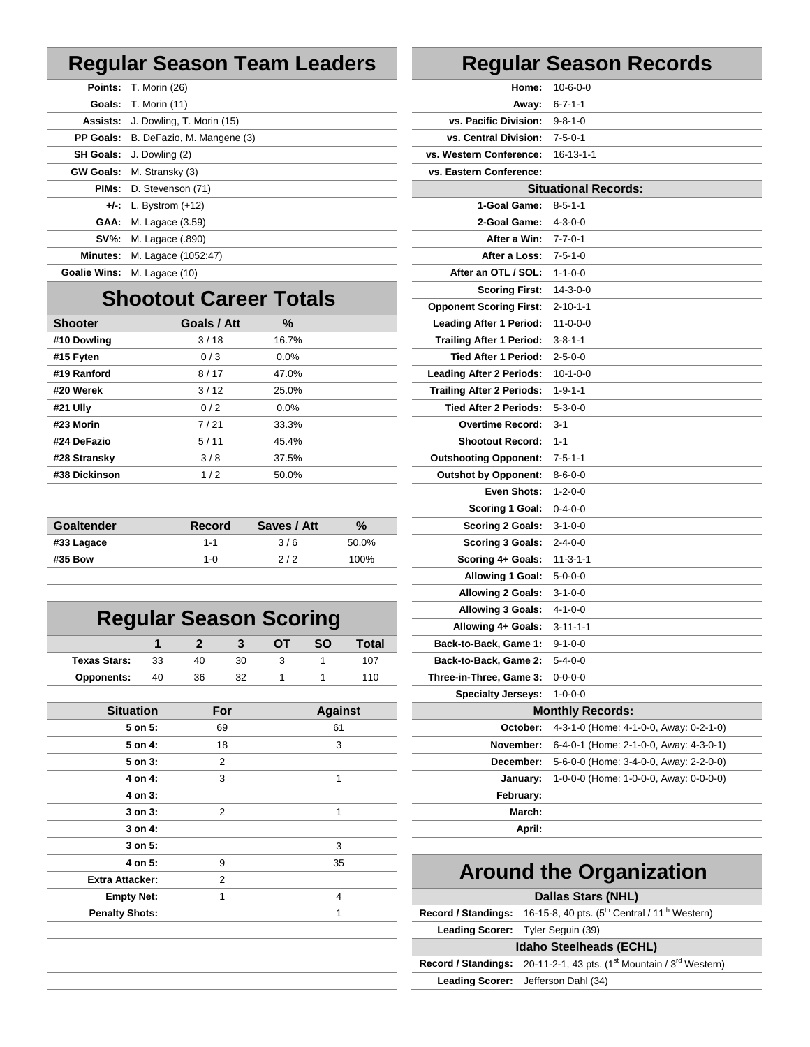### **Regular Season Team Leaders Regular Season Records**

|          | <b>Points:</b> T. Morin (26)                | Home:                             | $10 - 6 - 0 - 0$            |
|----------|---------------------------------------------|-----------------------------------|-----------------------------|
|          | <b>Goals:</b> T. Morin (11)                 |                                   | <b>Away:</b> $6-7-1-1$      |
|          | <b>Assists:</b> J. Dowling, T. Morin (15)   | vs. Pacific Division:             | 9-8-1-0                     |
|          | <b>PP Goals:</b> B. DeFazio, M. Mangene (3) | vs. Central Division:             | $7 - 5 - 0 - 1$             |
|          | <b>SH Goals:</b> J. Dowling (2)             | vs. Western Conference: 16-13-1-1 |                             |
|          | <b>GW Goals:</b> M. Stransky (3)            | vs. Eastern Conference:           |                             |
|          | <b>PIMs:</b> D. Stevenson (71)              |                                   | <b>Situational Records:</b> |
|          | $+/-: L.$ Bystrom $(+12)$                   | 1-Goal Game: 8-5-1-1              |                             |
|          | <b>GAA:</b> M. Lagace (3.59)                | 2-Goal Game:                      | $4 - 3 - 0 - 0$             |
|          | <b>SV%:</b> M. Lagace (.890)                | <b>After a Win: 7-7-0-1</b>       |                             |
| Minutes: | M. Lagace (1052:47)                         | <b>After a Loss: 7-5-1-0</b>      |                             |
|          | <b>Goalie Wins: M. Lagace (10)</b>          | After an OTL / SOL: 1-1-0-0       |                             |

## **Shootout Career Totals**

| <b>Shooter</b> | Goals / Att | %       | Leading After 1 Period: 11-0-0-0  |                 |
|----------------|-------------|---------|-----------------------------------|-----------------|
| #10 Dowling    | 3/18        | 16.7%   | Trailing After 1 Period: 3-8-1-1  |                 |
| #15 Fyten      | 0/3         | $0.0\%$ | Tied After 1 Period: 2-5-0-0      |                 |
| #19 Ranford    | 8/17        | 47.0%   | Leading After 2 Periods: 10-1-0-0 |                 |
| #20 Werek      | 3/12        | 25.0%   | <b>Trailing After 2 Periods:</b>  | $1 - 9 - 1 - 1$ |
| #21 Ully       | 0/2         | $0.0\%$ | Tied After 2 Periods: 5-3-0-0     |                 |
| #23 Morin      | 7/21        | 33.3%   | <b>Overtime Record: 3-1</b>       |                 |
| #24 DeFazio    | 5/11        | 45.4%   | Shootout Record: 1-1              |                 |
| #28 Stransky   | 3/8         | 37.5%   | <b>Outshooting Opponent:</b>      | 7-5-1-1         |
| #38 Dickinson  | 1/2         | 50.0%   | <b>Outshot by Opponent:</b>       | $8 - 6 - 0 - 0$ |
|                |             |         |                                   |                 |

| Goaltender | <b>Record</b> | Saves / Att | $\frac{9}{6}$ | Scoring 2 Goals: $3-1-0-0$        |
|------------|---------------|-------------|---------------|-----------------------------------|
| #33 Lagace | 1-1           | 3/6         | 50.0%         | <b>Scoring 3 Goals:</b> $2-4-0-0$ |
| #35 Bow    | 1-0           | 212         | 100%          | <b>Scoring 4+ Goals: 11-3-1-1</b> |
|            |               |             |               |                                   |

## **Regular Season Scoring**

|                   |    |    |  | <b>SO</b> | Total | <b>Back-to-Back, Game 1: 9-1-0-0</b> |
|-------------------|----|----|--|-----------|-------|--------------------------------------|
| Texas Stars:      | 33 |    |  |           | 107   | <b>Back-to-Back, Game 2: 5-4-0-0</b> |
| <b>Opponents:</b> | 40 | 36 |  |           | 110.  | Three-in-Three, Game 3: 0-0-0-0      |

| <b>Situation</b>       | For | <b>Against</b> | <b>Monthly Records:</b>                                    |
|------------------------|-----|----------------|------------------------------------------------------------|
| 5 on 5:                | 69  | 61             | <b>October:</b> 4-3-1-0 (Home: 4-                          |
| 5 on 4:                | 18  | 3              | <b>November:</b> 6-4-0-1 (Home: 2-                         |
| 5 on 3:                | 2   |                | December:<br>5-6-0-0 (Home: 3-                             |
| 4 on 4:                | 3   |                | 1-0-0-0 (Home: 1-<br>January:                              |
| 4 on 3:                |     |                | February:                                                  |
| 3 on 3:                | 2   |                | March:                                                     |
| 3 on 4:                |     |                | April:                                                     |
| $3$ on $5$ :           |     | 3              |                                                            |
| 4 on 5:                | 9   | 35             |                                                            |
| <b>Extra Attacker:</b> | 2   |                | <b>Around the Orgar</b>                                    |
| <b>Empty Net:</b>      | 1   | 4              | <b>Dallas Stars (NHL</b>                                   |
| <b>Penalty Shots:</b>  |     |                | Record / Standings: 16-15-8, 40 pts. (5 <sup>th</sup> Cent |
|                        |     |                | Loading Coases Tube Comin (20)                             |

|                               | <b>Regular Season Records</b> |
|-------------------------------|-------------------------------|
| Home:                         | $10 - 6 - 0 - 0$              |
| Away:                         | $6 - 7 - 1 - 1$               |
| vs. Pacific Division:         | $9 - 8 - 1 - 0$               |
| vs. Central Division:         | $7 - 5 - 0 - 1$               |
| Vestern Conference: 16-13-1-1 |                               |
| Eastern Conference:           |                               |
|                               | <b>Situational Records:</b>   |
| 1-Goal Game:                  | $8 - 5 - 1 - 1$               |
| 2-Goal Game:                  | $4 - 3 - 0 - 0$               |
| After a Win:                  | 7-7-0-1                       |
| <b>After a Loss: 7-5-1-0</b>  |                               |
|                               |                               |

|    | M. Lagace (3.59) |                      |             |                |              | 2-Goal Game:                     | $4 - 3 - 0 - 0$                        |
|----|------------------|----------------------|-------------|----------------|--------------|----------------------------------|----------------------------------------|
|    | M. Lagace (.890) |                      |             |                |              | After a Win:                     | $7 - 7 - 0 - 1$                        |
|    |                  | M. Lagace (1052:47)  |             |                |              | After a Loss:                    | $7 - 5 - 1 - 0$                        |
|    | M. Lagace (10)   |                      |             |                |              | After an OTL / SOL:              | $1 - 1 - 0 - 0$                        |
|    |                  |                      |             |                |              | <b>Scoring First:</b>            | $14 - 3 - 0 - 0$                       |
|    |                  | ootout Career Totals |             |                |              | <b>Opponent Scoring First:</b>   | $2 - 10 - 1 - 1$                       |
|    |                  | Goals / Att          | %           |                |              | <b>Leading After 1 Period:</b>   | $11 - 0 - 0 - 0$                       |
|    |                  | 3/18                 | 16.7%       |                |              | <b>Trailing After 1 Period:</b>  | $3 - 8 - 1 - 1$                        |
|    |                  | 0/3                  | 0.0%        |                |              | <b>Tied After 1 Period:</b>      | $2 - 5 - 0 - 0$                        |
|    |                  | 8/17                 | 47.0%       |                |              | <b>Leading After 2 Periods:</b>  | $10 - 1 - 0 - 0$                       |
|    |                  | 3/12                 | 25.0%       |                |              | <b>Trailing After 2 Periods:</b> | $1 - 9 - 1 - 1$                        |
|    |                  | 0/2                  | 0.0%        |                |              | Tied After 2 Periods:            | $5 - 3 - 0 - 0$                        |
|    |                  | 7/21                 | 33.3%       |                |              | <b>Overtime Record:</b>          | $3-1$                                  |
|    |                  | 5/11                 | 45.4%       |                |              | <b>Shootout Record:</b>          | $1 - 1$                                |
|    |                  | 3/8                  | 37.5%       |                |              | <b>Outshooting Opponent:</b>     | $7 - 5 - 1 - 1$                        |
|    |                  | 1/2                  | 50.0%       |                |              | <b>Outshot by Opponent:</b>      | $8 - 6 - 0 - 0$                        |
|    |                  |                      |             |                |              | <b>Even Shots:</b>               | $1 - 2 - 0 - 0$                        |
|    |                  |                      |             |                |              | <b>Scoring 1 Goal:</b>           | $0 - 4 - 0 - 0$                        |
|    |                  | <b>Record</b>        | Saves / Att |                | $\%$         | <b>Scoring 2 Goals:</b>          | $3 - 1 - 0 - 0$                        |
|    |                  | $1 - 1$              | 3/6         |                | 50.0%        | <b>Scoring 3 Goals:</b>          | $2 - 4 - 0 - 0$                        |
|    |                  | $1 - 0$              | 2/2         |                | 100%         | Scoring 4+ Goals:                | $11 - 3 - 1 - 1$                       |
|    |                  |                      |             |                |              | <b>Allowing 1 Goal:</b>          | $5 - 0 - 0 - 0$                        |
|    |                  |                      |             |                |              | <b>Allowing 2 Goals:</b>         | $3 - 1 - 0 - 0$                        |
|    |                  |                      |             |                |              | <b>Allowing 3 Goals:</b>         | $4 - 1 - 0 - 0$                        |
|    |                  | gular Season Scoring |             |                |              | Allowing 4+ Goals:               | $3 - 11 - 1 - 1$                       |
|    | 1                | $\mathbf{2}$<br>3    | ОT          | SΟ             | <b>Total</b> | Back-to-Back, Game 1:            | $9 - 1 - 0 - 0$                        |
| ï. | 33               | 40<br>30             | 3           | 1              | 107          | Back-to-Back, Game 2:            | $5 - 4 - 0 - 0$                        |
| ă. | 40               | 32<br>36             | 1           | 1              | 110          | Three-in-Three, Game 3:          | $0 - 0 - 0 - 0$                        |
|    |                  |                      |             |                |              | <b>Specialty Jerseys:</b>        | $1 - 0 - 0 - 0$                        |
|    | <b>ation</b>     | For                  |             | <b>Against</b> |              |                                  | <b>Monthly Records:</b>                |
|    | 5 on 5:          | 69                   |             | 61             |              | October:                         | 4-3-1-0 (Home: 4-1-0-0, Away: 0-2-1-0) |
|    | 5 on 4:          | 18                   |             | 3              |              | November:                        | 6-4-0-1 (Home: 2-1-0-0, Away: 4-3-0-1) |
|    | 5 on 3:          | 2                    |             |                |              | December:                        | 5-6-0-0 (Home: 3-4-0-0, Away: 2-2-0-0) |
|    | 4 on 4:          | 3                    |             | 1              |              | January:                         | 1-0-0-0 (Home: 1-0-0-0, Away: 0-0-0-0) |
|    | 4 on 3:          |                      |             |                |              | February:                        |                                        |
|    | 3 on 3:          | 2                    |             | 1              |              | March:                           |                                        |
|    |                  |                      |             |                |              |                                  |                                        |

## **Around the Organization**

### **Dallas Stars (NHL) Record / Standings:** 16-15-8, 40 pts. (5<sup>th</sup> Central / 11<sup>th</sup> Western) **Leading Scorer:** Tyler Seguin (39) **Idaho Steelheads (ECHL) Record / Standings:** 20-11-2-1, 43 pts. (1<sup>st</sup> Mountain / 3<sup>rd</sup> Western) **Leading Scorer:** Jefferson Dahl (34)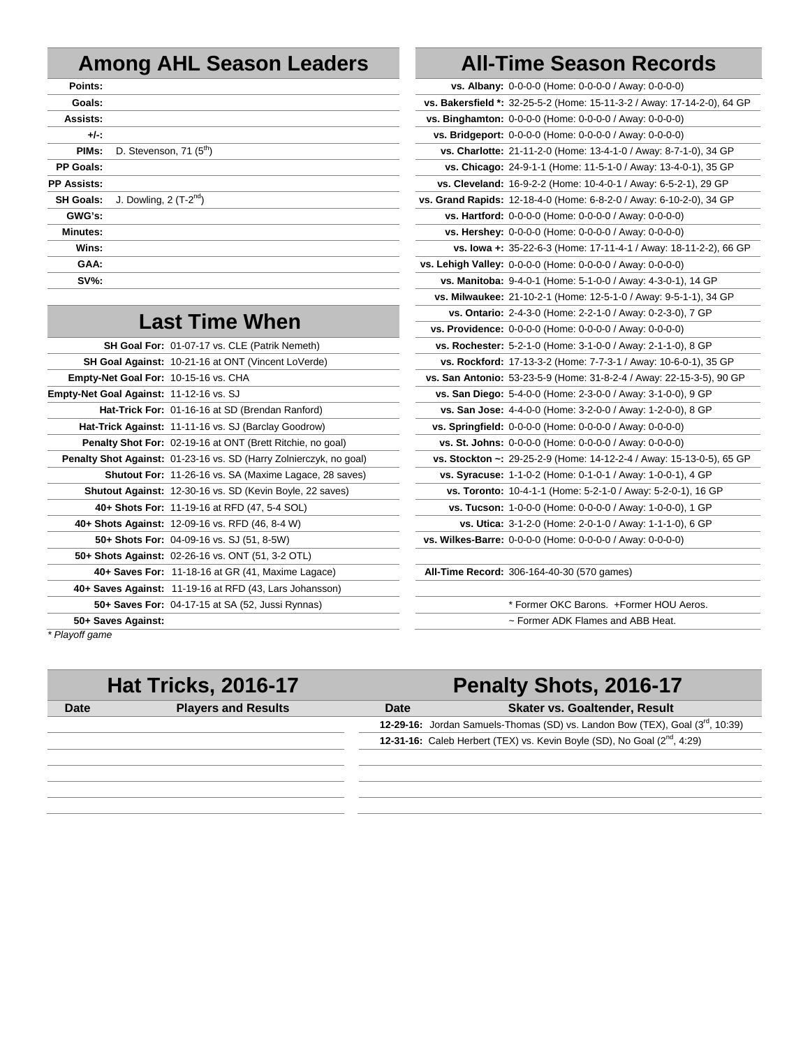## **Among AHL Season Leaders All-Time Season Records**

| Points:            |                                     | vs. Albany: 0-0-0-0 (Home: 0-0-0-0 / Away: 0-0-0-0)                  |
|--------------------|-------------------------------------|----------------------------------------------------------------------|
| Goals:             |                                     | vs. Bakersfield *: 32-25-5-2 (Home: 15-11-3-2 / Away: 17-14-2-0), 64 |
| Assists:           |                                     | vs. Binghamton: 0-0-0-0 (Home: 0-0-0-0 / Away: 0-0-0-0)              |
| $+/-$              |                                     | vs. Bridgeport: 0-0-0-0 (Home: 0-0-0-0 / Away: 0-0-0-0)              |
| PIM <sub>s</sub> : | D. Stevenson, 71 (5 <sup>th</sup> ) | vs. Charlotte: 21-11-2-0 (Home: 13-4-1-0 / Away: 8-7-1-0), 34 GP     |
| <b>PP Goals:</b>   |                                     | vs. Chicago: 24-9-1-1 (Home: 11-5-1-0 / Away: 13-4-0-1), 35 GP       |
| <b>PP Assists:</b> |                                     | vs. Cleveland: 16-9-2-2 (Home: 10-4-0-1 / Away: 6-5-2-1), 29 GP      |
| <b>SH Goals:</b>   | J. Dowling, $2(T-2^{nd})$           | vs. Grand Rapids: 12-18-4-0 (Home: 6-8-2-0 / Away: 6-10-2-0), 34 GP  |
| GWG's:             |                                     | vs. Hartford: 0-0-0-0 (Home: 0-0-0-0 / Away: 0-0-0-0)                |
| Minutes:           |                                     | vs. Hershey: 0-0-0-0 (Home: 0-0-0-0 / Away: 0-0-0-0)                 |
| Wins:              |                                     | vs. lowa +: 35-22-6-3 (Home: 17-11-4-1 / Away: 18-11-2-2), 66        |
| GAA:               |                                     | vs. Lehigh Valley: 0-0-0-0 (Home: 0-0-0-0 / Away: 0-0-0-0)           |
| $SV\%$ :           |                                     | vs. Manitoba: 9-4-0-1 (Home: 5-1-0-0 / Away: 4-3-0-1), 14 GP         |
|                    |                                     |                                                                      |

## **Last Time When**

| <b>SH Goal For: 01-07-17 vs. CLE (Patrik Nemeth)</b>                      | vs. Rochester: 5-2-1-0 (Home: 3-1-0-0 / Away: 2-1-1-0), 8 GP     |
|---------------------------------------------------------------------------|------------------------------------------------------------------|
| SH Goal Against: 10-21-16 at ONT (Vincent LoVerde)                        | vs. Rockford: 17-13-3-2 (Home: 7-7-3-1 / Away: 10-6-0-1), 35 (   |
| Empty-Net Goal For: 10-15-16 vs. CHA                                      | vs. San Antonio: 53-23-5-9 (Home: 31-8-2-4 / Away: 22-15-3-5), 9 |
| Empty-Net Goal Against: 11-12-16 vs. SJ                                   | vs. San Diego: 5-4-0-0 (Home: 2-3-0-0 / Away: 3-1-0-0), 9 GP     |
| Hat-Trick For: 01-16-16 at SD (Brendan Ranford)                           | vs. San Jose: 4-4-0-0 (Home: 3-2-0-0 / Away: 1-2-0-0), 8 GP      |
| Hat-Trick Against: 11-11-16 vs. SJ (Barclay Goodrow)                      | vs. Springfield: 0-0-0-0 (Home: 0-0-0-0 / Away: 0-0-0-0)         |
| <b>Penalty Shot For: 02-19-16 at ONT (Brett Ritchie, no goal)</b>         | vs. St. Johns: 0-0-0-0 (Home: 0-0-0-0 / Away: 0-0-0-0)           |
| <b>Penalty Shot Against:</b> 01-23-16 vs. SD (Harry Zolnierczyk, no goal) | vs. Stockton ~: 29-25-2-9 (Home: 14-12-2-4 / Away: 15-13-0-5),   |
| <b>Shutout For: 11-26-16 vs. SA (Maxime Lagace, 28 saves)</b>             | vs. Syracuse: 1-1-0-2 (Home: 0-1-0-1 / Away: 1-0-0-1), 4 GP      |
| <b>Shutout Against: 12-30-16 vs. SD (Kevin Boyle, 22 saves)</b>           | vs. Toronto: 10-4-1-1 (Home: 5-2-1-0 / Away: 5-2-0-1), 16 GP     |
| 40+ Shots For: 11-19-16 at RFD (47, 5-4 SOL)                              | vs. Tucson: 1-0-0-0 (Home: 0-0-0-0 / Away: 1-0-0-0), 1 GP        |
| 40+ Shots Against: 12-09-16 vs. RFD (46, 8-4 W)                           | vs. Utica: 3-1-2-0 (Home: 2-0-1-0 / Away: 1-1-1-0), 6 GP         |
| 50+ Shots For: 04-09-16 vs. SJ (51, 8-5W)                                 | vs. Wilkes-Barre: 0-0-0-0 (Home: 0-0-0-0 / Away: 0-0-0-0)        |
| 50+ Shots Against: 02-26-16 vs. ONT (51, 3-2 OTL)                         |                                                                  |
| 40+ Saves For: 11-18-16 at GR (41, Maxime Lagace)                         | <b>All-Time Record: 306-164-40-30 (570 games)</b>                |
| 40+ Saves Against: 11-19-16 at RFD (43, Lars Johansson)                   |                                                                  |
| 50+ Saves For: 04-17-15 at SA (52, Jussi Rynnas)                          | * Former OKC Barons. + Former HOU Aeros.                         |
| 50+ Saves Against:                                                        | ~ Former ADK Flames and ABB Heat.                                |
|                                                                           |                                                                  |

| <b>Points:</b>                                                     | <b>vs. Albany:</b> 0-0-0-0 (Home: 0-0-0-0 / Away: 0-0-0-0)              |
|--------------------------------------------------------------------|-------------------------------------------------------------------------|
| Goals:                                                             | vs. Bakersfield *: 32-25-5-2 (Home: 15-11-3-2 / Away: 17-14-2-0), 64 GP |
| Assists:                                                           | vs. Binghamton: 0-0-0-0 (Home: 0-0-0-0 / Away: 0-0-0-0)                 |
| $+/-$                                                              | vs. Bridgeport: 0-0-0-0 (Home: 0-0-0-0 / Away: 0-0-0-0)                 |
| D. Stevenson, 71 (5 <sup>th</sup> )<br>PIM <sub>s</sub> :          | vs. Charlotte: 21-11-2-0 (Home: 13-4-1-0 / Away: 8-7-1-0), 34 GP        |
| P Goals:                                                           | vs. Chicago: 24-9-1-1 (Home: 11-5-1-0 / Away: 13-4-0-1), 35 GP          |
| Assists:                                                           | vs. Cleveland: 16-9-2-2 (Home: 10-4-0-1 / Away: 6-5-2-1), 29 GP         |
| H Goals:<br>J. Dowling, $2(T-2^{nd})$                              | vs. Grand Rapids: 12-18-4-0 (Home: 6-8-2-0 / Away: 6-10-2-0), 34 GP     |
| GWG's:                                                             | vs. Hartford: 0-0-0-0 (Home: 0-0-0-0 / Away: 0-0-0-0)                   |
| Minutes:                                                           | vs. Hershey: 0-0-0-0 (Home: 0-0-0-0 / Away: 0-0-0-0)                    |
| Wins:                                                              | vs. lowa +: 35-22-6-3 (Home: 17-11-4-1 / Away: 18-11-2-2), 66 GP        |
| GAA:                                                               | vs. Lehigh Valley: 0-0-0-0 (Home: 0-0-0-0 / Away: 0-0-0-0)              |
| <b>SV%:</b>                                                        | vs. Manitoba: 9-4-0-1 (Home: 5-1-0-0 / Away: 4-3-0-1), 14 GP            |
|                                                                    | vs. Milwaukee: 21-10-2-1 (Home: 12-5-1-0 / Away: 9-5-1-1), 34 GP        |
|                                                                    | vs. Ontario: 2-4-3-0 (Home: 2-2-1-0 / Away: 0-2-3-0), 7 GP              |
| <b>Last Time When</b>                                              | vs. Providence: 0-0-0-0 (Home: 0-0-0-0 / Away: 0-0-0-0)                 |
| SH Goal For: 01-07-17 vs. CLE (Patrik Nemeth)                      | vs. Rochester: 5-2-1-0 (Home: 3-1-0-0 / Away: 2-1-1-0), 8 GP            |
| SH Goal Against: 10-21-16 at ONT (Vincent LoVerde)                 | vs. Rockford: 17-13-3-2 (Home: 7-7-3-1 / Away: 10-6-0-1), 35 GP         |
| Empty-Net Goal For: 10-15-16 vs. CHA                               | vs. San Antonio: 53-23-5-9 (Home: 31-8-2-4 / Away: 22-15-3-5), 90 GP    |
| pty-Net Goal Against: 11-12-16 vs. SJ                              | vs. San Diego: 5-4-0-0 (Home: 2-3-0-0 / Away: 3-1-0-0), 9 GP            |
| Hat-Trick For: 01-16-16 at SD (Brendan Ranford)                    | vs. San Jose: 4-4-0-0 (Home: 3-2-0-0 / Away: 1-2-0-0), 8 GP             |
| Hat-Trick Against: 11-11-16 vs. SJ (Barclay Goodrow)               | vs. Springfield: 0-0-0-0 (Home: 0-0-0-0 / Away: 0-0-0-0)                |
| <b>Penalty Shot For: 02-19-16 at ONT (Brett Ritchie, no goal)</b>  | vs. St. Johns: 0-0-0-0 (Home: 0-0-0-0 / Away: 0-0-0-0)                  |
| Penalty Shot Against: 01-23-16 vs. SD (Harry Zolnierczyk, no goal) | vs. Stockton ~: 29-25-2-9 (Home: 14-12-2-4 / Away: 15-13-0-5), 65 GP    |
| <b>Shutout For: 11-26-16 vs. SA (Maxime Lagace, 28 saves)</b>      | vs. Syracuse: 1-1-0-2 (Home: 0-1-0-1 / Away: 1-0-0-1), 4 GP             |
| <b>Shutout Against: 12-30-16 vs. SD (Kevin Boyle, 22 saves)</b>    | vs. Toronto: 10-4-1-1 (Home: 5-2-1-0 / Away: 5-2-0-1), 16 GP            |
| 40+ Shots For: 11-19-16 at RFD (47, 5-4 SOL)                       | vs. Tucson: 1-0-0-0 (Home: 0-0-0-0 / Away: 1-0-0-0), 1 GP               |
| 40+ Shots Against: 12-09-16 vs. RFD (46, 8-4 W)                    | vs. Utica: 3-1-2-0 (Home: 2-0-1-0 / Away: 1-1-1-0), 6 GP                |
| 50+ Shots For: 04-09-16 vs. SJ (51, 8-5W)                          | vs. Wilkes-Barre: 0-0-0-0 (Home: 0-0-0-0 / Away: 0-0-0-0)               |
| 50+ Shots Against: 02-26-16 vs. ONT (51, 3-2 OTL)                  |                                                                         |
| 40+ Saves For: 11-18-16 at GR (41, Maxime Lagace)                  | All-Time Record: 306-164-40-30 (570 games)                              |
| 40+ Saves Against: 11-19-16 at RFD (43, Lars Johansson)            |                                                                         |
| 50+ Saves For: 04-17-15 at SA (52, Jussi Rynnas)                   | * Former OKC Barons. +Former HOU Aeros.                                 |

*\* Playoff game*

## **Hat Tricks, 2016-17 Penalty Shots, 2016-17**

| <b>Date</b> | <b>Players and Results</b> | <b>Date</b> | <b>Skater vs. Goaltender, Result</b>                                                 |
|-------------|----------------------------|-------------|--------------------------------------------------------------------------------------|
|             |                            |             | 12-29-16: Jordan Samuels-Thomas (SD) vs. Landon Bow (TEX), Goal (3rd, 10:39)         |
|             |                            |             | 12-31-16: Caleb Herbert (TEX) vs. Kevin Boyle (SD), No Goal (2 <sup>nd</sup> , 4:29) |
|             |                            |             |                                                                                      |
|             |                            |             |                                                                                      |
|             |                            |             |                                                                                      |
|             |                            |             |                                                                                      |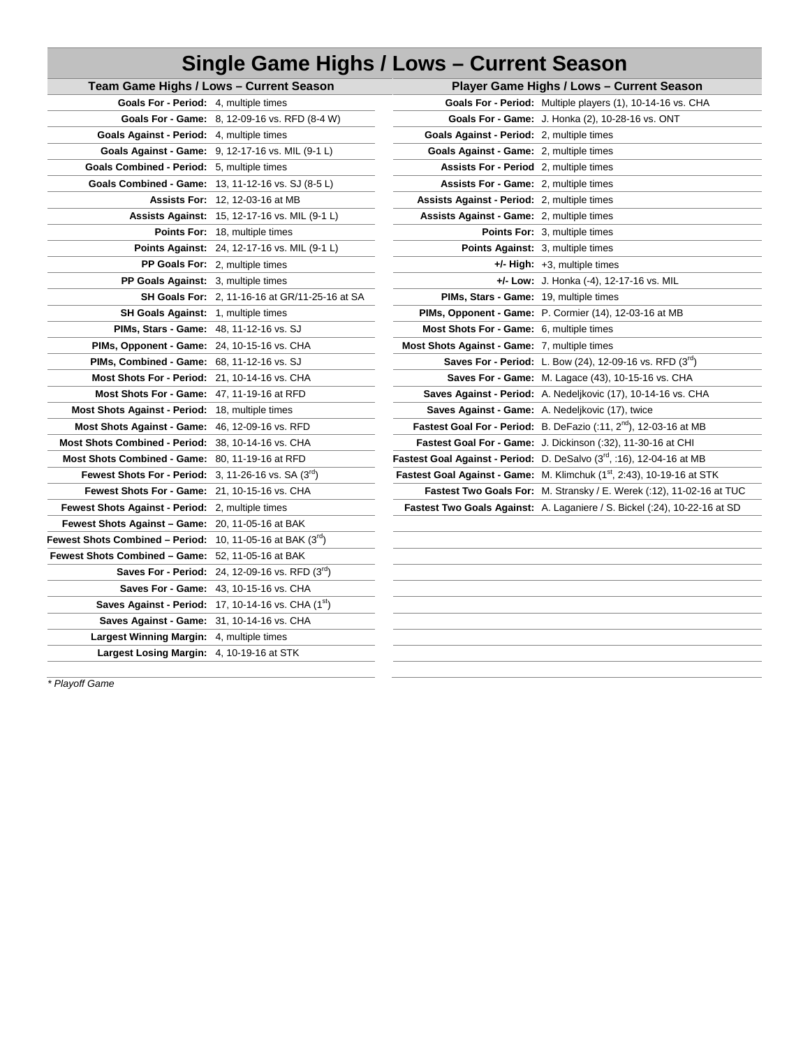# **Single Game Highs / Lows – Current Season**

|                                                                   | Team Game Highs / Lows - Current Season                    |                                                  | Player Game Highs / Lows - Current Season                                          |  |  |
|-------------------------------------------------------------------|------------------------------------------------------------|--------------------------------------------------|------------------------------------------------------------------------------------|--|--|
| Goals For - Period: 4, multiple times                             |                                                            |                                                  | Goals For - Period: Multiple players (1), 10-14-16 vs. CHA                         |  |  |
|                                                                   | Goals For - Game: 8, 12-09-16 vs. RFD (8-4 W)              |                                                  | Goals For - Game: J. Honka (2), 10-28-16 vs. ONT                                   |  |  |
| Goals Against - Period: 4, multiple times                         |                                                            | Goals Against - Period: 2, multiple times        |                                                                                    |  |  |
|                                                                   | <b>Goals Against - Game:</b> 9, 12-17-16 vs. MIL (9-1 L)   | Goals Against - Game: 2, multiple times          |                                                                                    |  |  |
| Goals Combined - Period: 5, multiple times                        |                                                            | <b>Assists For - Period</b> 2, multiple times    |                                                                                    |  |  |
|                                                                   | Goals Combined - Game: 13, 11-12-16 vs. SJ (8-5 L)         | <b>Assists For - Game: 2, multiple times</b>     |                                                                                    |  |  |
|                                                                   | <b>Assists For: 12, 12-03-16 at MB</b>                     | Assists Against - Period: 2, multiple times      |                                                                                    |  |  |
|                                                                   | <b>Assists Against: 15, 12-17-16 vs. MIL (9-1 L)</b>       | <b>Assists Against - Game: 2, multiple times</b> |                                                                                    |  |  |
|                                                                   | <b>Points For: 18, multiple times</b>                      |                                                  | Points For: 3, multiple times                                                      |  |  |
|                                                                   | Points Against: 24, 12-17-16 vs. MIL (9-1 L)               |                                                  | <b>Points Against:</b> 3, multiple times                                           |  |  |
|                                                                   | PP Goals For: 2, multiple times                            |                                                  | $+/-$ High: $+3$ , multiple times                                                  |  |  |
| PP Goals Against: 3, multiple times                               |                                                            |                                                  | $+/-$ Low: J. Honka $(-4)$ , 12-17-16 vs. MIL                                      |  |  |
|                                                                   | <b>SH Goals For: 2, 11-16-16 at GR/11-25-16 at SA</b>      | PIMs, Stars - Game: 19, multiple times           |                                                                                    |  |  |
| <b>SH Goals Against: 1, multiple times</b>                        |                                                            |                                                  | PIMs, Opponent - Game: P. Cormier (14), 12-03-16 at MB                             |  |  |
| <b>PIMs, Stars - Game: 48, 11-12-16 vs. SJ</b>                    |                                                            | <b>Most Shots For - Game:</b> 6, multiple times  |                                                                                    |  |  |
| <b>PIMs, Opponent - Game: 24, 10-15-16 vs. CHA</b>                |                                                            | Most Shots Against - Game: 7, multiple times     |                                                                                    |  |  |
| <b>PIMs, Combined - Game: 68, 11-12-16 vs. SJ</b>                 |                                                            |                                                  | <b>Saves For - Period:</b> L. Bow (24), 12-09-16 vs. RFD $(3^{rd})$                |  |  |
| Most Shots For - Period: 21, 10-14-16 vs. CHA                     |                                                            |                                                  | Saves For - Game: M. Lagace (43), 10-15-16 vs. CHA                                 |  |  |
| Most Shots For - Game: 47, 11-19-16 at RFD                        |                                                            |                                                  | Saves Against - Period: A. Nedeljkovic (17), 10-14-16 vs. CHA                      |  |  |
| <b>Most Shots Against - Period: 18, multiple times</b>            |                                                            |                                                  | <b>Saves Against - Game:</b> A. Nedeljkovic (17), twice                            |  |  |
| Most Shots Against - Game: 46, 12-09-16 vs. RFD                   |                                                            |                                                  | <b>Fastest Goal For - Period:</b> B. DeFazio $(.11, 2nd)$ , 12-03-16 at MB         |  |  |
| Most Shots Combined - Period: 38, 10-14-16 vs. CHA                |                                                            |                                                  | <b>Fastest Goal For - Game:</b> J. Dickinson (:32), 11-30-16 at CHI                |  |  |
| Most Shots Combined - Game: 80, 11-19-16 at RFD                   |                                                            |                                                  | Fastest Goal Against - Period: D. DeSalvo (3rd, :16), 12-04-16 at MB               |  |  |
| Fewest Shots For - Period: $3, 11-26-16$ vs. SA $(310)$           |                                                            |                                                  | Fastest Goal Against - Game: M. Klimchuk (1 <sup>st</sup> , 2:43), 10-19-16 at STK |  |  |
| Fewest Shots For - Game: 21, 10-15-16 vs. CHA                     |                                                            |                                                  | Fastest Two Goals For: M. Stransky / E. Werek (:12), 11-02-16 at TUC               |  |  |
| Fewest Shots Against - Period: 2, multiple times                  |                                                            |                                                  | Fastest Two Goals Against: A. Laganiere / S. Bickel (:24), 10-22-16 at SD          |  |  |
| <b>Fewest Shots Against – Game: 20, 11-05-16 at BAK</b>           |                                                            |                                                  |                                                                                    |  |  |
| Fewest Shots Combined – Period: $10, 11$ -05-16 at BAK $(3^{10})$ |                                                            |                                                  |                                                                                    |  |  |
| Fewest Shots Combined - Game: 52, 11-05-16 at BAK                 |                                                            |                                                  |                                                                                    |  |  |
|                                                                   | <b>Saves For - Period:</b> 24, 12-09-16 vs. RFD $(3^{10})$ |                                                  |                                                                                    |  |  |
|                                                                   | Saves For - Game: 43, 10-15-16 vs. CHA                     |                                                  |                                                                                    |  |  |
|                                                                   | Saves Against - Period: 17, 10-14-16 vs. CHA $(1^{st})$    |                                                  |                                                                                    |  |  |
| <b>Saves Against - Game: 31, 10-14-16 vs. CHA</b>                 |                                                            |                                                  |                                                                                    |  |  |
| Largest Winning Margin: 4, multiple times                         |                                                            |                                                  |                                                                                    |  |  |
| Largest Losing Margin: 4, 10-19-16 at STK                         |                                                            |                                                  |                                                                                    |  |  |
|                                                                   |                                                            |                                                  |                                                                                    |  |  |

*\* Playoff Game*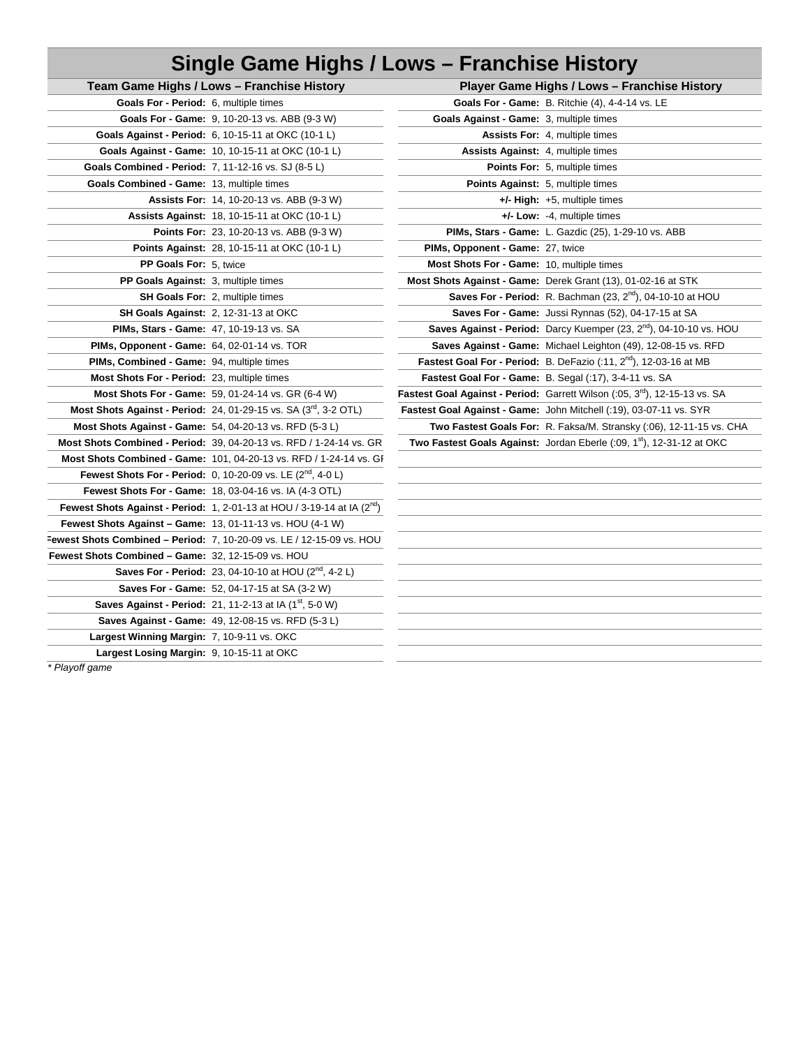# **Single Game Highs / Lows – Franchise History**

| Team Game Highs / Lows - Franchise History                                  |                                                                             | Player Game Highs / Lows - Franchis                                   |
|-----------------------------------------------------------------------------|-----------------------------------------------------------------------------|-----------------------------------------------------------------------|
| <b>Goals For - Period:</b> 6, multiple times                                |                                                                             | Goals For - Game: B. Ritchie (4), 4-4-14 vs. LE                       |
| Goals For - Game: 9, 10-20-13 vs. ABB (9-3 W)                               | Goals Against - Game: 3, multiple times                                     |                                                                       |
| <b>Goals Against - Period:</b> 6, 10-15-11 at OKC (10-1 L)                  |                                                                             | <b>Assists For:</b> 4, multiple times                                 |
| Goals Against - Game: 10, 10-15-11 at OKC (10-1 L)                          | <b>Assists Against: 4, multiple times</b>                                   |                                                                       |
| Goals Combined - Period: 7, 11-12-16 vs. SJ (8-5 L)                         |                                                                             | <b>Points For:</b> 5, multiple times                                  |
| Goals Combined - Game: 13, multiple times                                   |                                                                             | <b>Points Against:</b> 5, multiple times                              |
| <b>Assists For: 14, 10-20-13 vs. ABB (9-3 W)</b>                            |                                                                             | $+/-$ High: $+5$ , multiple times                                     |
| <b>Assists Against: 18, 10-15-11 at OKC (10-1 L)</b>                        |                                                                             | $+/-$ Low: $-4$ , multiple times                                      |
| <b>Points For: 23, 10-20-13 vs. ABB (9-3 W)</b>                             |                                                                             | <b>PIMs, Stars - Game: L. Gazdic (25), 1-29-10 vs. A</b>              |
| Points Against: 28, 10-15-11 at OKC (10-1 L)                                | PIMs, Opponent - Game: 27, twice                                            |                                                                       |
| PP Goals For: 5, twice                                                      | Most Shots For - Game: 10, multiple times                                   |                                                                       |
| <b>PP Goals Against:</b> 3, multiple times                                  | Most Shots Against - Game: Derek Grant (13), 01-02-16 a                     |                                                                       |
| SH Goals For: 2, multiple times                                             |                                                                             | <b>Saves For - Period:</b> R. Bachman $(23, 2nd)$ , 04-10             |
| <b>SH Goals Against: 2, 12-31-13 at OKC</b>                                 |                                                                             | Saves For - Game: Jussi Rynnas (52), 04-17-15                         |
| <b>PIMs, Stars - Game: 47, 10-19-13 vs. SA</b>                              |                                                                             | Saves Against - Period: Darcy Kuemper (23, 2 <sup>nd</sup> ), 04      |
| <b>PIMs, Opponent - Game: 64, 02-01-14 vs. TOR</b>                          |                                                                             | <b>Saves Against - Game:</b> Michael Leighton (49), 12-08             |
| PIMs, Combined - Game: 94, multiple times                                   |                                                                             | Fastest Goal For - Period: B. DeFazio (:11, 2 <sup>nd</sup> ), 12-03- |
| Most Shots For - Period: 23, multiple times                                 |                                                                             | Fastest Goal For - Game: B. Segal (:17), 3-4-11 vs. SA                |
| <b>Most Shots For - Game:</b> 59, 01-24-14 vs. GR $(6-4 W)$                 | Fastest Goal Against - Period: Garrett Wilson (:05, 3 <sup>rd</sup> ), 12-1 |                                                                       |
| Most Shots Against - Period: 24, 01-29-15 vs. SA (3rd, 3-2 OTL)             | Fastest Goal Against - Game: John Mitchell (:19), 03-07-11                  |                                                                       |
| Most Shots Against - Game: 54, 04-20-13 vs. RFD (5-3 L)                     |                                                                             | Two Fastest Goals For: R. Faksa/M. Stransky (:06),                    |
| <b>Most Shots Combined - Period: 39, 04-20-13 vs. RFD / 1-24-14 vs. GR</b>  | Two Fastest Goals Against: Jordan Eberle (:09, 1 <sup>st</sup> ), 12-3      |                                                                       |
| Most Shots Combined - Game: 101, 04-20-13 vs. RFD / 1-24-14 vs. GI          |                                                                             |                                                                       |
| <b>Fewest Shots For - Period:</b> 0, 10-20-09 vs. LE $(2^{nd}, 4-0)$        |                                                                             |                                                                       |
| <b>Fewest Shots For - Game: 18, 03-04-16 vs. IA (4-3 OTL)</b>               |                                                                             |                                                                       |
| Fewest Shots Against - Period: 1, 2-01-13 at HOU / 3-19-14 at IA $(2^{nd})$ |                                                                             |                                                                       |
| <b>Fewest Shots Against – Game: 13, 01-11-13 vs. HOU (4-1 W)</b>            |                                                                             |                                                                       |
| Fewest Shots Combined - Period: 7, 10-20-09 vs. LE / 12-15-09 vs. HOU       |                                                                             |                                                                       |
| Fewest Shots Combined - Game: 32, 12-15-09 vs. HOU                          |                                                                             |                                                                       |
| <b>Saves For - Period:</b> 23, 04-10-10 at HOU $(2^{nd}, 4-2)$              |                                                                             |                                                                       |
| Saves For - Game: 52, 04-17-15 at SA (3-2 W)                                |                                                                             |                                                                       |
| Saves Against - Period: 21, 11-2-13 at IA (1 <sup>st</sup> , 5-0 W)         |                                                                             |                                                                       |
| Saves Against - Game: 49, 12-08-15 vs. RFD (5-3 L)                          |                                                                             |                                                                       |
| Largest Winning Margin: 7, 10-9-11 vs. OKC                                  |                                                                             |                                                                       |
| Largest Losing Margin: 9, 10-15-11 at OKC                                   |                                                                             |                                                                       |

|                                                                  | Team Game Highs / Lows - Franchise History                                         |                                           | Player Game Highs / Lows - Franchise History                                           |
|------------------------------------------------------------------|------------------------------------------------------------------------------------|-------------------------------------------|----------------------------------------------------------------------------------------|
| Goals For - Period: 6, multiple times                            |                                                                                    |                                           | Goals For - Game: B. Ritchie (4), 4-4-14 vs. LE                                        |
|                                                                  | <b>Goals For - Game: 9, 10-20-13 vs. ABB (9-3 W)</b>                               | Goals Against - Game: 3, multiple times   |                                                                                        |
|                                                                  | <b>Goals Against - Period: 6, 10-15-11 at OKC (10-1 L)</b>                         |                                           | Assists For: 4, multiple times                                                         |
|                                                                  | Goals Against - Game: 10, 10-15-11 at OKC (10-1 L)                                 | <b>Assists Against: 4, multiple times</b> |                                                                                        |
| Goals Combined - Period: 7, 11-12-16 vs. SJ (8-5 L)              |                                                                                    |                                           | Points For: 5, multiple times                                                          |
| Goals Combined - Game: 13, multiple times                        |                                                                                    | Points Against: 5, multiple times         |                                                                                        |
|                                                                  | Assists For: 14, 10-20-13 vs. ABB (9-3 W)                                          |                                           | +/- High: +5, multiple times                                                           |
|                                                                  | Assists Against: 18, 10-15-11 at OKC (10-1 L)                                      |                                           | +/- Low: -4, multiple times                                                            |
|                                                                  | <b>Points For: 23, 10-20-13 vs. ABB (9-3 W)</b>                                    |                                           | PIMs, Stars - Game: L. Gazdic (25), 1-29-10 vs. ABB                                    |
|                                                                  | Points Against: 28, 10-15-11 at OKC (10-1 L)                                       | PIMs, Opponent - Game: 27, twice          |                                                                                        |
| PP Goals For: 5, twice                                           |                                                                                    | Most Shots For - Game: 10, multiple times |                                                                                        |
| PP Goals Against: 3, multiple times                              |                                                                                    |                                           | Most Shots Against - Game: Derek Grant (13), 01-02-16 at STK                           |
|                                                                  | SH Goals For: 2, multiple times                                                    |                                           | <b>Saves For - Period:</b> R. Bachman $(23, 2nd)$ , 04-10-10 at HOU                    |
|                                                                  | SH Goals Against: 2, 12-31-13 at OKC                                               |                                           | Saves For - Game: Jussi Rynnas (52), 04-17-15 at SA                                    |
| PIMs, Stars - Game: 47, 10-19-13 vs. SA                          |                                                                                    |                                           | Saves Against - Period: Darcy Kuemper (23, $2^{nd}$ ), 04-10-10 vs. HOU                |
| PIMs, Opponent - Game: 64, 02-01-14 vs. TOR                      |                                                                                    |                                           | Saves Against - Game: Michael Leighton (49), 12-08-15 vs. RFD                          |
| PIMs, Combined - Game: 94, multiple times                        |                                                                                    |                                           | <b>Fastest Goal For - Period:</b> B. DeFazio (:11, $2^{nd}$ ), 12-03-16 at MB          |
| Most Shots For - Period: 23, multiple times                      |                                                                                    |                                           | Fastest Goal For - Game: B. Segal (:17), 3-4-11 vs. SA                                 |
|                                                                  | Most Shots For - Game: 59, 01-24-14 vs. GR (6-4 W)                                 |                                           | Fastest Goal Against - Period: Garrett Wilson (:05, 3 <sup>rd</sup> ), 12-15-13 vs. SA |
|                                                                  | Most Shots Against - Period: 24, 01-29-15 vs. SA (3 <sup>rd</sup> , 3-2 OTL)       |                                           | Fastest Goal Against - Game: John Mitchell (:19), 03-07-11 vs. SYR                     |
| Most Shots Against - Game: 54, 04-20-13 vs. RFD (5-3 L)          |                                                                                    |                                           | Two Fastest Goals For: R. Faksa/M. Stransky (:06), 12-11-15 vs. CHA                    |
|                                                                  | Most Shots Combined - Period: 39, 04-20-13 vs. RFD / 1-24-14 vs. GR                |                                           | Two Fastest Goals Against: Jordan Eberle (:09, 1 <sup>st</sup> ), 12-31-12 at OKC      |
|                                                                  | Most Shots Combined - Game: 101, 04-20-13 vs. RFD / 1-24-14 vs. GF                 |                                           |                                                                                        |
|                                                                  | Fewest Shots For - Period: 0, 10-20-09 vs. LE (2 <sup>nd</sup> , 4-0 L)            |                                           |                                                                                        |
|                                                                  | Fewest Shots For - Game: 18, 03-04-16 vs. IA (4-3 OTL)                             |                                           |                                                                                        |
|                                                                  | Fewest Shots Against - Period: 1, 2-01-13 at HOU / 3-19-14 at IA $(2^{nd})$        |                                           |                                                                                        |
| <b>Fewest Shots Against - Game: 13, 01-11-13 vs. HOU (4-1 W)</b> |                                                                                    |                                           |                                                                                        |
|                                                                  | west Shots Combined - Period: 7, 10-20-09 vs. LE / 12-15-09 vs. HOU                |                                           |                                                                                        |
| west Shots Combined - Game: 32, 12-15-09 vs. HOU                 |                                                                                    |                                           |                                                                                        |
|                                                                  | <b>Saves For - Period:</b> 23, 04-10-10 at HOU $(2^{nd}, 4-2L)$                    |                                           |                                                                                        |
|                                                                  | Saves For - Game: 52, 04-17-15 at SA (3-2 W)                                       |                                           |                                                                                        |
|                                                                  | <b>Saves Against - Period:</b> 21, 11-2-13 at IA $(1^{st}, 5{\text -}0 \text{ W})$ |                                           |                                                                                        |
|                                                                  | <b>Saves Against - Game:</b> 49 12-08-15 vs RFD $(5-31)$                           |                                           |                                                                                        |

*\* Playoff game*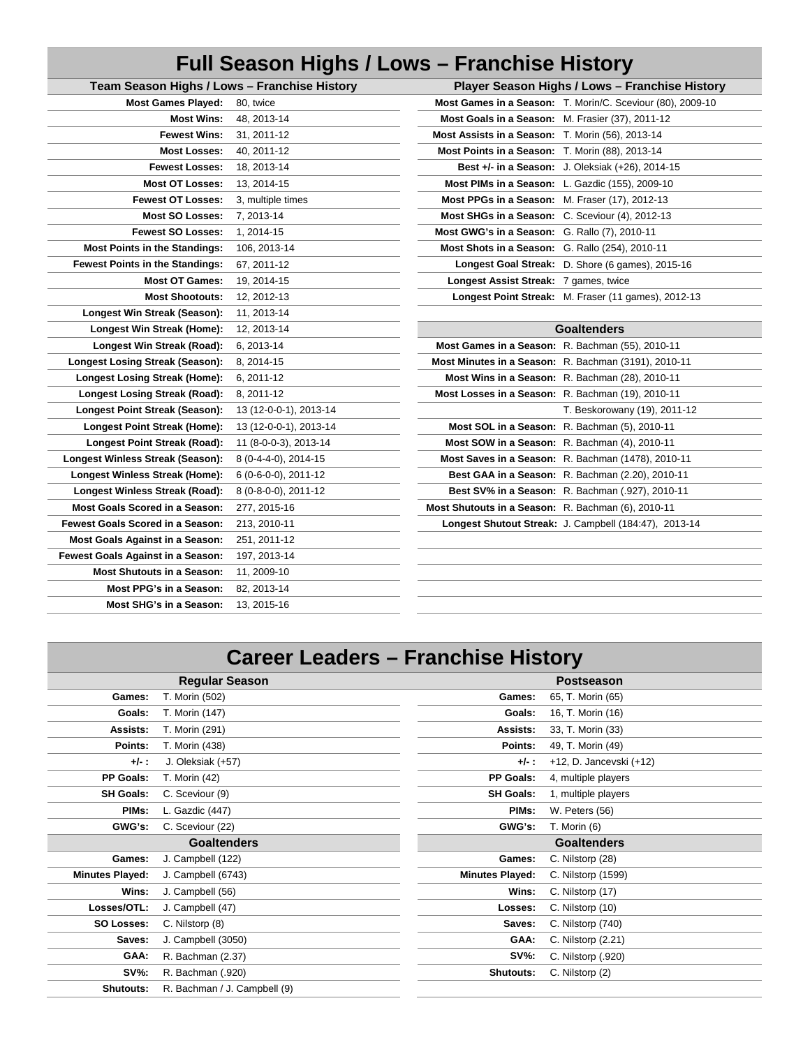### **Full Season Highs / Lows – Franchise History Team Season Highs / Lows – Franchise History Player Season Highs / Lows – Franchise History**

| Team Season Highs / Lows - Franchise History |                        | Player Season Highs / Lows - Franchise His         |                                                         |  |  |
|----------------------------------------------|------------------------|----------------------------------------------------|---------------------------------------------------------|--|--|
| <b>Most Games Played:</b>                    | 80, twice              |                                                    | Most Games in a Season: T. Morin/C. Sceviour (80), 2009 |  |  |
| <b>Most Wins:</b>                            | 48, 2013-14            | Most Goals in a Season: M. Frasier (37), 2011-12   |                                                         |  |  |
| <b>Fewest Wins:</b>                          | 31, 2011-12            | Most Assists in a Season: T. Morin (56), 2013-14   |                                                         |  |  |
| <b>Most Losses:</b>                          | 40, 2011-12            | Most Points in a Season: T. Morin (88), 2013-14    |                                                         |  |  |
| <b>Fewest Losses:</b>                        | 18, 2013-14            |                                                    | Best +/- in a Season: J. Oleksiak (+26), 2014-15        |  |  |
| <b>Most OT Losses:</b>                       | 13, 2014-15            |                                                    | Most PIMs in a Season: L. Gazdic (155), 2009-10         |  |  |
| <b>Fewest OT Losses:</b>                     | 3, multiple times      | Most PPGs in a Season: M. Fraser (17), 2012-13     |                                                         |  |  |
| <b>Most SO Losses:</b>                       | 7, 2013-14             | Most SHGs in a Season: C. Sceviour (4), 2012-13    |                                                         |  |  |
| <b>Fewest SO Losses:</b>                     | 1, 2014-15             | Most GWG's in a Season: G. Rallo (7), 2010-11      |                                                         |  |  |
| <b>Most Points in the Standings:</b>         | 106, 2013-14           | Most Shots in a Season: G. Rallo (254), 2010-11    |                                                         |  |  |
| <b>Fewest Points in the Standings:</b>       | 67, 2011-12            |                                                    | Longest Goal Streak: D. Shore (6 games), 2015-16        |  |  |
| <b>Most OT Games:</b>                        | 19, 2014-15            | Longest Assist Streak: 7 games, twice              |                                                         |  |  |
| <b>Most Shootouts:</b>                       | 12, 2012-13            |                                                    | Longest Point Streak: M. Fraser (11 games), 2012-13     |  |  |
| Longest Win Streak (Season):                 | 11, 2013-14            |                                                    |                                                         |  |  |
| Longest Win Streak (Home):                   | 12, 2013-14            |                                                    | <b>Goaltenders</b>                                      |  |  |
| Longest Win Streak (Road):                   | 6, 2013-14             |                                                    | Most Games in a Season: R. Bachman (55), 2010-11        |  |  |
| <b>Longest Losing Streak (Season):</b>       | 8, 2014-15             |                                                    | Most Minutes in a Season: R. Bachman (3191), 2010-11    |  |  |
| <b>Longest Losing Streak (Home):</b>         | 6, 2011-12             |                                                    | Most Wins in a Season: R. Bachman (28), 2010-11         |  |  |
| <b>Longest Losing Streak (Road):</b>         | 8, 2011-12             | Most Losses in a Season: R. Bachman (19), 2010-11  |                                                         |  |  |
| Longest Point Streak (Season):               | 13 (12-0-0-1), 2013-14 |                                                    | T. Beskorowany (19), 2011-12                            |  |  |
| <b>Longest Point Streak (Home):</b>          | 13 (12-0-0-1), 2013-14 |                                                    | Most SOL in a Season: R. Bachman (5), 2010-11           |  |  |
| <b>Longest Point Streak (Road):</b>          | 11 (8-0-0-3), 2013-14  |                                                    | Most SOW in a Season: R. Bachman (4), 2010-11           |  |  |
| <b>Longest Winless Streak (Season):</b>      | 8 (0-4-4-0), 2014-15   |                                                    | Most Saves in a Season: R. Bachman (1478), 2010-11      |  |  |
| Longest Winless Streak (Home):               | 6 (0-6-0-0), 2011-12   |                                                    | Best GAA in a Season: R. Bachman (2.20), 2010-11        |  |  |
| Longest Winless Streak (Road):               | 8 (0-8-0-0), 2011-12   |                                                    | Best SV% in a Season: R. Bachman (.927), 2010-11        |  |  |
| <b>Most Goals Scored in a Season:</b>        | 277, 2015-16           | Most Shutouts in a Season: R. Bachman (6), 2010-11 |                                                         |  |  |
| <b>Fewest Goals Scored in a Season:</b>      | 213, 2010-11           |                                                    | Longest Shutout Streak: J. Campbell (184:47), 2013-14   |  |  |
| Most Goals Against in a Season:              | 251, 2011-12           |                                                    |                                                         |  |  |
| Fewest Goals Against in a Season:            | 197, 2013-14           |                                                    |                                                         |  |  |
| <b>Most Shutouts in a Season:</b>            | 11, 2009-10            |                                                    |                                                         |  |  |
| <b>Most PPG's in a Season:</b>               | 82, 2013-14            |                                                    |                                                         |  |  |
| Most SHG's in a Season:                      | 13, 2015-16            |                                                    |                                                         |  |  |
|                                              |                        |                                                    |                                                         |  |  |

| <b>Most Games Played:</b>   | 80, twice              |                                                    | Most Games in a Season: T. Morin/C. Sceviour (80), 2009-10 |
|-----------------------------|------------------------|----------------------------------------------------|------------------------------------------------------------|
| <b>Most Wins:</b>           | 48, 2013-14            | Most Goals in a Season: M. Frasier (37), 2011-12   |                                                            |
| <b>Fewest Wins:</b>         | 31, 2011-12            | Most Assists in a Season: T. Morin (56), 2013-14   |                                                            |
| <b>Most Losses:</b>         | 40, 2011-12            | Most Points in a Season: T. Morin (88), 2013-14    |                                                            |
| <b>Fewest Losses:</b>       | 18.2013-14             |                                                    | Best +/- in a Season: J. Oleksiak (+26), 2014-15           |
| <b>Most OT Losses:</b>      | 13.2014-15             | Most PIMs in a Season: L. Gazdic (155), 2009-10    |                                                            |
| <b>Fewest OT Losses:</b>    | 3, multiple times      | Most PPGs in a Season: M. Fraser (17), 2012-13     |                                                            |
| <b>Most SO Losses:</b>      | 7, 2013-14             | Most SHGs in a Season: C. Sceviour (4), 2012-13    |                                                            |
| <b>Fewest SO Losses:</b>    | 1, 2014-15             | Most GWG's in a Season: G. Rallo (7), 2010-11      |                                                            |
| nts in the Standings:       | 106, 2013-14           | Most Shots in a Season: G. Rallo (254), 2010-11    |                                                            |
| nts in the Standings:       | 67, 2011-12            |                                                    | Longest Goal Streak: D. Shore (6 games), 2015-16           |
| <b>Most OT Games:</b>       | 19, 2014-15            | Longest Assist Streak: 7 games, twice              |                                                            |
| <b>Most Shootouts:</b>      | 12, 2012-13            |                                                    | Longest Point Streak: M. Fraser (11 games), 2012-13        |
| <b>Nin Streak (Season):</b> | 11, 2013-14            |                                                    |                                                            |
|                             |                        |                                                    |                                                            |
| t Win Streak (Home):        | 12, 2013-14            |                                                    | <b>Goaltenders</b>                                         |
| st Win Streak (Road):       | 6, 2013-14             | Most Games in a Season: R. Bachman (55), 2010-11   |                                                            |
| ing Streak (Season):        | 8, 2014-15             |                                                    | Most Minutes in a Season: R. Bachman (3191), 2010-11       |
| <b>osing Streak (Home):</b> | 6, 2011-12             |                                                    | Most Wins in a Season: R. Bachman (28), 2010-11            |
| osing Streak (Road):        | 8, 2011-12             | Most Losses in a Season: R. Bachman (19), 2010-11  |                                                            |
| oint Streak (Season):       | 13 (12-0-0-1), 2013-14 |                                                    | T. Beskorowany (19), 2011-12                               |
| Point Streak (Home):        | 13 (12-0-0-1), 2013-14 |                                                    | Most SOL in a Season: R. Bachman (5), 2010-11              |
| <b>Point Streak (Road):</b> | 11 (8-0-0-3), 2013-14  | Most SOW in a Season: R. Bachman (4), 2010-11      |                                                            |
| ess Streak (Season):        | 8 (0-4-4-0), 2014-15   |                                                    | Most Saves in a Season: R. Bachman (1478), 2010-11         |
| nless Streak (Home):        | 6 (0-6-0-0), 2011-12   |                                                    | Best GAA in a Season: R. Bachman (2.20), 2010-11           |
| inless Streak (Road):       | 8 (0-8-0-0), 2011-12   |                                                    | Best SV% in a Season: R. Bachman (.927), 2010-11           |
| Scored in a Season:         | 277, 2015-16           | Most Shutouts in a Season: R. Bachman (6), 2010-11 |                                                            |
| Scored in a Season:         | 213, 2010-11           |                                                    | Longest Shutout Streak: J. Campbell (184:47), 2013-14      |
| <b>Against in a Season:</b> | 251, 2011-12           |                                                    |                                                            |

## **Career Leaders – Franchise History**

|                        | <b>Regular Season</b> |                        | <b>Postseason</b>       |
|------------------------|-----------------------|------------------------|-------------------------|
| Games:                 | T. Morin (502)        | Games:                 | 65, T. Morin (65)       |
| Goals:                 | T. Morin (147)        | Goals:                 | 16, T. Morin (16)       |
| Assists:               | T. Morin (291)        | Assists:               | 33, T. Morin (33)       |
| Points:                | T. Morin (438)        | Points:                | 49, T. Morin (49)       |
| $+/-:$                 | J. Oleksiak (+57)     | $+/-:$                 | +12, D. Jancevski (+12) |
| <b>PP Goals:</b>       | T. Morin (42)         | PP Goals:              | 4, multiple players     |
| <b>SH Goals:</b>       | C. Sceviour (9)       | <b>SH Goals:</b>       | 1, multiple players     |
| PIM <sub>s</sub> :     | L. Gazdic (447)       | PIM <sub>s</sub> :     | W. Peters (56)          |
| GWG's:                 | C. Sceviour (22)      | GWG's:                 | T. Morin (6)            |
|                        | <b>Goaltenders</b>    |                        | <b>Goaltenders</b>      |
| Games:                 | J. Campbell (122)     | Games:                 | C. Nilstorp (28)        |
| <b>Minutes Played:</b> | J. Campbell (6743)    | <b>Minutes Played:</b> | C. Nilstorp (1599)      |
| Wins:                  | J. Campbell (56)      | Wins:                  | C. Nilstorp (17)        |
| Losses/OTL:            | J. Campbell (47)      | Losses:                | C. Nilstorp (10)        |
| <b>SO Losses:</b>      | C. Nilstorp (8)       | Saves:                 | C. Nilstorp (740)       |
| Saves:                 | J. Campbell (3050)    | GAA:                   | C. Nilstorp (2.21)      |
| GAA:                   | R. Bachman (2.37)     | <b>SV%:</b>            | C. Nilstorp (.920)      |
| <b>SV%:</b>            |                       |                        |                         |
|                        | R. Bachman (.920)     | Shutouts:              | C. Nilstorp (2)         |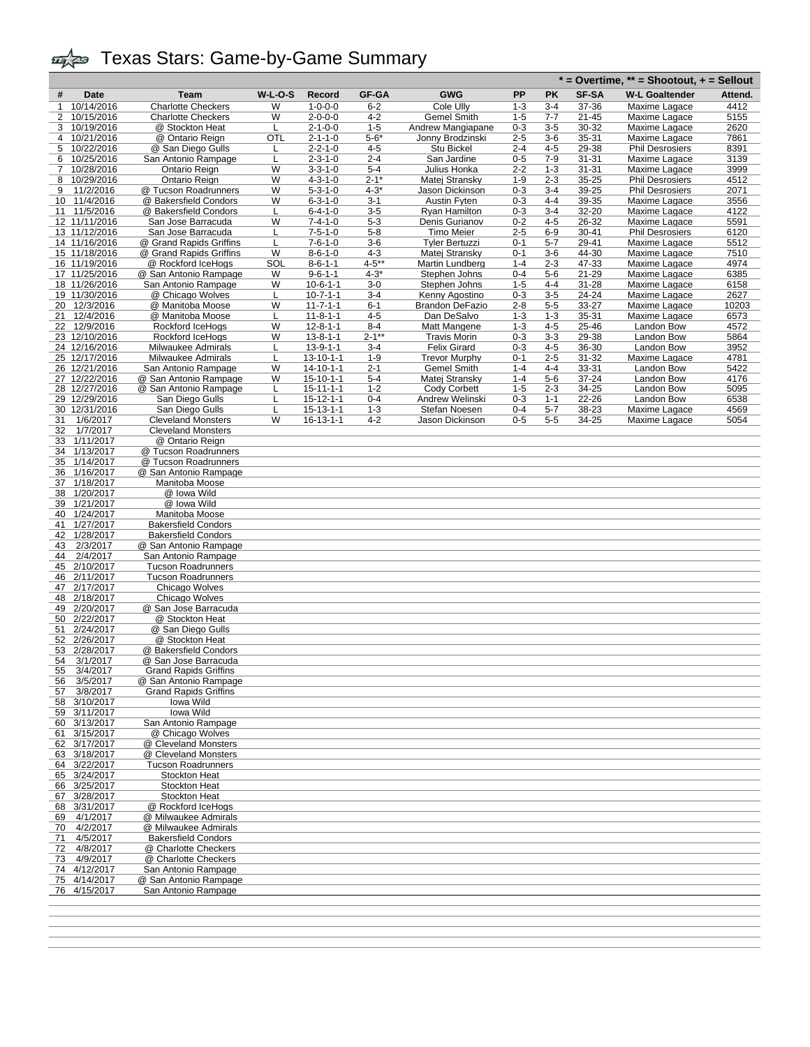|                                    |                                                          |           |                                        |                    |                                     |                    |                    |                        | $*$ = Overtime, $**$ = Shootout, $*$ = Sellout |              |
|------------------------------------|----------------------------------------------------------|-----------|----------------------------------------|--------------------|-------------------------------------|--------------------|--------------------|------------------------|------------------------------------------------|--------------|
| #<br>Date                          | Team                                                     | $W-L-O-S$ | Record                                 | <b>GF-GA</b>       | GWG                                 | PP                 | PΚ                 | <b>SF-SA</b>           | <b>W-L Goaltender</b>                          | Attend.      |
| 10/14/2016<br>1                    | <b>Charlotte Checkers</b>                                | W         | $1 - 0 - 0 - 0$                        | $6 - 2$            | Cole Ully                           | $1 - 3$            | $3 - 4$            | 37-36                  | Maxime Lagace                                  | 4412         |
| $\overline{2}$<br>10/15/2016       | <b>Charlotte Checkers</b>                                | W         | $2 - 0 - 0 - 0$                        | $4 - 2$            | Gemel Smith                         | $1 - 5$            | $7 - 7$            | 21-45                  | Maxime Lagace                                  | 5155         |
| 10/19/2016<br>3                    | @ Stockton Heat                                          |           | $2 - 1 - 0 - 0$                        | $1 - 5$            | Andrew Mangiapane                   | $0 - 3$            | 3-5                | 30-32                  | Maxime Lagace                                  | 2620         |
| 10/21/2016<br>4                    | @ Ontario Reign                                          | OTL       | $2 - 1 - 1 - 0$                        | $5 - 6*$           | Jonny Brodzinski                    | $2 - 5$            | 3-6                | 35-31                  | Maxime Lagace                                  | 7861         |
| 5<br>10/22/2016                    | @ San Diego Gulls                                        |           | $2 - 2 - 1 - 0$                        | $4 - 5$            | Stu Bickel                          | $2 - 4$            | $4 - 5$            | 29-38                  | <b>Phil Desrosiers</b><br>Maxime Lagace        | 8391         |
| 10/25/2016<br>6<br>10/28/2016<br>7 | San Antonio Rampage<br>Ontario Reign                     | L<br>W    | $2 - 3 - 1 - 0$<br>$3 - 3 - 1 - 0$     | $2 - 4$<br>$5 - 4$ | San Jardine<br>Julius Honka         | $0 - 5$<br>$2 - 2$ | $7-9$<br>$1 - 3$   | $31 - 31$<br>$31 - 31$ | Maxime Lagace                                  | 3139<br>3999 |
| 8<br>10/29/2016                    | Ontario Reign                                            | W         | 4-3-1-0                                | $2 - 1*$           | Matej Stransky                      | $1 - 9$            | $2 - 3$            | 35-25                  | <b>Phil Desrosiers</b>                         | 4512         |
| 11/2/2016<br>9                     | @ Tucson Roadrunners                                     | W         | $5 - 3 - 1 - 0$                        | $4 - 3*$           | Jason Dickinson                     | $0 - 3$            | $3 - 4$            | 39-25                  | <b>Phil Desrosiers</b>                         | 2071         |
| 11/4/2016<br>10                    | @ Bakersfield Condors                                    | W         | $6 - 3 - 1 - 0$                        | $3 - 1$            | <b>Austin Fyten</b>                 | $0 - 3$            | $4 - 4$            | 39-35                  | Maxime Lagace                                  | 3556         |
| 11/5/2016<br>11                    | @ Bakersfield Condors                                    |           | $6 - 4 - 1 - 0$                        | $3 - 5$            | Ryan Hamilton                       | $0 - 3$            | $3 - 4$            | 32-20                  | Maxime Lagace                                  | 4122         |
| $\overline{12}$ 11/11/2016         | San Jose Barracuda                                       | W         | $7 - 4 - 1 - 0$                        | 5-3                | Denis Gurianov                      | $0 - 2$            | $4 - 5$            | 26-32                  | Maxime Lagace                                  | 5591         |
| 13 11/12/2016<br>14 11/16/2016     | San Jose Barracuda<br>@ Grand Rapids Griffins            | L         | $7 - 5 - 1 - 0$<br>$7 - 6 - 1 - 0$     | $5 - 8$<br>$3-6$   | Timo Meier<br><b>Tyler Bertuzzi</b> | $2 - 5$<br>$0 - 1$ | $6-9$<br>$5 - 7$   | $30 - 41$<br>29-41     | <b>Phil Desrosiers</b><br>Maxime Lagace        | 6120<br>5512 |
| 15 11/18/2016                      | @ Grand Rapids Griffins                                  | W         | $8 - 6 - 1 - 0$                        | $4 - 3$            | Matej Stransky                      | $0 - 1$            | $3-6$              | 44-30                  | Maxime Lagace                                  | 7510         |
| 16 11/19/2016                      | @ Rockford IceHogs                                       | SOL       | $8 - 6 - 1 - 1$                        | $4 - 5**$          | Martin Lundberg                     | $1 - 4$            | $2 - 3$            | 47-33                  | Maxime Lagace                                  | 4974         |
| 17 11/25/2016                      | @ San Antonio Rampage                                    | W         | $9 - 6 - 1 - 1$                        | $4 - 3*$           | Stephen Johns                       | $0 - 4$            | $5-6$              | 21-29                  | Maxime Lagace                                  | 6385         |
| 18 11/26/2016                      | San Antonio Rampage                                      | W         | $10-6-1-1$                             | $3-0$              | Stephen Johns                       | $1 - 5$            | 4-4                | 31-28                  | Maxime Lagace                                  | 6158         |
| 19 11/30/2016                      | @ Chicago Wolves                                         |           | $10 - 7 - 1 - 1$                       | $3 - 4$            | Kenny Agostino                      | $0 - 3$            | 3-5                | 24-24                  | Maxime Lagace                                  | 2627         |
| 12/3/2016<br>20                    | @ Manitoba Moose                                         | W         | $11 - 7 - 1 - 1$                       | $6 - 1$            | Brandon DeFazio                     | $2 - 8$            | $5 - 5$            | 33-27                  | Maxime Lagace                                  | 10203        |
| 12/4/2016<br>21<br>12/9/2016<br>22 | @ Manitoba Moose<br>Rockford IceHogs                     | W         | $11 - 8 - 1 - 1$<br>$12 - 8 - 1 - 1$   | $4 - 5$<br>$8 - 4$ | Dan DeSalvo<br>Matt Mangene         | $1 - 3$<br>$1 - 3$ | $1 - 3$<br>$4 - 5$ | 35-31<br>25-46         | Maxime Lagace<br>Landon Bow                    | 6573<br>4572 |
| 23 12/10/2016                      | Rockford IceHogs                                         | W         | $13 - 8 - 1 - 1$                       | $2 - 1**$          | <b>Travis Morin</b>                 | $0 - 3$            | $3 - 3$            | 29-38                  | Landon Bow                                     | 5864         |
| 24 12/16/2016                      | Milwaukee Admirals                                       |           | $13 - 9 - 1 - 1$                       | $3 - 4$            | <b>Felix Girard</b>                 | $0 - 3$            | $4 - 5$            | 36-30                  | Landon Bow                                     | 3952         |
| 25 12/17/2016                      | Milwaukee Admirals                                       | L         | $13 - 10 - 1 - 1$                      | $1 - 9$            | <b>Trevor Murphy</b>                | $0 - 1$            | $2 - 5$            | 31-32                  | Maxime Lagace                                  | 4781         |
| 26 12/21/2016                      | San Antonio Rampage                                      | W         | $14 - 10 - 1 - 1$                      | $2 - 1$            | Gemel Smith                         | $1 - 4$            | 4-4                | 33-31                  | Landon Bow                                     | 5422         |
| 27 12/22/2016                      | @ San Antonio Rampage                                    | W         | $15 - 10 - 1 - 1$                      | $5 - 4$            | Matej Stransky                      | $1 - 4$            | $5-6$              | 37-24                  | Landon Bow                                     | 4176         |
| 28 12/27/2016                      | @ San Antonio Rampage<br>San Diego Gulls                 |           | $15 - 11 - 1 - 1$                      | $1 - 2$<br>$0 - 4$ | Cody Corbett<br>Andrew Welinski     | $1 - 5$            | $2 - 3$<br>$1 - 1$ | 34-25<br>22-26         | Landon Bow<br>Landon Bow                       | 5095         |
| 29 12/29/2016<br>30 12/31/2016     | San Diego Gulls                                          |           | $15 - 12 - 1 - 1$<br>$15 - 13 - 1 - 1$ | $1 - 3$            | Stefan Noesen                       | $0 - 3$<br>$0 - 4$ | $5 - 7$            | 38-23                  | Maxime Lagace                                  | 6538<br>4569 |
| 1/6/2017<br>31                     | <b>Cleveland Monsters</b>                                | W         | $16 - 13 - 1 - 1$                      | $4 - 2$            | Jason Dickinson                     | $0 - 5$            | 5-5                | 34-25                  | Maxime Lagace                                  | 5054         |
| 1/7/2017<br>32                     | <b>Cleveland Monsters</b>                                |           |                                        |                    |                                     |                    |                    |                        |                                                |              |
| 1/11/2017<br>33                    | @ Ontario Reign                                          |           |                                        |                    |                                     |                    |                    |                        |                                                |              |
| 34 1/13/2017                       | @ Tucson Roadrunners                                     |           |                                        |                    |                                     |                    |                    |                        |                                                |              |
| 1/14/2017<br>35<br>36<br>1/16/2017 | @ Tucson Roadrunners<br>@ San Antonio Rampage            |           |                                        |                    |                                     |                    |                    |                        |                                                |              |
| 1/18/2017<br>37                    | Manitoba Moose                                           |           |                                        |                    |                                     |                    |                    |                        |                                                |              |
| 1/20/2017<br>38                    | @ Iowa Wild                                              |           |                                        |                    |                                     |                    |                    |                        |                                                |              |
| 1/21/2017<br>39                    | @ Iowa Wild                                              |           |                                        |                    |                                     |                    |                    |                        |                                                |              |
| 1/24/2017<br>40                    | Manitoba Moose                                           |           |                                        |                    |                                     |                    |                    |                        |                                                |              |
| 1/27/2017<br>41<br>1/28/2017<br>42 | <b>Bakersfield Condors</b><br><b>Bakersfield Condors</b> |           |                                        |                    |                                     |                    |                    |                        |                                                |              |
| 2/3/2017<br>43                     | @ San Antonio Rampage                                    |           |                                        |                    |                                     |                    |                    |                        |                                                |              |
| 2/4/2017<br>44                     | San Antonio Rampage                                      |           |                                        |                    |                                     |                    |                    |                        |                                                |              |
| 2/10/2017<br>45                    | <b>Tucson Roadrunners</b>                                |           |                                        |                    |                                     |                    |                    |                        |                                                |              |
| 46<br>2/11/2017                    | <b>Tucson Roadrunners</b>                                |           |                                        |                    |                                     |                    |                    |                        |                                                |              |
| 2/17/2017<br>47<br>2/18/2017<br>48 | Chicago Wolves<br>Chicago Wolves                         |           |                                        |                    |                                     |                    |                    |                        |                                                |              |
| 49<br>2/20/2017                    | @ San Jose Barracuda                                     |           |                                        |                    |                                     |                    |                    |                        |                                                |              |
| 2/22/2017<br>50                    | @ Stockton Heat                                          |           |                                        |                    |                                     |                    |                    |                        |                                                |              |
| 2/24/2017<br>51                    | @ San Diego Gulls                                        |           |                                        |                    |                                     |                    |                    |                        |                                                |              |
| 2/26/2017<br>52<br>2/28/2017       | @ Stockton Heat                                          |           |                                        |                    |                                     |                    |                    |                        |                                                |              |
| 53<br>3/1/2017<br>54               | @ Bakersfield Condors<br>@ San Jose Barracuda            |           |                                        |                    |                                     |                    |                    |                        |                                                |              |
| <u>55</u><br>3/4/201/              | Grand Rapids Griffins                                    |           |                                        |                    |                                     |                    |                    |                        |                                                |              |
| 56<br>3/5/2017                     | @ San Antonio Rampage                                    |           |                                        |                    |                                     |                    |                    |                        |                                                |              |
| 3/8/2017<br>57                     | <b>Grand Rapids Griffins</b>                             |           |                                        |                    |                                     |                    |                    |                        |                                                |              |
| 58 3/10/2017<br>59 3/11/2017       | Iowa Wild<br>Iowa Wild                                   |           |                                        |                    |                                     |                    |                    |                        |                                                |              |
| 60 3/13/2017                       | San Antonio Rampage                                      |           |                                        |                    |                                     |                    |                    |                        |                                                |              |
| 3/15/2017<br>61                    | @ Chicago Wolves                                         |           |                                        |                    |                                     |                    |                    |                        |                                                |              |
| 62 3/17/2017                       | @ Cleveland Monsters                                     |           |                                        |                    |                                     |                    |                    |                        |                                                |              |
| 63 3/18/2017                       | @ Cleveland Monsters                                     |           |                                        |                    |                                     |                    |                    |                        |                                                |              |
| 64 3/22/2017<br>65 3/24/2017       | <b>Tucson Roadrunners</b><br>Stockton Heat               |           |                                        |                    |                                     |                    |                    |                        |                                                |              |
| 66 3/25/2017                       | Stockton Heat                                            |           |                                        |                    |                                     |                    |                    |                        |                                                |              |
| 3/28/2017<br>67                    | Stockton Heat                                            |           |                                        |                    |                                     |                    |                    |                        |                                                |              |
| 68 3/31/2017                       | @ Rockford IceHogs                                       |           |                                        |                    |                                     |                    |                    |                        |                                                |              |
| 4/1/2017<br>69                     | @ Milwaukee Admirals                                     |           |                                        |                    |                                     |                    |                    |                        |                                                |              |
| 4/2/2017<br>70<br>4/5/2017<br>71   | @ Milwaukee Admirals<br><b>Bakersfield Condors</b>       |           |                                        |                    |                                     |                    |                    |                        |                                                |              |
| 4/8/2017<br>72                     | @ Charlotte Checkers                                     |           |                                        |                    |                                     |                    |                    |                        |                                                |              |
| 4/9/2017<br>73                     | @ Charlotte Checkers                                     |           |                                        |                    |                                     |                    |                    |                        |                                                |              |
| 74 4/12/2017                       | San Antonio Rampage                                      |           |                                        |                    |                                     |                    |                    |                        |                                                |              |
| 75 4/14/2017                       | @ San Antonio Rampage                                    |           |                                        |                    |                                     |                    |                    |                        |                                                |              |
| 76 4/15/2017                       | San Antonio Rampage                                      |           |                                        |                    |                                     |                    |                    |                        |                                                |              |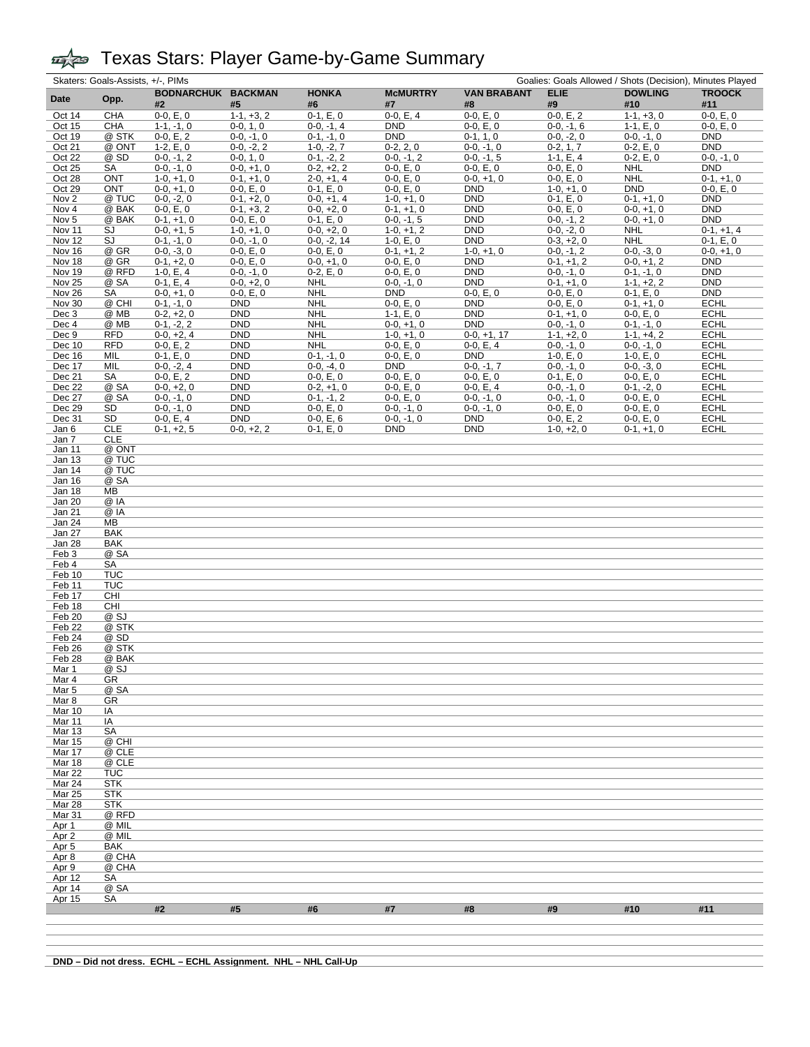| Skaters: Goals-Assists, +/-, PIMs<br>Goalies: Goals Allowed / Shots (Decision), Minutes Played |                     |                              |                             |                              |                             |                              |                            |                            |                            |
|------------------------------------------------------------------------------------------------|---------------------|------------------------------|-----------------------------|------------------------------|-----------------------------|------------------------------|----------------------------|----------------------------|----------------------------|
| Date                                                                                           | Opp.                | BODNARCHUK BACKMAN           |                             | <b>HONKA</b>                 | <b>McMURTRY</b>             | <b>VAN BRABANT</b>           | <b>ELIE</b>                | <b>DOWLING</b>             | <b>TROOCK</b>              |
|                                                                                                |                     | #2                           | #5                          | #6                           | #7                          | #8                           | #9                         | #10                        | #11                        |
| Oct 14                                                                                         | CHA                 | $0-0, E, 0$                  | $1-1, +3, 2$                | $0-1, E, 0$                  | $0-0, E, 4$                 | $0-0, E, 0$                  | $0-0, E, 2$                | $1-1, +3, 0$               | $0-0, E, 0$                |
| Oct 15                                                                                         | CHA                 | $1-1, -1, 0$                 | $0-0, 1, 0$                 | $0-0, -1, 4$                 | <b>DND</b>                  | $0-0, E, 0$                  | $0-0, -1, 6$               | $1-1, E, 0$                | $0-0, E, 0$                |
| Oct 19                                                                                         | @ STK               | $0-0, E, 2$                  | $0-0, -1, 0$                | $0-1, -1, 0$                 | <b>DND</b>                  | $0-1, 1, 0$                  | $0-0, -2, 0$               | $0-0, -1, 0$               | <b>DND</b>                 |
| Oct 21                                                                                         | @ ONT<br>@ SD       | $1-2, E, 0$                  | $0-0, -2, 2$<br>$0-0, 1, 0$ | $1-0, -2, 7$<br>$0-1, -2, 2$ | $0-2, 2, 0$                 | $0-0, -1, 0$<br>$0-0, -1, 5$ | $0-2, 1, 7$<br>$1-1, E, 4$ | $0-2, E, 0$<br>$0-2, E, 0$ | <b>DND</b><br>$0-0, -1, 0$ |
| Oct 22<br>Oct 25                                                                               | <b>SA</b>           | $0-0, -1, 2$<br>$0-0, -1, 0$ | $0-0, +1, 0$                | $0-2, +2, 2$                 | $0-0, -1, 2$<br>$0-0, E, 0$ | $0-0, E, 0$                  | $0-0, E, 0$                | <b>NHL</b>                 | DND                        |
| Oct 28                                                                                         | ONT                 | $1-0, +1, 0$                 | $0-1, +1, 0$                | $2-0, +1, 4$                 | $0-0, E, 0$                 | $0-0, +1, 0$                 | $0-0, E, 0$                | <b>NHL</b>                 | $0-1, +1, 0$               |
| Oct 29                                                                                         | <b>ONT</b>          | $0-0, +1, 0$                 | $0-0, E, 0$                 | $0-1, E, 0$                  | $0-0, E, 0$                 | <b>DND</b>                   | $1-0, +1, 0$               | <b>DND</b>                 | $0-0, E, 0$                |
| Nov <sub>2</sub>                                                                               | @ TUC               | $0-0, -2, 0$                 | $0-1, +2, 0$                | $0-0, +1, 4$                 | $1-0, +1, 0$                | <b>DND</b>                   | $0-1, E, 0$                | $0-1, +1, 0$               | <b>DND</b>                 |
| Nov 4                                                                                          | @ BAK               | $0-0, E, 0$                  | $0-1, +3, 2$                | $0-0, +2, 0$                 | $0-1, +1, 0$                | <b>DND</b>                   | $0-0, E, 0$                | $0-0, +1, 0$               | <b>DND</b>                 |
| Nov <sub>5</sub>                                                                               | @ BAK               | $0-1, +1, 0$                 | $0-0, E, 0$                 | $0-1, E, 0$                  | $0-0, -1, 5$                | <b>DND</b>                   | $0-0, -1, 2$               | $0-0, +1, 0$               | <b>DND</b>                 |
| Nov 11                                                                                         | SJ                  | $0-0, +1, 5$                 | $1-0, +1, 0$                | $0-0, +2, 0$                 | $1-0, +1, 2$                | <b>DND</b>                   | $0-0, -2, 0$               | <b>NHL</b>                 | $0-1, +1, 4$               |
| Nov 12                                                                                         | SJ                  | $0-1, -1, 0$                 | $0-0, -1, 0$                | $0-0, -2, 14$                | $1-0, E, 0$                 | <b>DND</b>                   | $0-3, +2, 0$               | <b>NHL</b>                 | $0-1, E, 0$                |
| Nov 16                                                                                         | @ GR                | $0-0, -3, 0$                 | $0-0, E, 0$                 | $0-0, E, 0$                  | $0-1, +1, 2$                | $1-0, +1, 0$                 | $0-0, -1, 2$               | $0-0, -3, 0$               | $0-0, +1, 0$               |
| Nov 18                                                                                         | @ GR                | $0-1, +2, 0$                 | $0-0, E, 0$                 | $0-0, +1, 0$                 | $0-0, E, 0$                 | <b>DND</b>                   | $0-1, +1, 2$               | $0-0, +1, 2$               | <b>DND</b>                 |
| Nov 19                                                                                         | @ RFD               | $1-0, E, 4$                  | $0-0, -1, 0$                | $0-2, E, 0$                  | $0-0, E, 0$                 | <b>DND</b>                   | $0-0, -1, 0$               | $0-1, -1, 0$               | <b>DND</b>                 |
| <b>Nov 25</b>                                                                                  | @ SA                | $0-1, E, 4$                  | $0-0, +2, 0$                | <b>NHL</b>                   | $0-0, -1, 0$                | <b>DND</b>                   | $0-1, +1, 0$               | $1-1, +2, 2$               | <b>DND</b>                 |
| <b>Nov 26</b>                                                                                  | SA                  | $0-0, +1, 0$                 | $0-0, E, 0$                 | <b>NHL</b>                   | <b>DND</b>                  | $0-0, E, 0$                  | $0-0, E, 0$                | $0-1, E, 0$                | <b>DND</b>                 |
| <b>Nov 30</b>                                                                                  | @ CHI               | $0-1, -1, 0$                 | <b>DND</b>                  | <b>NHL</b>                   | $0-0, E, 0$                 | <b>DND</b>                   | $0-0, E, 0$                | $0-1, +1, 0$               | <b>ECHL</b>                |
| Dec 3                                                                                          | @ MB                | $0-2, +2, 0$                 | <b>DND</b>                  | <b>NHL</b>                   | $1-1, E, 0$                 | <b>DND</b>                   | $0-1, +1, 0$               | $0-0, E, 0$                | <b>ECHL</b>                |
| Dec 4                                                                                          | @ MB                | $0-1, -2, 2$                 | <b>DND</b>                  | <b>NHL</b>                   | $0-0, +1, 0$                | <b>DND</b>                   | $0-0, -1, 0$               | $0-1, -1, 0$               | <b>ECHL</b>                |
| Dec 9                                                                                          | <b>RFD</b>          | $0-0, +2, 4$                 | <b>DND</b>                  | <b>NHL</b>                   | $1-0, +1, 0$                | $0-0, +1, 17$                | $1-1, +2, 0$               | $1-1, +4, 2$               | <b>ECHL</b>                |
| Dec 10                                                                                         | <b>RFD</b>          | $0-0, E, 2$                  | <b>DND</b>                  | <b>NHL</b>                   | $0-0, E, 0$                 | $0-0, E, 4$                  | $0-0, -1, 0$               | $0-0, -1, 0$               | <b>ECHL</b>                |
| Dec 16                                                                                         | MIL                 | $0-1, E, 0$                  | <b>DND</b>                  | $0-1, -1, 0$                 | $0-0, E, 0$                 | <b>DND</b>                   | $1-0, E, 0$                | $1-0, E, 0$                | <b>ECHL</b>                |
| Dec 17                                                                                         | MIL                 | $0-0, -2, 4$                 | <b>DND</b>                  | $0-0, -4, 0$                 | <b>DND</b>                  | $0-0, -1, 7$                 | $0-0, -1, 0$               | $0-0, -3, 0$               | <b>ECHL</b>                |
| Dec 21                                                                                         | SA                  | $0-0, E, 2$                  | <b>DND</b>                  | $0-0, E, 0$                  | $0-0, E, 0$                 | $0-0, E, 0$                  | $0-1, E, 0$                | $0-0, E, 0$                | <b>ECHL</b>                |
| Dec 22                                                                                         | @ SA                | $0-0, +2, 0$                 | <b>DND</b>                  | $0-2, +1, 0$                 | $0-0, E, 0$                 | $0-0, E, 4$                  | $0-0, -1, 0$               | $0-1, -2, 0$               | <b>ECHL</b>                |
| Dec 27                                                                                         | @ SA                | $0-0, -1, 0$                 | <b>DND</b>                  | $0-1, -1, 2$                 | $0-0, E, 0$                 | $0-0, -1, 0$                 | $0-0, -1, 0$               | $0-0, E, 0$                | <b>ECHL</b>                |
| Dec 29                                                                                         | SD                  | $0-0, -1, 0$                 | <b>DND</b>                  | $0-0, E, 0$                  | $0-0, -1, 0$                | $0-0, -1, 0$                 | $0-0, E, 0$                | $0-0, E, 0$                | <b>ECHL</b>                |
| Dec 31                                                                                         | SD<br><b>CLE</b>    | $0-0, E, 4$                  | <b>DND</b>                  | $0-0, E, 6$                  | $0-0, -1, 0$                | <b>DND</b>                   | $0-0, E, 2$                | $0-0, E, 0$                | <b>ECHL</b>                |
| Jan 6                                                                                          |                     | $0-1, +2, 5$                 | $0-0, +2, 2$                | $0-1, E, 0$                  | <b>DND</b>                  | <b>DND</b>                   | $1-0, +2, 0$               | $0-1, +1, 0$               | <b>ECHL</b>                |
| Jan 7                                                                                          | <b>CLE</b><br>@ ONT |                              |                             |                              |                             |                              |                            |                            |                            |
| Jan 11<br>Jan 13                                                                               | @ TUC               |                              |                             |                              |                             |                              |                            |                            |                            |
| Jan 14                                                                                         | @ TUC               |                              |                             |                              |                             |                              |                            |                            |                            |
| Jan 16                                                                                         | @ SA                |                              |                             |                              |                             |                              |                            |                            |                            |
| Jan 18                                                                                         | MВ                  |                              |                             |                              |                             |                              |                            |                            |                            |
| Jan 20                                                                                         | @ IA                |                              |                             |                              |                             |                              |                            |                            |                            |
| Jan 21                                                                                         | @ IA                |                              |                             |                              |                             |                              |                            |                            |                            |
| Jan 24                                                                                         | MВ                  |                              |                             |                              |                             |                              |                            |                            |                            |
| Jan 27                                                                                         | <b>BAK</b>          |                              |                             |                              |                             |                              |                            |                            |                            |
| Jan 28                                                                                         | <b>BAK</b>          |                              |                             |                              |                             |                              |                            |                            |                            |
| Feb 3                                                                                          | @ SA                |                              |                             |                              |                             |                              |                            |                            |                            |
| Feb 4                                                                                          | SA                  |                              |                             |                              |                             |                              |                            |                            |                            |
| Feb 10                                                                                         | <b>TUC</b>          |                              |                             |                              |                             |                              |                            |                            |                            |
| Feb 11                                                                                         | <b>TUC</b>          |                              |                             |                              |                             |                              |                            |                            |                            |
| Feb 17                                                                                         | CHI                 |                              |                             |                              |                             |                              |                            |                            |                            |
| Feb 18                                                                                         | CHI                 |                              |                             |                              |                             |                              |                            |                            |                            |
| Feb 20                                                                                         | @ SJ                |                              |                             |                              |                             |                              |                            |                            |                            |
| Feb 22                                                                                         | @ STK               |                              |                             |                              |                             |                              |                            |                            |                            |
| Feb 24                                                                                         | @ SD                |                              |                             |                              |                             |                              |                            |                            |                            |
| Feb 26                                                                                         | @ STK               |                              |                             |                              |                             |                              |                            |                            |                            |
| Feb <sub>28</sub>                                                                              | @ BAK               |                              |                             |                              |                             |                              |                            |                            |                            |
| <u>Mar 1</u>                                                                                   | <u>@ SJ</u>         |                              |                             |                              |                             |                              |                            |                            |                            |
| Mar 4                                                                                          | GR                  |                              |                             |                              |                             |                              |                            |                            |                            |
| Mar 5                                                                                          | @ SA                |                              |                             |                              |                             |                              |                            |                            |                            |
| Mar 8                                                                                          | GR                  |                              |                             |                              |                             |                              |                            |                            |                            |
| Mar 10                                                                                         | ΙA                  |                              |                             |                              |                             |                              |                            |                            |                            |
| Mar 11<br>Mar <sub>13</sub>                                                                    | IA                  |                              |                             |                              |                             |                              |                            |                            |                            |
|                                                                                                | SA<br>@ CHI         |                              |                             |                              |                             |                              |                            |                            |                            |
| Mar 15<br>Mar 17                                                                               | @ CLE               |                              |                             |                              |                             |                              |                            |                            |                            |
| Mar 18                                                                                         | @ CLE               |                              |                             |                              |                             |                              |                            |                            |                            |
| Mar 22                                                                                         | TUC                 |                              |                             |                              |                             |                              |                            |                            |                            |
| Mar 24                                                                                         | <b>STK</b>          |                              |                             |                              |                             |                              |                            |                            |                            |
| <b>Mar 25</b>                                                                                  | <b>STK</b>          |                              |                             |                              |                             |                              |                            |                            |                            |
| Mar 28                                                                                         | <b>STK</b>          |                              |                             |                              |                             |                              |                            |                            |                            |
| Mar 31                                                                                         | @ RFD               |                              |                             |                              |                             |                              |                            |                            |                            |
| Apr <sub>1</sub>                                                                               | @ MIL               |                              |                             |                              |                             |                              |                            |                            |                            |
| Apr 2                                                                                          | @ MIL               |                              |                             |                              |                             |                              |                            |                            |                            |
| Apr <sub>5</sub>                                                                               | BAK                 |                              |                             |                              |                             |                              |                            |                            |                            |
| Apr 8                                                                                          | @ CHA               |                              |                             |                              |                             |                              |                            |                            |                            |
| Apr 9                                                                                          | @ CHA               |                              |                             |                              |                             |                              |                            |                            |                            |
| Apr 12                                                                                         | SA                  |                              |                             |                              |                             |                              |                            |                            |                            |
| Apr 14                                                                                         | @ SA                |                              |                             |                              |                             |                              |                            |                            |                            |
| Apr 15                                                                                         | SA                  |                              |                             |                              |                             |                              |                            |                            |                            |
|                                                                                                |                     | #2                           | #5                          | #6                           | #7                          | #8                           | #9                         | #10                        | #11                        |
|                                                                                                |                     |                              |                             |                              |                             |                              |                            |                            |                            |
|                                                                                                |                     |                              |                             |                              |                             |                              |                            |                            |                            |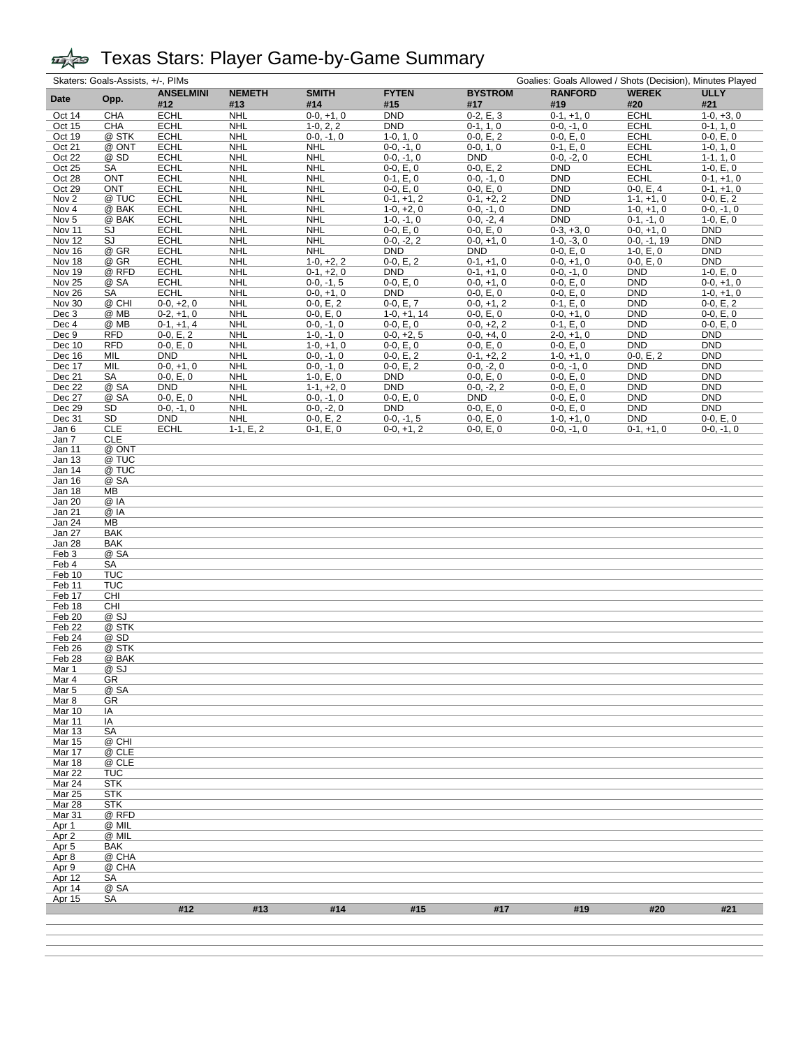|                                      | Skaters: Goals-Assists, +/-, PIMs<br>Goalies: Goals Allowed / Shots (Decision), Minutes Played |                            |                          |                             |                           |                             |                             |                            |                            |
|--------------------------------------|------------------------------------------------------------------------------------------------|----------------------------|--------------------------|-----------------------------|---------------------------|-----------------------------|-----------------------------|----------------------------|----------------------------|
| Date                                 | Opp.                                                                                           | <b>ANSELMINI</b>           | <b>NEMETH</b>            | <b>SMITH</b>                | <b>FYTEN</b>              | <b>BYSTROM</b>              | <b>RANFORD</b>              | <b>WEREK</b>               | <b>ULLY</b>                |
|                                      |                                                                                                | #12                        | #13                      | #14                         | #15                       | #17                         | #19                         | #20                        | #21                        |
| Oct 14                               | <b>CHA</b>                                                                                     | <b>ECHL</b>                | <b>NHL</b>               | $0-0, +1, 0$                | <b>DND</b>                | $0-2, E, 3$                 | $0-1, +1, 0$                | <b>ECHL</b>                | $1-0, +3, 0$               |
| Oct 15<br>Oct 19                     | <b>CHA</b><br>@ STK                                                                            | <b>ECHL</b><br><b>ECHL</b> | <b>NHL</b><br><b>NHL</b> | $1-0, 2, 2$<br>$0-0, -1, 0$ | <b>DND</b><br>$1-0, 1, 0$ | $0-1, 1, 0$<br>$0-0, E, 2$  | $0-0, -1, 0$<br>$0-0, E, 0$ | <b>ECHL</b><br><b>ECHL</b> | $0-1, 1, 0$<br>$0-0, E, 0$ |
| Oct 21                               | @ ONT                                                                                          | <b>ECHL</b>                | <b>NHL</b>               | <b>NHL</b>                  | $0-0, -1, 0$              | $0-0, 1, 0$                 | $0-1, E, 0$                 | <b>ECHL</b>                | $1-0, 1, 0$                |
| Oct 22                               | @ SD                                                                                           | <b>ECHL</b>                | <b>NHL</b>               | NHL                         | $0-0, -1, 0$              | <b>DND</b>                  | $0-0, -2, 0$                | <b>ECHL</b>                | $1-1, 1, 0$                |
| Oct 25                               | SA                                                                                             | <b>ECHL</b>                | <b>NHL</b>               | <b>NHL</b>                  | $0-0, E, 0$               | $0-0, E, 2$                 | <b>DND</b>                  | <b>ECHL</b>                | $1-0, E, 0$                |
| Oct 28                               | <b>ONT</b>                                                                                     | <b>ECHL</b>                | <b>NHL</b>               | <b>NHL</b>                  | $0-1, E, 0$               | $0-0, -1, 0$                | <b>DND</b>                  | <b>ECHL</b>                | $0-1, +1, 0$               |
| Oct 29                               | <b>ONT</b>                                                                                     | <b>ECHL</b>                | <b>NHL</b>               | <b>NHL</b>                  | $0-0, E, 0$               | $0-0, E, 0$                 | <b>DND</b>                  | $0-0, E, 4$                | $0-1, +1, 0$               |
| Nov <sub>2</sub>                     | @ TUC                                                                                          | <b>ECHL</b>                | <b>NHL</b>               | <b>NHL</b>                  | $0-1, +1, 2$              | $0-1, +2, 2$                | <b>DND</b>                  | $1-1, +1, 0$               | $0-0, E, 2$                |
| Nov 4                                | @ BAK                                                                                          | <b>ECHL</b>                | <b>NHL</b>               | <b>NHL</b>                  | $1-0, +2, 0$              | $0-0, -1, 0$                | <b>DND</b>                  | $1-0, +1, 0$               | $0-0, -1, 0$               |
| Nov <sub>5</sub>                     | @ BAK                                                                                          | <b>ECHL</b>                | <b>NHL</b>               | <b>NHL</b>                  | $1-0, -1, 0$              | $0-0, -2, 4$                | <b>DND</b>                  | $0-1, -1, 0$               | $1-0, E, 0$                |
| Nov 11                               | SJ                                                                                             | <b>ECHL</b>                | <b>NHL</b>               | <b>NHL</b>                  | $0-0, E, 0$               | $0-0, E, 0$                 | $0-3, +3, 0$                | $0-0, +1, 0$               | <b>DND</b>                 |
| Nov 12                               | SJ<br>@ GR                                                                                     | <b>ECHL</b>                | <b>NHL</b>               | <b>NHL</b><br><b>NHL</b>    | $0-0, -2, 2$              | $0-0, +1, 0$<br><b>DND</b>  | $1-0, -3, 0$                | $0-0, -1, 19$              | <b>DND</b><br><b>DND</b>   |
| Nov 16<br>Nov 18                     | @ GR                                                                                           | <b>ECHL</b><br><b>ECHL</b> | <b>NHL</b><br><b>NHL</b> | $1-0, +2, 2$                | <b>DND</b><br>$0-0, E, 2$ | $0-1, +1, 0$                | $0-0, E, 0$<br>$0-0, +1, 0$ | $1-0, E, 0$<br>$0-0, E, 0$ | <b>DND</b>                 |
| Nov 19                               | @ RFD                                                                                          | <b>ECHL</b>                | <b>NHL</b>               | $0-1, +2, 0$                | <b>DND</b>                | $0-1, +1, 0$                | $0-0, -1, 0$                | <b>DND</b>                 | $1-0, E, 0$                |
| <b>Nov 25</b>                        | @ SA                                                                                           | <b>ECHL</b>                | <b>NHL</b>               | $0-0, -1, 5$                | $0-0, E, 0$               | $0-0, +1, 0$                | $0-0, E, 0$                 | <b>DND</b>                 | $0-0, +1, 0$               |
| <b>Nov 26</b>                        | SA                                                                                             | <b>ECHL</b>                | <b>NHL</b>               | $0-0, +1, 0$                | <b>DND</b>                | $0-0, E, 0$                 | $0-0, E, 0$                 | <b>DND</b>                 | $1-0, +1, 0$               |
| Nov 30                               | @ CHI                                                                                          | $0-0, +2, 0$               | <b>NHL</b>               | $0-0, E, 2$                 | $0-0, E, 7$               | $0-0, +1, 2$                | $0-1, E, 0$                 | <b>DND</b>                 | $0-0, E, 2$                |
| Dec 3                                | @ MB                                                                                           | $0-2, +1, 0$               | <b>NHL</b>               | $0-0, E, 0$                 | $1-0, +1, 14$             | $0-0, E, 0$                 | $0-0, +1, 0$                | <b>DND</b>                 | $0-0, E, 0$                |
| Dec 4                                | @ MB                                                                                           | $0-1, +1, 4$               | <b>NHL</b>               | $0-0, -1, 0$                | $0-0, E, 0$               | $0-0, +2, 2$                | $0-1, E, 0$                 | <b>DND</b>                 | $0-0, E, 0$                |
| Dec 9                                | <b>RFD</b>                                                                                     | $0-0, E, 2$                | <b>NHL</b>               | $1-0, -1, 0$                | $0-0, +2, 5$              | $0-0, +4, 0$                | $2-0, +1, 0$                | <b>DND</b>                 | <b>DND</b>                 |
| Dec 10                               | <b>RFD</b>                                                                                     | $0-0, E, 0$                | <b>NHL</b>               | $1-0, +1, 0$                | $0-0, E, 0$               | $0-0, E, 0$                 | $0-0, E, 0$                 | <b>DND</b>                 | <b>DND</b>                 |
| Dec 16                               | MIL                                                                                            | <b>DND</b>                 | <b>NHL</b>               | $0-0, -1, 0$                | $0-0, E, 2$               | $0-1, +2, 2$                | $1-0, +1, 0$                | $0-0, E, 2$                | <b>DND</b>                 |
| Dec 17                               | MIL                                                                                            | $0-0, +1, 0$               | <b>NHL</b>               | $0-0, -1, 0$                | $0-0, E, 2$               | $0-0, -2, 0$<br>$0-0, E, 0$ | $0-0, -1, 0$                | <b>DND</b><br><b>DND</b>   | <b>DND</b><br><b>DND</b>   |
| Dec 21<br>Dec 22                     | SA<br>@ SA                                                                                     | $0-0, E, 0$<br><b>DND</b>  | <b>NHL</b><br><b>NHL</b> | $1-0, E, 0$<br>$1-1, +2, 0$ | <b>DND</b><br><b>DND</b>  | $0-0, -2, 2$                | $0-0, E, 0$<br>$0-0, E, 0$  | <b>DND</b>                 | <b>DND</b>                 |
| Dec 27                               | @ SA                                                                                           | $0-0, E, 0$                | <b>NHL</b>               | $0-0, -1, 0$                | $0-0, E, 0$               | <b>DND</b>                  | $0-0, E, 0$                 | <b>DND</b>                 | <b>DND</b>                 |
| Dec 29                               | SD                                                                                             | $0-0, -1, 0$               | <b>NHL</b>               | $0-0, -2, 0$                | <b>DND</b>                | $0-0, E, 0$                 | $0-0, E, 0$                 | <b>DND</b>                 | <b>DND</b>                 |
| Dec 31                               | SD                                                                                             | <b>DND</b>                 | <b>NHL</b>               | $0-0, E, 2$                 | $0-0, -1, 5$              | $0-0, E, 0$                 | $1-0, +1, 0$                | <b>DND</b>                 | $0-0, E, 0$                |
| Jan 6                                | <b>CLE</b>                                                                                     | <b>ECHL</b>                | $1-1, E, 2$              | $0-1, E, 0$                 | $0-0, +1, 2$              | $0-0, E, 0$                 | $0-0, -1, 0$                | $0-1, +1, 0$               | $0-0, -1, 0$               |
| Jan 7                                | <b>CLE</b>                                                                                     |                            |                          |                             |                           |                             |                             |                            |                            |
| Jan 11                               | @ ONT                                                                                          |                            |                          |                             |                           |                             |                             |                            |                            |
| Jan 13                               | @ TUC                                                                                          |                            |                          |                             |                           |                             |                             |                            |                            |
| Jan 14                               | @ TUC                                                                                          |                            |                          |                             |                           |                             |                             |                            |                            |
| Jan 16                               | @ SA                                                                                           |                            |                          |                             |                           |                             |                             |                            |                            |
| Jan 18<br>Jan 20                     | MВ<br>@ IA                                                                                     |                            |                          |                             |                           |                             |                             |                            |                            |
| Jan 21                               | @ IA                                                                                           |                            |                          |                             |                           |                             |                             |                            |                            |
| Jan 24                               | MB                                                                                             |                            |                          |                             |                           |                             |                             |                            |                            |
| Jan 27                               | <b>BAK</b>                                                                                     |                            |                          |                             |                           |                             |                             |                            |                            |
| Jan 28                               | BAK                                                                                            |                            |                          |                             |                           |                             |                             |                            |                            |
| Feb 3                                | @ SA                                                                                           |                            |                          |                             |                           |                             |                             |                            |                            |
| Feb 4                                | SA                                                                                             |                            |                          |                             |                           |                             |                             |                            |                            |
| Feb 10                               | <b>TUC</b>                                                                                     |                            |                          |                             |                           |                             |                             |                            |                            |
| Feb 11                               | <b>TUC</b>                                                                                     |                            |                          |                             |                           |                             |                             |                            |                            |
| Feb 17<br>Feb 18                     | CHI<br>CHI                                                                                     |                            |                          |                             |                           |                             |                             |                            |                            |
| Feb 20                               | @ SJ                                                                                           |                            |                          |                             |                           |                             |                             |                            |                            |
| Feb <sub>22</sub>                    | @ STK                                                                                          |                            |                          |                             |                           |                             |                             |                            |                            |
| Feb 24                               | @ SD                                                                                           |                            |                          |                             |                           |                             |                             |                            |                            |
| Feb 26                               | @ STK                                                                                          |                            |                          |                             |                           |                             |                             |                            |                            |
| Feb 28                               | @ BAK                                                                                          |                            |                          |                             |                           |                             |                             |                            |                            |
| Mar 1                                | @ SJ                                                                                           |                            |                          |                             |                           |                             |                             |                            |                            |
| Mar 4                                | GR                                                                                             |                            |                          |                             |                           |                             |                             |                            |                            |
| Mar 5                                | @ SA                                                                                           |                            |                          |                             |                           |                             |                             |                            |                            |
| Mar 8                                | GR                                                                                             |                            |                          |                             |                           |                             |                             |                            |                            |
| Mar 10<br>Mar 11                     | ΙA<br>IA                                                                                       |                            |                          |                             |                           |                             |                             |                            |                            |
| <b>Mar 13</b>                        | SA                                                                                             |                            |                          |                             |                           |                             |                             |                            |                            |
| Mar 15                               | @ CHI                                                                                          |                            |                          |                             |                           |                             |                             |                            |                            |
| Mar 17                               | @ CLE                                                                                          |                            |                          |                             |                           |                             |                             |                            |                            |
| Mar 18                               | @ CLE                                                                                          |                            |                          |                             |                           |                             |                             |                            |                            |
| <b>Mar 22</b>                        | TUC                                                                                            |                            |                          |                             |                           |                             |                             |                            |                            |
| Mar 24                               | <b>STK</b>                                                                                     |                            |                          |                             |                           |                             |                             |                            |                            |
| <b>Mar 25</b>                        | <b>STK</b>                                                                                     |                            |                          |                             |                           |                             |                             |                            |                            |
| Mar 28                               | <b>STK</b>                                                                                     |                            |                          |                             |                           |                             |                             |                            |                            |
| Mar 31                               | @ RFD                                                                                          |                            |                          |                             |                           |                             |                             |                            |                            |
| Apr <sub>1</sub>                     | @ MIL<br>@ MIL                                                                                 |                            |                          |                             |                           |                             |                             |                            |                            |
| Apr <sub>2</sub><br>Apr <sub>5</sub> | <b>BAK</b>                                                                                     |                            |                          |                             |                           |                             |                             |                            |                            |
| Apr 8                                | @ CHA                                                                                          |                            |                          |                             |                           |                             |                             |                            |                            |
| Apr 9                                | @ CHA                                                                                          |                            |                          |                             |                           |                             |                             |                            |                            |
| Apr 12                               | SA                                                                                             |                            |                          |                             |                           |                             |                             |                            |                            |
| Apr 14                               | @ SA                                                                                           |                            |                          |                             |                           |                             |                             |                            |                            |
| Apr 15                               | SА                                                                                             |                            |                          |                             |                           |                             |                             |                            |                            |
|                                      |                                                                                                | #12                        | #13                      | #14                         | #15                       | #17                         | #19                         | #20                        | #21                        |
|                                      |                                                                                                |                            |                          |                             |                           |                             |                             |                            |                            |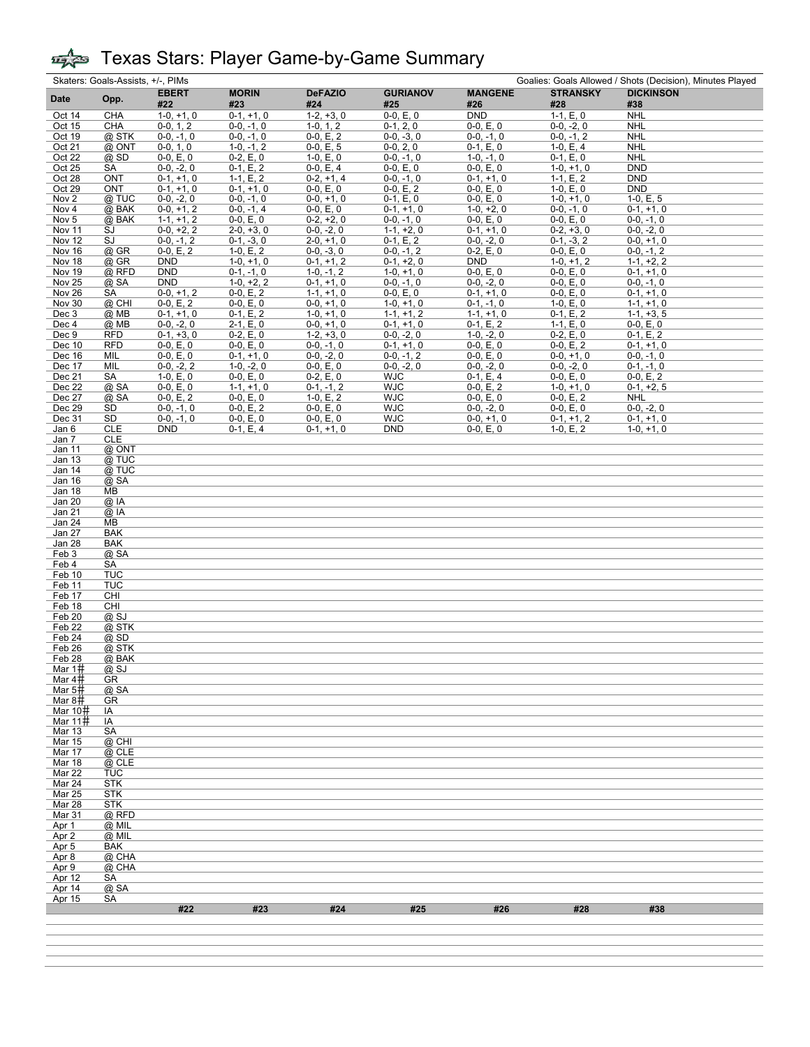|                   | Skaters: Goals-Assists, +/-, PIMs<br>Goalies: Goals Allowed / Shots (Decision), Minutes Played |                              |                              |                             |                             |                             |                              |                             |  |  |  |
|-------------------|------------------------------------------------------------------------------------------------|------------------------------|------------------------------|-----------------------------|-----------------------------|-----------------------------|------------------------------|-----------------------------|--|--|--|
| <b>Date</b>       | Opp.                                                                                           | <b>EBERT</b>                 | <b>MORIN</b>                 | <b>DeFAZIO</b>              | <b>GURIANOV</b>             | <b>MANGENE</b>              | <b>STRANSKY</b>              | <b>DICKINSON</b>            |  |  |  |
|                   |                                                                                                | #22                          | #23                          | #24                         | #25                         | #26                         | #28                          | #38                         |  |  |  |
| Oct 14            | <b>CHA</b>                                                                                     | $1-0, +1, 0$                 | $0-1, +1, 0$                 | $1-2, +3, 0$                | $0-0, E, 0$                 | <b>DND</b>                  | $1-1, E, 0$                  | <b>NHL</b>                  |  |  |  |
| Oct 15            | <b>CHA</b>                                                                                     | $0-0, 1, 2$                  | $0-0, -1, 0$                 | $1-0, 1, 2$                 | $0-1, 2, 0$                 | $0-0, E, 0$                 | $0-0, -2, 0$                 | <b>NHL</b>                  |  |  |  |
| Oct 19            | @ STK                                                                                          | $0-0, -1, 0$                 | $0-0, -1, 0$                 | $0-0, E, 2$                 | $0-0, -3, 0$                | $0-0, -1, 0$                | $0-0, -1, 2$                 | <b>NHL</b>                  |  |  |  |
| Oct 21            | @ ONT                                                                                          | $0-0, 1, 0$                  | $1-0, -1, 2$                 | $0-0, E, 5$                 | $0-0, 2, 0$                 | $0-1, E, 0$                 | $1-0, E, 4$                  | <b>NHL</b>                  |  |  |  |
| Oct 22            | $@$ SD                                                                                         | $0-0, E, 0$                  | $0-2, E, 0$                  | $1-0, E, 0$                 | $0-0, -1, 0$<br>$0-0, E, 0$ | $1-0, -1, 0$                | $0-1, E, 0$                  | <b>NHL</b>                  |  |  |  |
| Oct 25<br>Oct 28  | SA<br><b>ONT</b>                                                                               | $0-0, -2, 0$<br>$0-1, +1, 0$ | $0-1, E, 2$<br>$1-1, E, 2$   | $0-0, E, 4$<br>$0-2, +1, 4$ | $0-0, -1, 0$                | $0-0, E, 0$<br>$0-1, +1, 0$ | $1-0, +1, 0$<br>$1-1, E, 2$  | <b>DND</b><br><b>DND</b>    |  |  |  |
| Oct 29            | <b>ONT</b>                                                                                     | $0-1, +1, 0$                 | $0-1, +1, 0$                 | $0-0, E, 0$                 | $0-0, E, 2$                 | $0-0, E, 0$                 | $1-0, E, 0$                  | <b>DND</b>                  |  |  |  |
| Nov <sub>2</sub>  | @ TUC                                                                                          | $0-0, -2, 0$                 | $0-0, -1, 0$                 | $0-0, +1, 0$                | $0-1, E, 0$                 | $0-0, E, 0$                 | $1-0, +1, 0$                 | $1-0, E, 5$                 |  |  |  |
| Nov 4             | $@$ BAK                                                                                        | $0-0, +1, 2$                 | $0-0, -1, 4$                 | $0-0, E, 0$                 | $0-1, +1, 0$                | $1-0, +2, 0$                | $0-0, -1, 0$                 | $0-1, +1, 0$                |  |  |  |
| Nov <sub>5</sub>  | @ BAK                                                                                          | $1-1, +1, 2$                 | $0-0, E, 0$                  | $0-2, +2, 0$                | $0-0, -1, 0$                | $0-0, E, 0$                 | $0-0, E, 0$                  | $0-0, -1, 0$                |  |  |  |
| Nov 11            | SJ                                                                                             | $0-0, +2, 2$                 | $2-0, +3, 0$                 | $0-0, -2, 0$                | $1-1, +2, 0$                | $0-1, +1, 0$                | $0-2, +3, 0$                 | $0-0, -2, 0$                |  |  |  |
| Nov 12            | SJ                                                                                             | $0-0, -1, 2$                 | $0-1, -3, 0$                 | $2-0, +1, 0$                | $0-1, E, 2$                 | $0-0, -2, 0$                | $0-1, -3, 2$                 | $0-0, +1, 0$                |  |  |  |
| Nov 16            | $@$ GR                                                                                         | $0-0, E, 2$                  | $1-0, E, 2$                  | $0-0, -3, 0$                | $0-0, -1, 2$                | $0-2, E, 0$                 | $0-0, E, 0$                  | $0-0, -1, 2$                |  |  |  |
| Nov 18            | @ GR                                                                                           | <b>DND</b>                   | $1-0, +1, 0$                 | $0-1, +1, 2$                | $0-1, +2, 0$                | <b>DND</b>                  | $1-0, +1, 2$                 | $1-1, +2, 2$                |  |  |  |
| Nov 19            | @ RFD                                                                                          | <b>DND</b>                   | $0-1, -1, 0$                 | $1-0, -1, 2$                | $1-0, +1, 0$                | $0-0, E, 0$                 | $0-0, E, 0$                  | $0-1, +1, 0$                |  |  |  |
| Nov 25            | @ SA                                                                                           | <b>DND</b>                   | $1-0, +2, 2$                 | $0-1, +1, 0$                | $0-0, -1, 0$                | $0-0, -2, 0$                | $0-0, E, 0$                  | $0-0, -1, 0$                |  |  |  |
| Nov 26            | SA                                                                                             | $0-0, +1, 2$                 | $0-0, E, 2$                  | $1-1, +1, 0$                | $0-0, E, 0$                 | $0-1, +1, 0$                | $0-0, E, 0$                  | $0-1, +1, 0$                |  |  |  |
| Nov 30            | @ CHI                                                                                          | $0-0, E, 2$                  | $0-0, E, 0$                  | $0-0, +1, 0$                | $1-0, +1, 0$                | $0-1, -1, 0$                | $1-0, E, 0$                  | $1-1, +1, 0$                |  |  |  |
| Dec 3             | $@$ MB                                                                                         | $0-1, +1, 0$                 | $0-1, E, 2$                  | $1-0, +1, 0$                | $1-1, +1, 2$                | $1-1, +1, 0$                | $0-1, E, 2$                  | $1-1, +3, 5$                |  |  |  |
| Dec 4             | $@$ MB                                                                                         | $0-0, -2, 0$                 | $2-1, E, 0$                  | $0-0, +1, 0$                | $0-1, +1, 0$                | $0-1, E, 2$                 | $1-1, E, 0$                  | $0-0, E, 0$                 |  |  |  |
| Dec 9             | <b>RFD</b>                                                                                     | $0-1, +3, 0$                 | $0-2, E, 0$                  | $1-2, +3, 0$                | $0-0, -2, 0$                | $1-0, -2, 0$                | $0-2, E, 0$                  | $0-1, E, 2$                 |  |  |  |
| Dec 10            | <b>RFD</b>                                                                                     | $0-0, E, 0$                  | $0-0, E, 0$                  | $0-0, -1, 0$                | $0-1, +1, 0$                | $0-0, E, 0$                 | $0-0, E, 2$                  | $0-1, +1, 0$                |  |  |  |
| Dec 16            | MIL<br>MIL                                                                                     | $0-0, E, 0$<br>$0-0, -2, 2$  | $0-1, +1, 0$<br>$1-0, -2, 0$ | $0-0, -2, 0$                | $0-0, -1, 2$                | $0-0, E, 0$                 | $0-0, +1, 0$<br>$0-0, -2, 0$ | $0-0, -1, 0$                |  |  |  |
| Dec 17<br>Dec 21  | SA                                                                                             | $1-0, E, 0$                  | $0-0, E, 0$                  | $0-0, E, 0$<br>$0-2, E, 0$  | $0-0, -2, 0$<br><b>WJC</b>  | $0-0, -2, 0$<br>$0-1, E, 4$ | $0-0, E, 0$                  | $0-1, -1, 0$<br>$0-0, E, 2$ |  |  |  |
| Dec 22            | @ SA                                                                                           | $0-0, E, 0$                  | $1-1, +1, 0$                 | $0-1, -1, 2$                | <b>WJC</b>                  | $0-0, E, 2$                 | $1-0, +1, 0$                 | $0-1, +2, 5$                |  |  |  |
| Dec 27            | @ SA                                                                                           | $0-0, E, 2$                  | $0-0, E, 0$                  | $1-0, E, 2$                 | <b>WJC</b>                  | $0-0, E, 0$                 | $0-0, E, 2$                  | <b>NHL</b>                  |  |  |  |
| Dec 29            | SD                                                                                             | $0-0, -1, 0$                 | $0-0, E, 2$                  | $0-0, E, 0$                 | <b>WJC</b>                  | $0-0, -2, 0$                | $0-0, E, 0$                  | $0-0, -2, 0$                |  |  |  |
| Dec 31            | SD                                                                                             | $0-0, -1, 0$                 | $0-0, E, 0$                  | $0-0, E, 0$                 | <b>WJC</b>                  | $0-0, +1, 0$                | $0-1, +1, 2$                 | $0-1, +1, 0$                |  |  |  |
| Jan 6             | <b>CLE</b>                                                                                     | <b>DND</b>                   | $0-1, E, 4$                  | $0-1, +1, 0$                | DND                         | $0-0, E, 0$                 | $1-0, E, 2$                  | $1-0, +1, 0$                |  |  |  |
| Jan 7             | <b>CLE</b>                                                                                     |                              |                              |                             |                             |                             |                              |                             |  |  |  |
| Jan 11            | @ ONT                                                                                          |                              |                              |                             |                             |                             |                              |                             |  |  |  |
| Jan 13            | @ TUC                                                                                          |                              |                              |                             |                             |                             |                              |                             |  |  |  |
| Jan 14            | @ TUC                                                                                          |                              |                              |                             |                             |                             |                              |                             |  |  |  |
| Jan 16            | @ SA                                                                                           |                              |                              |                             |                             |                             |                              |                             |  |  |  |
| Jan 18            | MB                                                                                             |                              |                              |                             |                             |                             |                              |                             |  |  |  |
| Jan 20            | $@$ IA                                                                                         |                              |                              |                             |                             |                             |                              |                             |  |  |  |
| Jan 21            | @ IA                                                                                           |                              |                              |                             |                             |                             |                              |                             |  |  |  |
| Jan 24            | MB                                                                                             |                              |                              |                             |                             |                             |                              |                             |  |  |  |
| Jan 27            | <b>BAK</b>                                                                                     |                              |                              |                             |                             |                             |                              |                             |  |  |  |
| Jan 28            | <b>BAK</b>                                                                                     |                              |                              |                             |                             |                             |                              |                             |  |  |  |
| Feb 3             | @ SA                                                                                           |                              |                              |                             |                             |                             |                              |                             |  |  |  |
| Feb 4<br>Feb 10   | SA<br><b>TUC</b>                                                                               |                              |                              |                             |                             |                             |                              |                             |  |  |  |
| Feb 11            | <b>TUC</b>                                                                                     |                              |                              |                             |                             |                             |                              |                             |  |  |  |
| Feb 17            | CHI                                                                                            |                              |                              |                             |                             |                             |                              |                             |  |  |  |
| Feb 18            | CHI                                                                                            |                              |                              |                             |                             |                             |                              |                             |  |  |  |
| Feb 20            | @SJ                                                                                            |                              |                              |                             |                             |                             |                              |                             |  |  |  |
| Feb <sub>22</sub> | @ STK                                                                                          |                              |                              |                             |                             |                             |                              |                             |  |  |  |
| Feb 24            | $@$ SD                                                                                         |                              |                              |                             |                             |                             |                              |                             |  |  |  |
| Feb 26            | @ STK                                                                                          |                              |                              |                             |                             |                             |                              |                             |  |  |  |
| <b>Feb 28</b>     | $\overline{\omega}$ BAK                                                                        |                              |                              |                             |                             |                             |                              |                             |  |  |  |
| Mar 1#            | @SJ                                                                                            |                              |                              |                             |                             |                             |                              |                             |  |  |  |
| Mar 4#            | GR                                                                                             |                              |                              |                             |                             |                             |                              |                             |  |  |  |
| Mar 5#            | @ SA                                                                                           |                              |                              |                             |                             |                             |                              |                             |  |  |  |
| Mar 8#            | GR                                                                                             |                              |                              |                             |                             |                             |                              |                             |  |  |  |
| Mar 10井           | IA                                                                                             |                              |                              |                             |                             |                             |                              |                             |  |  |  |
| Mar 11#           | IA                                                                                             |                              |                              |                             |                             |                             |                              |                             |  |  |  |
| <b>Mar 13</b>     | SA                                                                                             |                              |                              |                             |                             |                             |                              |                             |  |  |  |
| Mar 15            | @ CHI                                                                                          |                              |                              |                             |                             |                             |                              |                             |  |  |  |
| Mar 17            | @ CLE                                                                                          |                              |                              |                             |                             |                             |                              |                             |  |  |  |
| Mar 18<br>Mar 22  | $@$ CLE<br><b>TUC</b>                                                                          |                              |                              |                             |                             |                             |                              |                             |  |  |  |
| Mar 24            | <b>STK</b>                                                                                     |                              |                              |                             |                             |                             |                              |                             |  |  |  |
| <b>Mar 25</b>     | <b>STK</b>                                                                                     |                              |                              |                             |                             |                             |                              |                             |  |  |  |
| Mar 28            | STK                                                                                            |                              |                              |                             |                             |                             |                              |                             |  |  |  |
| Mar 31            | @ RFD                                                                                          |                              |                              |                             |                             |                             |                              |                             |  |  |  |
| Apr 1             | $@$ MIL                                                                                        |                              |                              |                             |                             |                             |                              |                             |  |  |  |
| Apr 2             | @ MIL                                                                                          |                              |                              |                             |                             |                             |                              |                             |  |  |  |
| Apr 5             | BAK                                                                                            |                              |                              |                             |                             |                             |                              |                             |  |  |  |
| Apr 8             | @ CHA                                                                                          |                              |                              |                             |                             |                             |                              |                             |  |  |  |
| Apr 9             | @ CHA                                                                                          |                              |                              |                             |                             |                             |                              |                             |  |  |  |
| Apr 12            | SA                                                                                             |                              |                              |                             |                             |                             |                              |                             |  |  |  |
| Apr 14            | @ SA                                                                                           |                              |                              |                             |                             |                             |                              |                             |  |  |  |
| Apr 15            | SА                                                                                             |                              |                              |                             |                             |                             |                              |                             |  |  |  |
|                   |                                                                                                | #22                          | #23                          | #24                         | #25                         | #26                         | #28                          | #38                         |  |  |  |
|                   |                                                                                                |                              |                              |                             |                             |                             |                              |                             |  |  |  |
|                   |                                                                                                |                              |                              |                             |                             |                             |                              |                             |  |  |  |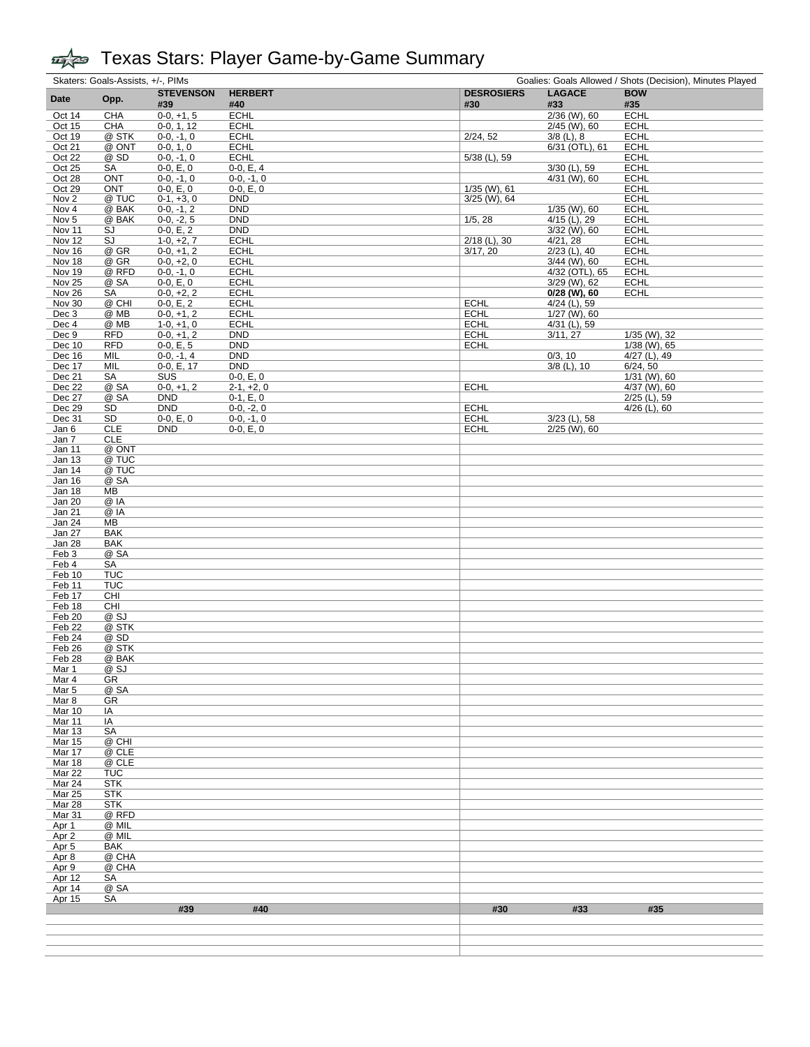|                   | Skaters: Goals-Assists, +/-, PIMs |                              |                             | Goalies: Goals Allowed / Shots (Decision), Minutes Played |                                |                                |  |  |  |  |
|-------------------|-----------------------------------|------------------------------|-----------------------------|-----------------------------------------------------------|--------------------------------|--------------------------------|--|--|--|--|
| Date              | Opp.                              | <b>STEVENSON</b>             | <b>HERBERT</b>              | <b>DESROSIERS</b>                                         | <b>LAGACE</b>                  | <b>BOW</b>                     |  |  |  |  |
|                   |                                   | #39                          | #40                         | #30                                                       | #33                            | #35                            |  |  |  |  |
| Oct 14            | <b>CHA</b>                        | $0-0, +1, 5$                 | <b>ECHL</b>                 |                                                           | 2/36 (W), 60                   | <b>ECHL</b>                    |  |  |  |  |
| Oct 15<br>Oct 19  | CHA<br>@ STK                      | $0-0, 1, 12$<br>$0-0, -1, 0$ | <b>ECHL</b><br><b>ECHL</b>  | 2/24, 52                                                  | $2/45$ (W), 60<br>$3/8$ (L), 8 | <b>ECHL</b><br><b>ECHL</b>     |  |  |  |  |
| Oct 21            | @ ONT                             | $0-0, 1, 0$                  | <b>ECHL</b>                 |                                                           | 6/31 (OTL), 61                 | <b>ECHL</b>                    |  |  |  |  |
| Oct 22            | @ SD                              | $0-0, -1, 0$                 | <b>ECHL</b>                 | $5/38$ (L), 59                                            |                                | <b>ECHL</b>                    |  |  |  |  |
| Oct 25            | SA                                | $0-0, E, 0$                  | $0-0, E, 4$                 |                                                           | 3/30 (L), 59                   | <b>ECHL</b>                    |  |  |  |  |
| Oct 28            | <b>ONT</b>                        | $0-0, -1, 0$                 | $0-0, -1, 0$                |                                                           | $4/31$ (W), 60                 | <b>ECHL</b>                    |  |  |  |  |
| Oct 29            | <b>ONT</b>                        | $0-0, E, 0$                  | $0-0, E, 0$                 | $1/35$ (W), 61                                            |                                | <b>ECHL</b>                    |  |  |  |  |
| Nov <sub>2</sub>  | @ TUC                             | $0-1, +3, 0$                 | <b>DND</b>                  | $3/25$ (W), 64                                            |                                | <b>ECHL</b>                    |  |  |  |  |
| Nov 4             | @ BAK                             | $0-0, -1, 2$                 | <b>DND</b>                  |                                                           | $1/35$ (W), 60                 | <b>ECHL</b>                    |  |  |  |  |
| Nov <sub>5</sub>  | @ BAK                             | $0-0, -2, 5$                 | <b>DND</b>                  | 1/5, 28                                                   | $4/15$ (L), 29                 | <b>ECHL</b>                    |  |  |  |  |
| Nov 11            | SJ                                | $0-0, E, 2$                  | <b>DND</b>                  |                                                           | $3/32$ (W), 60                 | <b>ECHL</b>                    |  |  |  |  |
| Nov 12            | SJ<br>@ GR                        | $1-0, +2, 7$                 | <b>ECHL</b>                 | $2/18$ (L), 30                                            | 4/21, 28<br>$2/23$ (L), 40     | <b>ECHL</b><br><b>ECHL</b>     |  |  |  |  |
| Nov 16<br>Nov 18  | @ GR                              | $0-0, +1, 2$<br>$0-0, +2, 0$ | <b>ECHL</b><br><b>ECHL</b>  | 3/17, 20                                                  | $3/44$ (W), 60                 | <b>ECHL</b>                    |  |  |  |  |
| Nov 19            | @ RFD                             | $0-0, -1, 0$                 | <b>ECHL</b>                 |                                                           | 4/32 (OTL), 65                 | <b>ECHL</b>                    |  |  |  |  |
| Nov 25            | @ SA                              | $0-0, E, 0$                  | <b>ECHL</b>                 |                                                           | 3/29 (W), 62                   | <b>ECHL</b>                    |  |  |  |  |
| Nov 26            | SA                                | $0-0, +2, 2$                 | <b>ECHL</b>                 |                                                           | $0/28$ (W), 60                 | <b>ECHL</b>                    |  |  |  |  |
| Nov 30            | @ CHI                             | $0-0, E, 2$                  | <b>ECHL</b>                 | <b>ECHL</b>                                               | $4/24$ (L), 59                 |                                |  |  |  |  |
| Dec 3             | @ MB                              | $0-0, +1, 2$                 | <b>ECHL</b>                 | <b>ECHL</b>                                               | 1/27 (W), 60                   |                                |  |  |  |  |
| Dec 4             | @ MB                              | $1-0, +1, 0$                 | <b>ECHL</b>                 | <b>ECHL</b>                                               | 4/31 (L), 59                   |                                |  |  |  |  |
| Dec 9             | <b>RFD</b>                        | $0-0, +1, 2$                 | <b>DND</b>                  | <b>ECHL</b>                                               | 3/11, 27                       | 1/35 (W), 32                   |  |  |  |  |
| Dec 10            | <b>RFD</b>                        | $0-0, E, 5$                  | <b>DND</b>                  | <b>ECHL</b>                                               |                                | 1/38 (W), 65                   |  |  |  |  |
| Dec 16            | MIL                               | $0-0, -1, 4$                 | <b>DND</b>                  |                                                           | 0/3, 10                        | $4/27$ (L), 49                 |  |  |  |  |
| Dec 17            | MIL                               | 0-0, E, 17                   | <b>DND</b>                  |                                                           | $3/8$ (L), 10                  | 6/24, 50                       |  |  |  |  |
| Dec 21            | <b>SA</b>                         | SUS                          | $0-0, E, 0$                 |                                                           |                                | 1/31 (W), 60                   |  |  |  |  |
| Dec 22<br>Dec 27  | @ SA<br>@ SA                      | $0-0, +1, 2$<br><b>DND</b>   | $2-1, +2, 0$                | <b>ECHL</b>                                               |                                | 4/37 (W), 60<br>$2/25$ (L), 59 |  |  |  |  |
| Dec 29            | SD                                | <b>DND</b>                   | $0-1, E, 0$<br>$0-0, -2, 0$ | <b>ECHL</b>                                               |                                | $4/26$ (L), 60                 |  |  |  |  |
| Dec 31            | SD                                | $0-0, E, 0$                  | $0-0, -1, 0$                | <b>ECHL</b>                                               | $3/23$ (L), 58                 |                                |  |  |  |  |
| Jan 6             | CLE                               | DND                          | $0-0, E, 0$                 | <b>ECHL</b>                                               | $2/25$ (W), 60                 |                                |  |  |  |  |
| Jan 7             | <b>CLE</b>                        |                              |                             |                                                           |                                |                                |  |  |  |  |
| Jan 11            | @ ONT                             |                              |                             |                                                           |                                |                                |  |  |  |  |
| Jan <sub>13</sub> | @ TUC                             |                              |                             |                                                           |                                |                                |  |  |  |  |
| <b>Jan 14</b>     | @ TUC                             |                              |                             |                                                           |                                |                                |  |  |  |  |
| Jan 16            | @ SA                              |                              |                             |                                                           |                                |                                |  |  |  |  |
| Jan 18            | ΜВ                                |                              |                             |                                                           |                                |                                |  |  |  |  |
| Jan 20            | @ IA                              |                              |                             |                                                           |                                |                                |  |  |  |  |
| Jan 21            | @ IA                              |                              |                             |                                                           |                                |                                |  |  |  |  |
| Jan 24            | MВ                                |                              |                             |                                                           |                                |                                |  |  |  |  |
| Jan 27<br>Jan 28  | <b>BAK</b><br><b>BAK</b>          |                              |                             |                                                           |                                |                                |  |  |  |  |
| Feb 3             | @ SA                              |                              |                             |                                                           |                                |                                |  |  |  |  |
| Feb 4             | SA                                |                              |                             |                                                           |                                |                                |  |  |  |  |
| Feb 10            | <b>TUC</b>                        |                              |                             |                                                           |                                |                                |  |  |  |  |
| Feb 11            | <b>TUC</b>                        |                              |                             |                                                           |                                |                                |  |  |  |  |
| Feb 17            | CHI                               |                              |                             |                                                           |                                |                                |  |  |  |  |
| Feb 18            | CHI                               |                              |                             |                                                           |                                |                                |  |  |  |  |
| Feb 20            | @ SJ                              |                              |                             |                                                           |                                |                                |  |  |  |  |
| Feb 22            | @ STK                             |                              |                             |                                                           |                                |                                |  |  |  |  |
| Feb 24            | @ SD                              |                              |                             |                                                           |                                |                                |  |  |  |  |
| Feb 26            | @ STK                             |                              |                             |                                                           |                                |                                |  |  |  |  |
| Feb 28            | @ BAK                             |                              |                             |                                                           |                                |                                |  |  |  |  |
| <u>Mar 1</u>      | <u>@ SJ</u>                       |                              |                             |                                                           |                                |                                |  |  |  |  |
| Mar 4<br>Mar 5    | GR<br>@ SA                        |                              |                             |                                                           |                                |                                |  |  |  |  |
| Mar 8             | GR                                |                              |                             |                                                           |                                |                                |  |  |  |  |
| Mar 10            | IA                                |                              |                             |                                                           |                                |                                |  |  |  |  |
| Mar 11            | IA                                |                              |                             |                                                           |                                |                                |  |  |  |  |
| <b>Mar 13</b>     | SA                                |                              |                             |                                                           |                                |                                |  |  |  |  |
| <b>Mar 15</b>     | @ CHI                             |                              |                             |                                                           |                                |                                |  |  |  |  |
| Mar 17            | @ CLE                             |                              |                             |                                                           |                                |                                |  |  |  |  |
| Mar 18            | @ CLE                             |                              |                             |                                                           |                                |                                |  |  |  |  |
| Mar 22            | <b>TUC</b>                        |                              |                             |                                                           |                                |                                |  |  |  |  |
| Mar 24            | <b>STK</b>                        |                              |                             |                                                           |                                |                                |  |  |  |  |
| Mar 25            | <b>STK</b>                        |                              |                             |                                                           |                                |                                |  |  |  |  |
| Mar 28            | <b>STK</b>                        |                              |                             |                                                           |                                |                                |  |  |  |  |
| Mar 31            | @ RFD                             |                              |                             |                                                           |                                |                                |  |  |  |  |
| Apr 1<br>Apr 2    | @ MIL<br>@ MIL                    |                              |                             |                                                           |                                |                                |  |  |  |  |
| Apr <sub>5</sub>  | BAK                               |                              |                             |                                                           |                                |                                |  |  |  |  |
| Apr 8             | @ CHA                             |                              |                             |                                                           |                                |                                |  |  |  |  |
| Apr 9             | @ CHA                             |                              |                             |                                                           |                                |                                |  |  |  |  |
| Apr 12            | SA                                |                              |                             |                                                           |                                |                                |  |  |  |  |
| Apr 14            | @ SA                              |                              |                             |                                                           |                                |                                |  |  |  |  |
| Apr 15            | SA                                |                              |                             |                                                           |                                |                                |  |  |  |  |
|                   |                                   | #39                          | #40                         | #30                                                       | #33                            | #35                            |  |  |  |  |
|                   |                                   |                              |                             |                                                           |                                |                                |  |  |  |  |
|                   |                                   |                              |                             |                                                           |                                |                                |  |  |  |  |
|                   |                                   |                              |                             |                                                           |                                |                                |  |  |  |  |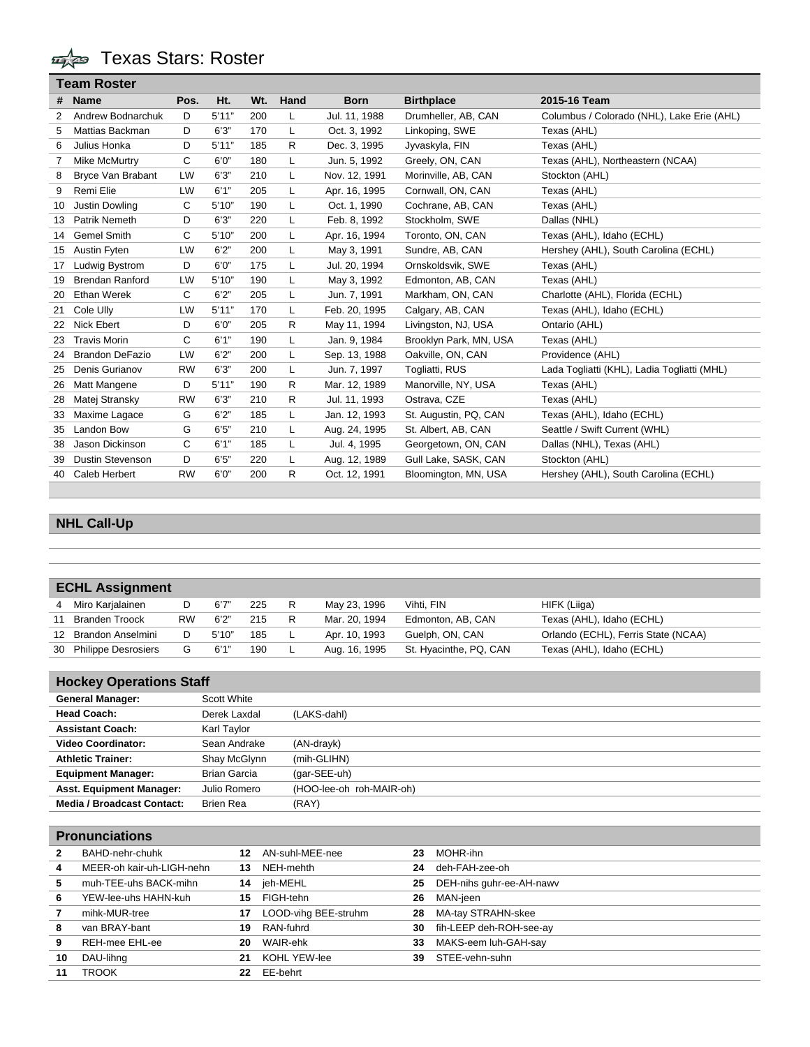**The Stars: Roster** 

|    | <b>Team Roster</b>      |           |        |     |              |               |                        |                                             |
|----|-------------------------|-----------|--------|-----|--------------|---------------|------------------------|---------------------------------------------|
| #  | <b>Name</b>             | Pos.      | Ht.    | Wt. | Hand         | <b>Born</b>   | <b>Birthplace</b>      | 2015-16 Team                                |
| 2  | Andrew Bodnarchuk       | D         | 5'11"  | 200 | L            | Jul. 11, 1988 | Drumheller, AB, CAN    | Columbus / Colorado (NHL), Lake Erie (AHL)  |
| 5  | Mattias Backman         | D         | 6'3''  | 170 | L            | Oct. 3, 1992  | Linkoping, SWE         | Texas (AHL)                                 |
| 6  | Julius Honka            | D         | 5'11"  | 185 | R            | Dec. 3, 1995  | Jyvaskyla, FIN         | Texas (AHL)                                 |
|    | Mike McMurtry           | C         | 6'0''  | 180 | L            | Jun. 5, 1992  | Greely, ON, CAN        | Texas (AHL), Northeastern (NCAA)            |
| 8  | Bryce Van Brabant       | LW        | 6'3''  | 210 | L            | Nov. 12, 1991 | Morinville, AB, CAN    | Stockton (AHL)                              |
| 9  | Remi Elie               | LW        | 6'1''  | 205 | L            | Apr. 16, 1995 | Cornwall, ON, CAN      | Texas (AHL)                                 |
| 10 | Justin Dowling          | C         | 5'10'' | 190 | L            | Oct. 1, 1990  | Cochrane, AB, CAN      | Texas (AHL)                                 |
| 13 | Patrik Nemeth           | D         | 6'3''  | 220 | L            | Feb. 8, 1992  | Stockholm, SWE         | Dallas (NHL)                                |
| 14 | Gemel Smith             | С         | 5'10'' | 200 | L            | Apr. 16, 1994 | Toronto, ON, CAN       | Texas (AHL), Idaho (ECHL)                   |
| 15 | Austin Fyten            | LW        | 6'2"   | 200 | L            | May 3, 1991   | Sundre, AB, CAN        | Hershey (AHL), South Carolina (ECHL)        |
| 17 | Ludwig Bystrom          | D         | 6'0''  | 175 | L            | Jul. 20, 1994 | Ornskoldsvik, SWE      | Texas (AHL)                                 |
| 19 | <b>Brendan Ranford</b>  | LW        | 5'10'' | 190 | L            | May 3, 1992   | Edmonton, AB, CAN      | Texas (AHL)                                 |
| 20 | <b>Ethan Werek</b>      | C         | 6'2''  | 205 | L            | Jun. 7, 1991  | Markham, ON, CAN       | Charlotte (AHL), Florida (ECHL)             |
| 21 | Cole Ully               | LW        | 5'11"  | 170 | L            | Feb. 20, 1995 | Calgary, AB, CAN       | Texas (AHL), Idaho (ECHL)                   |
| 22 | <b>Nick Ebert</b>       | D         | 6'0''  | 205 | R            | May 11, 1994  | Livingston, NJ, USA    | Ontario (AHL)                               |
| 23 | <b>Travis Morin</b>     | С         | 6'1''  | 190 | L            | Jan. 9, 1984  | Brooklyn Park, MN, USA | Texas (AHL)                                 |
| 24 | <b>Brandon DeFazio</b>  | LW        | 6'2''  | 200 | L            | Sep. 13, 1988 | Oakville, ON, CAN      | Providence (AHL)                            |
| 25 | Denis Gurianov          | <b>RW</b> | 6'3''  | 200 | L            | Jun. 7, 1997  | Togliatti, RUS         | Lada Togliatti (KHL), Ladia Togliatti (MHL) |
| 26 | Matt Mangene            | D         | 5'11"  | 190 | R            | Mar. 12, 1989 | Manorville, NY, USA    | Texas (AHL)                                 |
| 28 | Matej Stransky          | <b>RW</b> | 6'3''  | 210 | R            | Jul. 11, 1993 | Ostrava, CZE           | Texas (AHL)                                 |
| 33 | Maxime Lagace           | G         | 6'2"   | 185 | L            | Jan. 12, 1993 | St. Augustin, PQ, CAN  | Texas (AHL), Idaho (ECHL)                   |
| 35 | Landon Bow              | G         | 6'5''  | 210 | L            | Aug. 24, 1995 | St. Albert, AB, CAN    | Seattle / Swift Current (WHL)               |
| 38 | Jason Dickinson         | C         | 6'1''  | 185 | L            | Jul. 4, 1995  | Georgetown, ON, CAN    | Dallas (NHL), Texas (AHL)                   |
| 39 | <b>Dustin Stevenson</b> | D         | 6'5''  | 220 | L            | Aug. 12, 1989 | Gull Lake, SASK, CAN   | Stockton (AHL)                              |
| 40 | Caleb Herbert           | <b>RW</b> | 6'0''  | 200 | $\mathsf{R}$ | Oct. 12, 1991 | Bloomington, MN, USA   | Hershey (AHL), South Carolina (ECHL)        |
|    |                         |           |        |     |              |               |                        |                                             |

### **NHL Call-Up**

| <b>ECHL Assignment</b> |           |        |     |   |               |                        |                                     |
|------------------------|-----------|--------|-----|---|---------------|------------------------|-------------------------------------|
| 4 Miro Karjalainen     |           | 6'7''  | 225 | R | May 23, 1996  | Vihti, FIN             | HIFK (Liiga)                        |
| <b>Branden Troock</b>  | <b>RW</b> | 6'2''  | 215 |   | Mar. 20, 1994 | Edmonton, AB, CAN      | Texas (AHL), Idaho (ECHL)           |
| 12 Brandon Anselmini   | D         | 5'10'' | 185 |   | Apr. 10, 1993 | Guelph, ON, CAN        | Orlando (ECHL), Ferris State (NCAA) |
| 30 Philippe Desrosiers | G         | 6'1"   | 190 |   | Aug. 16, 1995 | St. Hyacinthe, PQ, CAN | Texas (AHL), Idaho (ECHL)           |
|                        |           |        |     |   |               |                        |                                     |

| <b>Hockey Operations Staff</b>    |                     |                          |
|-----------------------------------|---------------------|--------------------------|
| <b>General Manager:</b>           | Scott White         |                          |
| <b>Head Coach:</b>                | Derek Laxdal        | (LAKS-dahl)              |
| <b>Assistant Coach:</b>           | Karl Taylor         |                          |
| <b>Video Coordinator:</b>         | Sean Andrake        | (AN-drayk)               |
| <b>Athletic Trainer:</b>          | Shay McGlynn        | (mih-GLIHN)              |
| <b>Equipment Manager:</b>         | <b>Brian Garcia</b> | (gar-SEE-uh)             |
| <b>Asst. Equipment Manager:</b>   | Julio Romero        | (HOO-lee-oh roh-MAIR-oh) |
| <b>Media / Broadcast Contact:</b> | <b>Brien Rea</b>    | (RAY)                    |

|    | <b>Pronunciations</b>     |    |                      |    |                          |
|----|---------------------------|----|----------------------|----|--------------------------|
|    | BAHD-nehr-chuhk           | 12 | AN-suhl-MEE-nee      | 23 | MOHR-ihn                 |
| 4  | MEER-oh kair-uh-LIGH-nehn | 13 | NEH-mehth            | 24 | deh-FAH-zee-oh           |
| 5  | muh-TEE-uhs BACK-mihn     | 14 | jeh-MEHL             | 25 | DEH-nihs guhr-ee-AH-nawv |
| 6  | YEW-lee-uhs HAHN-kuh      | 15 | FIGH-tehn            | 26 | MAN-jeen                 |
|    | mihk-MUR-tree             | 17 | LOOD-vihg BEE-struhm | 28 | MA-tay STRAHN-skee       |
| 8  | van BRAY-bant             | 19 | RAN-fuhrd            | 30 | fih-LEEP deh-ROH-see-ay  |
| 9  | <b>REH-mee EHL-ee</b>     | 20 | WAIR-ehk             | 33 | MAKS-eem luh-GAH-say     |
| 10 | DAU-lihng                 | 21 | <b>KOHL YEW-lee</b>  | 39 | STEE-vehn-suhn           |
| 11 | TROOK                     | 22 | EE-behrt             |    |                          |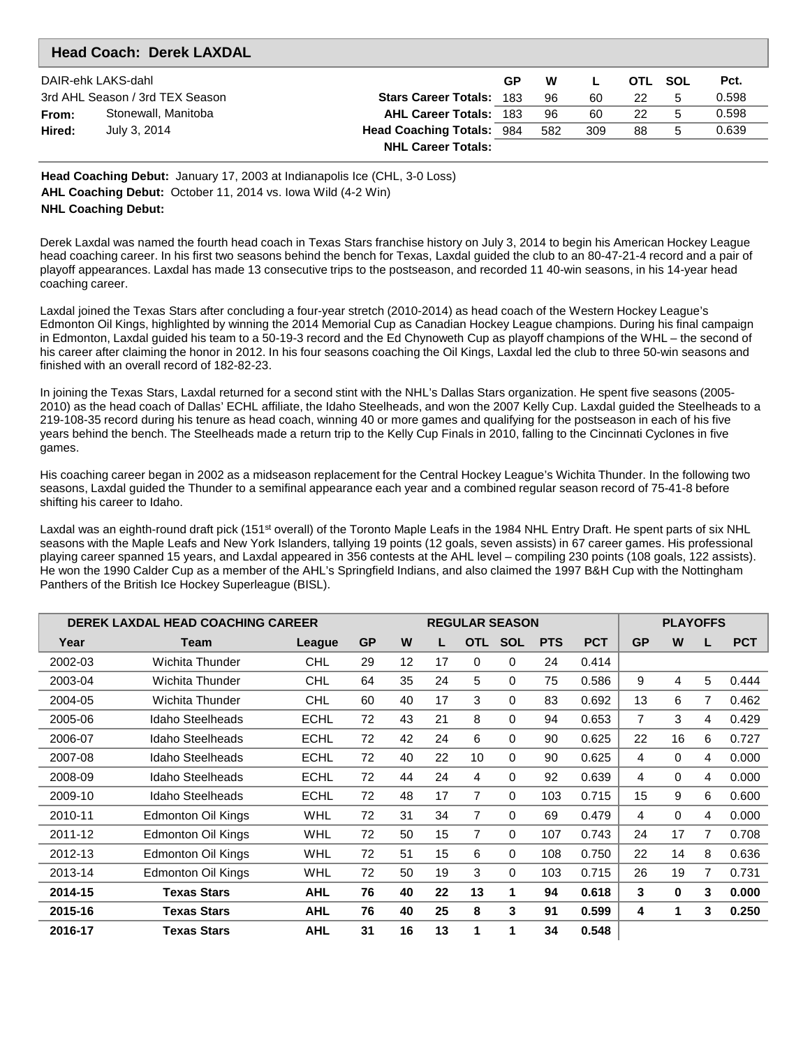|        | <b>Head Coach: Derek LAXDAL</b> |                                  |    |     |     |         |   |       |
|--------|---------------------------------|----------------------------------|----|-----|-----|---------|---|-------|
|        | DAIR-ehk LAKS-dahl              |                                  | GP | W   |     | OTL SOL |   | Pct.  |
|        | 3rd AHL Season / 3rd TEX Season | <b>Stars Career Totals: 183</b>  |    | 96  | 60  | 22      | 5 | 0.598 |
| From:  | Stonewall, Manitoba             | <b>AHL Career Totals: 183</b>    |    | 96  | 60  | 22      | 5 | 0.598 |
| Hired: | July 3, 2014                    | <b>Head Coaching Totals: 984</b> |    | 582 | 309 | 88      | 5 | 0.639 |
|        |                                 | <b>NHL Career Totals:</b>        |    |     |     |         |   |       |

**Head Coaching Debut:** January 17, 2003 at Indianapolis Ice (CHL, 3-0 Loss) **AHL Coaching Debut:** October 11, 2014 vs. Iowa Wild (4-2 Win) **NHL Coaching Debut:**

Derek Laxdal was named the fourth head coach in Texas Stars franchise history on July 3, 2014 to begin his American Hockey League head coaching career. In his first two seasons behind the bench for Texas, Laxdal guided the club to an 80-47-21-4 record and a pair of playoff appearances. Laxdal has made 13 consecutive trips to the postseason, and recorded 11 40-win seasons, in his 14-year head coaching career.

Laxdal joined the Texas Stars after concluding a four-year stretch (2010-2014) as head coach of the Western Hockey League's Edmonton Oil Kings, highlighted by winning the 2014 Memorial Cup as Canadian Hockey League champions. During his final campaign in Edmonton, Laxdal guided his team to a 50-19-3 record and the Ed Chynoweth Cup as playoff champions of the WHL – the second of his career after claiming the honor in 2012. In his four seasons coaching the Oil Kings, Laxdal led the club to three 50-win seasons and finished with an overall record of 182-82-23.

In joining the Texas Stars, Laxdal returned for a second stint with the NHL's Dallas Stars organization. He spent five seasons (2005- 2010) as the head coach of Dallas' ECHL affiliate, the Idaho Steelheads, and won the 2007 Kelly Cup. Laxdal guided the Steelheads to a 219-108-35 record during his tenure as head coach, winning 40 or more games and qualifying for the postseason in each of his five years behind the bench. The Steelheads made a return trip to the Kelly Cup Finals in 2010, falling to the Cincinnati Cyclones in five games.

His coaching career began in 2002 as a midseason replacement for the Central Hockey League's Wichita Thunder. In the following two seasons, Laxdal guided the Thunder to a semifinal appearance each year and a combined regular season record of 75-41-8 before shifting his career to Idaho.

Laxdal was an eighth-round draft pick (151<sup>st</sup> overall) of the Toronto Maple Leafs in the 1984 NHL Entry Draft. He spent parts of six NHL seasons with the Maple Leafs and New York Islanders, tallying 19 points (12 goals, seven assists) in 67 career games. His professional playing career spanned 15 years, and Laxdal appeared in 356 contests at the AHL level – compiling 230 points (108 goals, 122 assists). He won the 1990 Calder Cup as a member of the AHL's Springfield Indians, and also claimed the 1997 B&H Cup with the Nottingham Panthers of the British Ice Hockey Superleague (BISL).

|         | <b>DEREK LAXDAL HEAD COACHING CAREER</b> |             |           |    |    | <b>REGULAR SEASON</b> |            | <b>PLAYOFFS</b> |            |           |          |   |            |
|---------|------------------------------------------|-------------|-----------|----|----|-----------------------|------------|-----------------|------------|-----------|----------|---|------------|
| Year    | Team                                     | League      | <b>GP</b> | W  |    | <b>OTL</b>            | <b>SOL</b> | <b>PTS</b>      | <b>PCT</b> | <b>GP</b> | W        | L | <b>PCT</b> |
| 2002-03 | Wichita Thunder                          | <b>CHL</b>  | 29        | 12 | 17 | $\Omega$              | 0          | 24              | 0.414      |           |          |   |            |
| 2003-04 | Wichita Thunder                          | <b>CHL</b>  | 64        | 35 | 24 | 5                     | $\Omega$   | 75              | 0.586      | 9         | 4        | 5 | 0.444      |
| 2004-05 | Wichita Thunder                          | <b>CHL</b>  | 60        | 40 | 17 | 3                     | 0          | 83              | 0.692      | 13        | 6        | 7 | 0.462      |
| 2005-06 | Idaho Steelheads                         | <b>ECHL</b> | 72        | 43 | 21 | 8                     | $\Omega$   | 94              | 0.653      | 7         | 3        | 4 | 0.429      |
| 2006-07 | Idaho Steelheads                         | ECHL        | 72        | 42 | 24 | 6                     | $\Omega$   | 90              | 0.625      | 22        | 16       | 6 | 0.727      |
| 2007-08 | Idaho Steelheads                         | <b>ECHL</b> | 72        | 40 | 22 | 10                    | $\Omega$   | 90              | 0.625      | 4         | $\Omega$ | 4 | 0.000      |
| 2008-09 | Idaho Steelheads                         | <b>ECHL</b> | 72        | 44 | 24 | 4                     | $\Omega$   | 92              | 0.639      | 4         | $\Omega$ | 4 | 0.000      |
| 2009-10 | Idaho Steelheads                         | <b>ECHL</b> | 72        | 48 | 17 | 7                     | $\Omega$   | 103             | 0.715      | 15        | 9        | 6 | 0.600      |
| 2010-11 | <b>Edmonton Oil Kings</b>                | <b>WHL</b>  | 72        | 31 | 34 | 7                     | $\Omega$   | 69              | 0.479      | 4         | $\Omega$ | 4 | 0.000      |
| 2011-12 | <b>Edmonton Oil Kings</b>                | <b>WHL</b>  | 72        | 50 | 15 | 7                     | 0          | 107             | 0.743      | 24        | 17       | 7 | 0.708      |
| 2012-13 | Edmonton Oil Kings                       | WHL         | 72        | 51 | 15 | 6                     | 0          | 108             | 0.750      | 22        | 14       | 8 | 0.636      |
| 2013-14 | <b>Edmonton Oil Kings</b>                | <b>WHL</b>  | 72        | 50 | 19 | 3                     | $\Omega$   | 103             | 0.715      | 26        | 19       | 7 | 0.731      |
| 2014-15 | <b>Texas Stars</b>                       | <b>AHL</b>  | 76        | 40 | 22 | 13                    | 1          | 94              | 0.618      | 3         | $\bf{0}$ | 3 | 0.000      |
| 2015-16 | <b>Texas Stars</b>                       | <b>AHL</b>  | 76        | 40 | 25 | 8                     | 3          | 91              | 0.599      | 4         | 1        | 3 | 0.250      |
| 2016-17 | Texas Stars                              | <b>AHL</b>  | 31        | 16 | 13 | 1                     | 1          | 34              | 0.548      |           |          |   |            |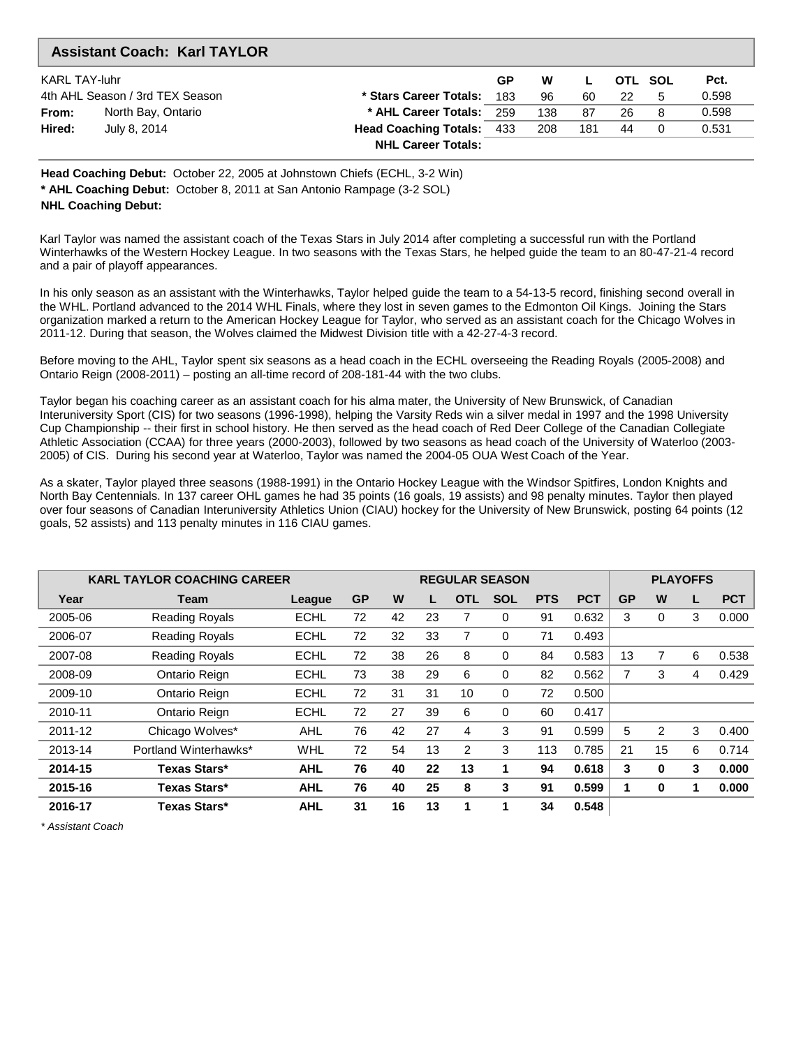|                      | <b>Assistant Coach: Karl TAYLOR</b> |                                  |    |     |     |     |         |       |
|----------------------|-------------------------------------|----------------------------------|----|-----|-----|-----|---------|-------|
| <b>KARL TAY-luhr</b> |                                     |                                  | GP | W   |     |     | OTL SOL | Pct.  |
|                      | 4th AHL Season / 3rd TEX Season     | * Stars Career Totals: 183       |    | 96  | 60  | -22 | 5       | 0.598 |
| From:                | North Bay, Ontario                  | * AHL Career Totals: 259         |    | 138 | 87  | 26. | 8       | 0.598 |
| Hired:               | July 8, 2014                        | <b>Head Coaching Totals: 433</b> |    | 208 | 181 | 44  |         | 0.531 |
|                      |                                     | <b>NHL Career Totals:</b>        |    |     |     |     |         |       |

**Head Coaching Debut:** October 22, 2005 at Johnstown Chiefs (ECHL, 3-2 Win) **\* AHL Coaching Debut:** October 8, 2011 at San Antonio Rampage (3-2 SOL) **NHL Coaching Debut:**

Karl Taylor was named the assistant coach of the Texas Stars in July 2014 after completing a successful run with the Portland Winterhawks of the Western Hockey League. In two seasons with the Texas Stars, he helped guide the team to an 80-47-21-4 record and a pair of playoff appearances.

In his only season as an assistant with the Winterhawks, Taylor helped guide the team to a 54-13-5 record, finishing second overall in the WHL. Portland advanced to the 2014 WHL Finals, where they lost in seven games to the Edmonton Oil Kings. Joining the Stars organization marked a return to the American Hockey League for Taylor, who served as an assistant coach for the Chicago Wolves in 2011-12. During that season, the Wolves claimed the Midwest Division title with a 42-27-4-3 record.

Before moving to the AHL, Taylor spent six seasons as a head coach in the ECHL overseeing the Reading Royals (2005-2008) and Ontario Reign (2008-2011) – posting an all-time record of 208-181-44 with the two clubs.

Taylor began his coaching career as an assistant coach for his alma mater, the University of New Brunswick, of Canadian Interuniversity Sport (CIS) for two seasons (1996-1998), helping the Varsity Reds win a silver medal in 1997 and the 1998 University Cup Championship -- their first in school history. He then served as the head coach of Red Deer College of the Canadian Collegiate Athletic Association (CCAA) for three years (2000-2003), followed by two seasons as head coach of the University of Waterloo (2003- 2005) of CIS. During his second year at Waterloo, Taylor was named the 2004-05 OUA West Coach of the Year.

As a skater, Taylor played three seasons (1988-1991) in the Ontario Hockey League with the Windsor Spitfires, London Knights and North Bay Centennials. In 137 career OHL games he had 35 points (16 goals, 19 assists) and 98 penalty minutes. Taylor then played over four seasons of Canadian Interuniversity Athletics Union (CIAU) hockey for the University of New Brunswick, posting 64 points (12 goals, 52 assists) and 113 penalty minutes in 116 CIAU games.

|         | <b>KARL TAYLOR COACHING CAREER</b> |             |           |    |    |            | <b>REGULAR SEASON</b> |            |            | <b>PLAYOFFS</b> |    |   |            |
|---------|------------------------------------|-------------|-----------|----|----|------------|-----------------------|------------|------------|-----------------|----|---|------------|
| Year    | Team                               | League      | <b>GP</b> | W  |    | <b>OTL</b> | <b>SOL</b>            | <b>PTS</b> | <b>PCT</b> | <b>GP</b>       | W  | L | <b>PCT</b> |
| 2005-06 | <b>Reading Royals</b>              | <b>ECHL</b> | 72        | 42 | 23 |            | 0                     | 91         | 0.632      | 3               | 0  | 3 | 0.000      |
| 2006-07 | <b>Reading Royals</b>              | <b>ECHL</b> | 72        | 32 | 33 |            | 0                     | 71         | 0.493      |                 |    |   |            |
| 2007-08 | <b>Reading Royals</b>              | <b>ECHL</b> | 72        | 38 | 26 | 8          | 0                     | 84         | 0.583      | 13              |    | 6 | 0.538      |
| 2008-09 | Ontario Reign                      | <b>ECHL</b> | 73        | 38 | 29 | 6          | 0                     | 82         | 0.562      | 7               | 3  | 4 | 0.429      |
| 2009-10 | Ontario Reign                      | <b>ECHL</b> | 72        | 31 | 31 | 10         | $\Omega$              | 72         | 0.500      |                 |    |   |            |
| 2010-11 | Ontario Reign                      | <b>ECHL</b> | 72        | 27 | 39 | 6          | $\Omega$              | 60         | 0.417      |                 |    |   |            |
| 2011-12 | Chicago Wolves*                    | <b>AHL</b>  | 76        | 42 | 27 | 4          | 3                     | 91         | 0.599      | 5               | 2  | 3 | 0.400      |
| 2013-14 | Portland Winterhawks*              | WHL         | 72        | 54 | 13 | 2          | 3                     | 113        | 0.785      | 21              | 15 | 6 | 0.714      |
| 2014-15 | Texas Stars*                       | <b>AHL</b>  | 76        | 40 | 22 | 13         |                       | 94         | 0.618      | 3               | 0  | 3 | 0.000      |
| 2015-16 | Texas Stars*                       | <b>AHL</b>  | 76        | 40 | 25 | 8          | 3                     | 91         | 0.599      |                 | 0  | 1 | 0.000      |
| 2016-17 | Texas Stars*                       | <b>AHL</b>  | 31        | 16 | 13 | 1          |                       | 34         | 0.548      |                 |    |   |            |

\* Assistant Coach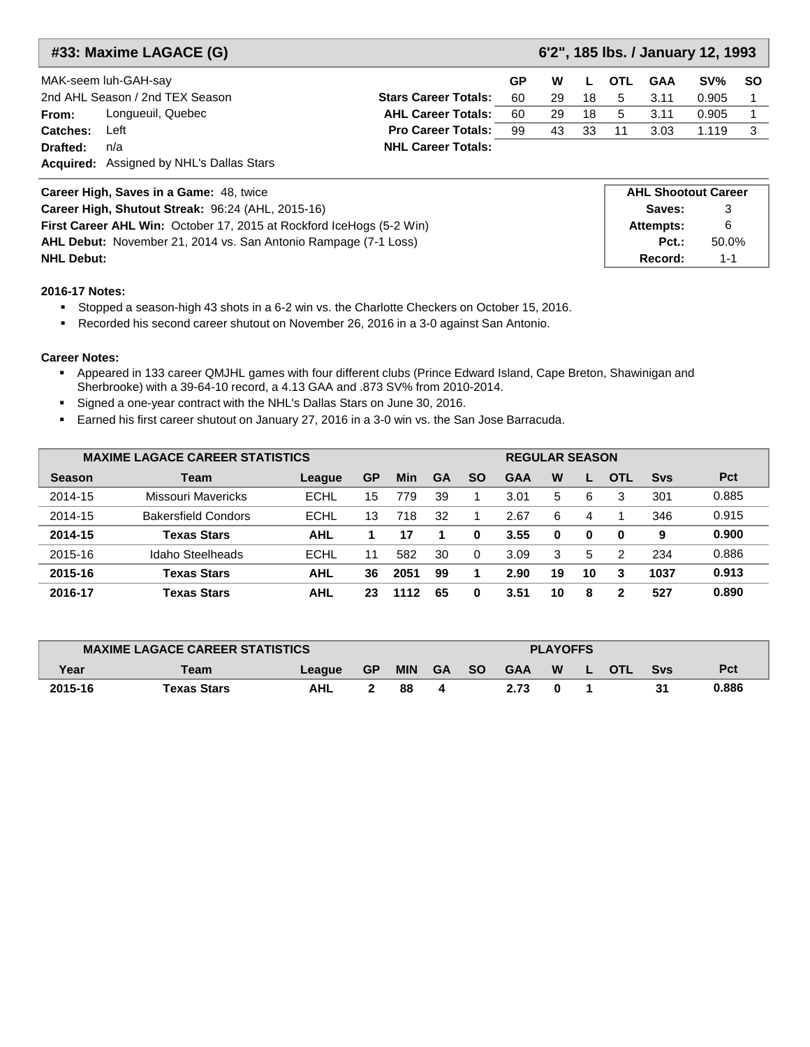| #33: Maxime LAGACE (G)                            |                             | 6'2", 185 lbs. / January 12, 1993 |        |           |    |        |                            |    |
|---------------------------------------------------|-----------------------------|-----------------------------------|--------|-----------|----|--------|----------------------------|----|
| MAK-seem luh-GAH-say                              | <b>OTL</b>                  | <b>GAA</b>                        | $SV\%$ | <b>SO</b> |    |        |                            |    |
| 2nd AHL Season / 2nd TEX Season                   | <b>Stars Career Totals:</b> | 60                                | 29     | 18        | 5  | 3.11   | 0.905                      |    |
| Longueuil, Quebec<br>From:                        | <b>AHL Career Totals:</b>   | 60                                | 29     | 18        | 5  | 3.11   | 0.905                      |    |
| Left<br>Catches:                                  | <b>Pro Career Totals:</b>   | 99                                | 43     | 33        | 11 | 3.03   | 1.119                      | -3 |
| Drafted:<br>n/a                                   | <b>NHL Career Totals:</b>   |                                   |        |           |    |        |                            |    |
| <b>Acquired:</b> Assigned by NHL's Dallas Stars   |                             |                                   |        |           |    |        |                            |    |
| Career High, Saves in a Game: 48, twice           |                             |                                   |        |           |    |        | <b>AHL Shootout Career</b> |    |
| Career High, Shutout Streak: 96:24 (AHL, 2015-16) |                             |                                   |        |           |    | Saves: | 3                          |    |

**Attempts: Pct.:**

**Record:** 1-1

6 50.0%

**First Career AHL Win:** October 17, 2015 at Rockford IceHogs (5-2 Win) **AHL Debut:** November 21, 2014 vs. San Antonio Rampage (7-1 Loss) **NHL Debut:** 

### **2016-17 Notes:**

Stopped a season-high 43 shots in a 6-2 win vs. the Charlotte Checkers on October 15, 2016.

Recorded his second career shutout on November 26, 2016 in a 3-0 against San Antonio.

- Appeared in 133 career QMJHL games with four different clubs (Prince Edward Island, Cape Breton, Shawinigan and Sherbrooke) with a 39-64-10 record, a 4.13 GAA and .873 SV% from 2010-2014.
- Signed a one-year contract with the NHL's Dallas Stars on June 30, 2016.
- Earned his first career shutout on January 27, 2016 in a 3-0 win vs. the San Jose Barracuda.

|               | <b>MAXIME LAGACE CAREER STATISTICS</b> |             |    |      |           |           | <b>REGULAR SEASON</b> |    |    |            |            |       |  |
|---------------|----------------------------------------|-------------|----|------|-----------|-----------|-----------------------|----|----|------------|------------|-------|--|
| <b>Season</b> | Team                                   | League      | GP | Min  | <b>GA</b> | <b>SO</b> | <b>GAA</b>            | W  | L  | <b>OTL</b> | <b>Svs</b> | Pct   |  |
| 2014-15       | Missouri Mavericks                     | <b>ECHL</b> | 15 | 779  | 39        |           | 3.01                  | 5  | 6  | 3          | 301        | 0.885 |  |
| 2014-15       | <b>Bakersfield Condors</b>             | ECHL        | 13 | 718  | 32        |           | 2.67                  | 6  | 4  |            | 346        | 0.915 |  |
| 2014-15       | <b>Texas Stars</b>                     | AHL         |    | 17   |           | 0         | 3.55                  | 0  | 0  | 0          | 9          | 0.900 |  |
| 2015-16       | Idaho Steelheads                       | ECHL        | 11 | 582  | 30        | $\Omega$  | 3.09                  | 3  | 5  | 2          | 234        | 0.886 |  |
| 2015-16       | <b>Texas Stars</b>                     | AHL         | 36 | 2051 | 99        |           | 2.90                  | 19 | 10 | 3          | 1037       | 0.913 |  |
| 2016-17       | <b>Texas Stars</b>                     | AHL         | 23 | 1112 | 65        | 0         | 3.51                  | 10 | 8  | 2          | 527        | 0.890 |  |

|         | <b>MAXIME LAGACE CAREER STATISTICS</b> |        |           |            |           |           | <b>PLAYOFFS</b> |   |  |            |     |       |  |  |  |
|---------|----------------------------------------|--------|-----------|------------|-----------|-----------|-----------------|---|--|------------|-----|-------|--|--|--|
| Year    | Team                                   | League | <b>GP</b> | <b>MIN</b> | <b>GA</b> | <b>SO</b> | <b>GAA</b>      | W |  | <b>OTL</b> | Svs | Pct   |  |  |  |
| 2015-16 | Texas Stars                            | AHL    |           | 88         |           |           | 2.73            |   |  |            |     | 0.886 |  |  |  |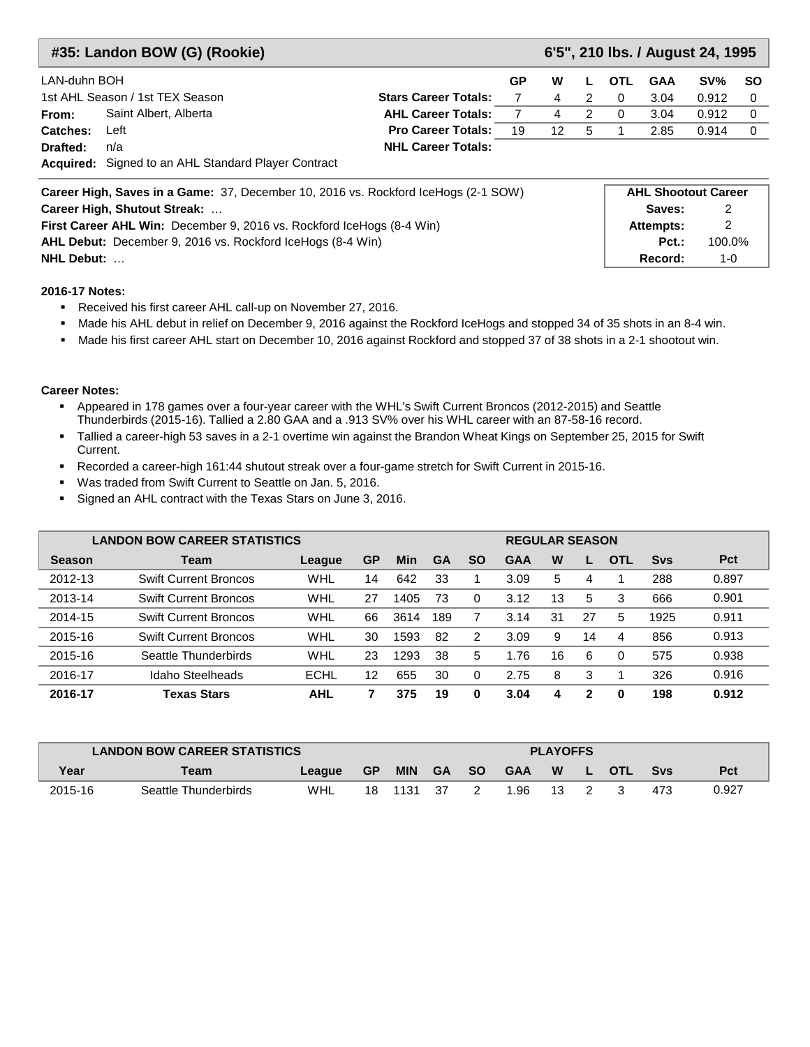|              | #35: Landon BOW (G) (Rookie)                                                              |                             | 6'5", 210 lbs. / August 24, 1995 |    |               |            |            |                            |             |  |
|--------------|-------------------------------------------------------------------------------------------|-----------------------------|----------------------------------|----|---------------|------------|------------|----------------------------|-------------|--|
| LAN-duhn BOH |                                                                                           |                             | GP                               | W  | L.            | <b>OTL</b> | <b>GAA</b> | SVM                        | <b>SO</b>   |  |
|              | 1st AHL Season / 1st TEX Season                                                           | <b>Stars Career Totals:</b> |                                  | 4  | $\mathcal{P}$ | $\Omega$   | 3.04       | 0.912                      | 0           |  |
| From:        | Saint Albert, Alberta                                                                     | <b>AHL Career Totals:</b>   | $\overline{7}$                   | 4  | 2             | $\Omega$   | 3.04       | 0.912                      | $\Omega$    |  |
| Catches:     | Left                                                                                      | <b>Pro Career Totals:</b>   | 19                               | 12 | 5             |            | 2.85       | 0.914                      | $\mathbf 0$ |  |
| Drafted:     | n/a                                                                                       | <b>NHL Career Totals:</b>   |                                  |    |               |            |            |                            |             |  |
|              | <b>Acquired:</b> Signed to an AHL Standard Player Contract                                |                             |                                  |    |               |            |            |                            |             |  |
|              | <b>Career High, Saves in a Game:</b> 37, December 10, 2016 vs. Rockford IceHogs (2-1 SOW) |                             |                                  |    |               |            |            | <b>AHL Shootout Career</b> |             |  |
|              | Career High, Shutout Streak:                                                              |                             |                                  |    |               |            | Saves:     | 2                          |             |  |
|              | First Career AHL Win: December 9, 2016 vs. Rockford IceHogs (8-4 Win)                     |                             |                                  |    |               |            | Attempts:  | 2                          |             |  |
|              | <b>AHL Debut:</b> December 9, 2016 vs. Rockford IceHogs (8-4 Win)                         |                             |                                  |    |               |            | $Pct.$ :   | 100.0%                     |             |  |
| NHL Debut:   |                                                                                           |                             |                                  |    |               |            | Record:    | $1 - 0$                    |             |  |

- Received his first career AHL call-up on November 27, 2016.
- Made his AHL debut in relief on December 9, 2016 against the Rockford IceHogs and stopped 34 of 35 shots in an 8-4 win.
- Made his first career AHL start on December 10, 2016 against Rockford and stopped 37 of 38 shots in a 2-1 shootout win.

- Appeared in 178 games over a four-year career with the WHL's Swift Current Broncos (2012-2015) and Seattle Thunderbirds (2015-16). Tallied a 2.80 GAA and a .913 SV% over his WHL career with an 87-58-16 record.
- Tallied a career-high 53 saves in a 2-1 overtime win against the Brandon Wheat Kings on September 25, 2015 for Swift Current.
- Recorded a career-high 161:44 shutout streak over a four-game stretch for Swift Current in 2015-16.
- Was traded from Swift Current to Seattle on Jan. 5, 2016.
- Signed an AHL contract with the Texas Stars on June 3, 2016.

|               | <b>LANDON BOW CAREER STATISTICS</b> |            |    |      |     |           |            | <b>REGULAR SEASON</b> |    |          |            |       |  |  |
|---------------|-------------------------------------|------------|----|------|-----|-----------|------------|-----------------------|----|----------|------------|-------|--|--|
| <b>Season</b> | Team                                | League     | GP | Min  | GA  | <b>SO</b> | <b>GAA</b> | W                     |    | O.<br>ΤI | <b>Svs</b> | Pct   |  |  |
| 2012-13       | <b>Swift Current Broncos</b>        | WHL        | 14 | 642  | 33  |           | 3.09       | 5                     | 4  |          | 288        | 0.897 |  |  |
| 2013-14       | <b>Swift Current Broncos</b>        | WHL        | 27 | 1405 | 73  | $\Omega$  | 3.12       | 13                    | 5  | 3        | 666        | 0.901 |  |  |
| 2014-15       | <b>Swift Current Broncos</b>        | WHL        | 66 | 3614 | 189 |           | 3.14       | 31                    | 27 | 5        | 1925       | 0.911 |  |  |
| 2015-16       | <b>Swift Current Broncos</b>        | WHL        | 30 | 1593 | 82  | 2         | 3.09       | 9                     | 14 | 4        | 856        | 0.913 |  |  |
| 2015-16       | Seattle Thunderbirds                | WHL        | 23 | 1293 | 38  | 5         | 1.76       | 16                    | 6  | $\Omega$ | 575        | 0.938 |  |  |
| 2016-17       | Idaho Steelheads                    | ECHL       | 12 | 655  | 30  |           | 2.75       | 8                     | 3  |          | 326        | 0.916 |  |  |
| 2016-17       | Texas Stars                         | <b>AHL</b> |    | 375  | 19  | 0         | 3.04       | 4                     | 2  | 0        | 198        | 0.912 |  |  |

|         | <b>LANDON BOW CAREER STATISTICS</b> |            |           |            |      |       | <b>PLAYOFFS</b> |    |    |            |            |            |  |  |  |
|---------|-------------------------------------|------------|-----------|------------|------|-------|-----------------|----|----|------------|------------|------------|--|--|--|
| Year    | Team                                | League     | <b>GP</b> | <b>MIN</b> |      | GA SO | <b>GAA</b>      | W  | L. | <b>OTL</b> | <b>Svs</b> | <b>Pct</b> |  |  |  |
| 2015-16 | Seattle Thunderbirds                | <b>WHL</b> | 18        | 1131       | - 37 |       | 1.96            | 13 |    |            | 473        | 0.927      |  |  |  |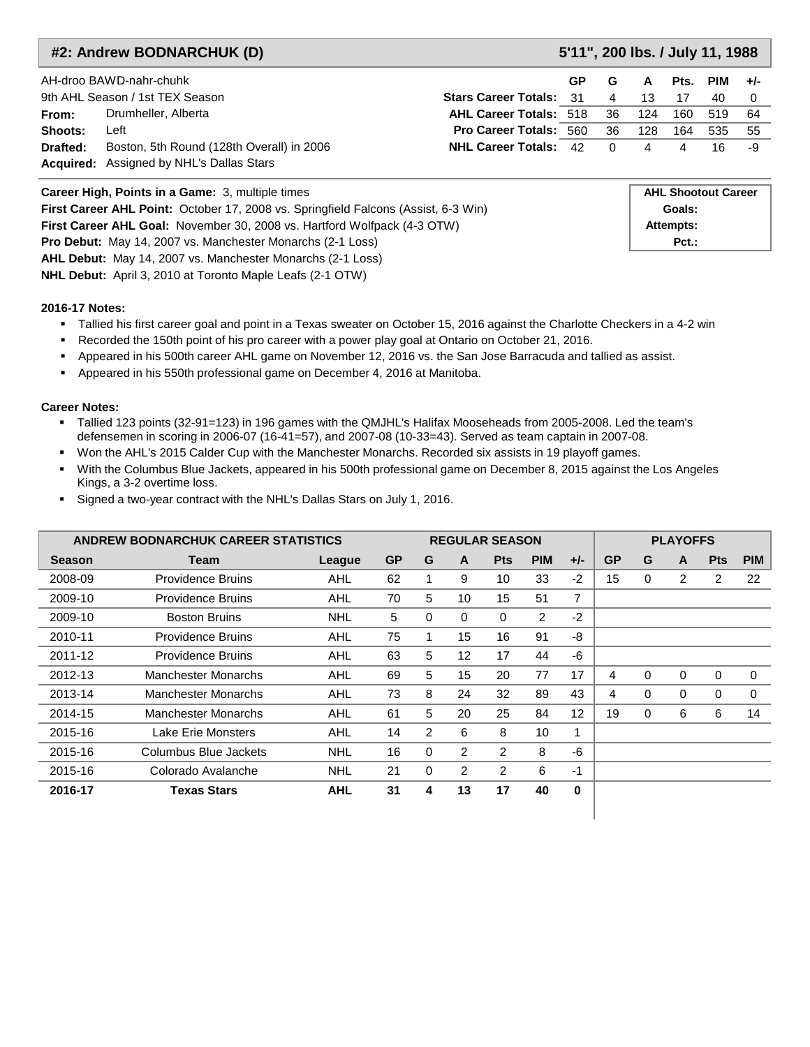### **#2: Andrew BODNARCHUK (D) 5'11", 200 lbs. / July 11, 1988**

|          | AH-droo BAWD-nahr-chuhk                          |                                | GP | G              | A              | Pts. PIM |                            | $+/-$ |
|----------|--------------------------------------------------|--------------------------------|----|----------------|----------------|----------|----------------------------|-------|
|          | 9th AHL Season / 1st TEX Season                  | <b>Stars Career Totals: 31</b> |    | $\overline{4}$ | 13             | 17       | 40                         |       |
| From:    | Drumheller, Alberta                              | AHL Career Totals: 518 36      |    |                | 124            | 160      | 519                        | -64   |
| Shoots:  | Left                                             | <b>Pro Career Totals: 560</b>  |    | 36             | 128            | 164      | 535                        | - 55  |
| Drafted: | Boston, 5th Round (128th Overall) in 2006        | <b>NHL Career Totals: 42</b>   |    | $\Omega$       | $\overline{4}$ | 4        | 16.                        | -9    |
|          | <b>Acquired:</b> Assigned by NHL's Dallas Stars  |                                |    |                |                |          |                            |       |
|          | Career High, Points in a Game: 3, multiple times |                                |    |                |                |          | <b>AHL Shootout Career</b> |       |

**First Career AHL Point:** October 17, 2008 vs. Springfield Falcons (Assist, 6-3 Win) **Goals:** Goals: **First Career AHL Goal:** November 30, 2008 vs. Hartford Wolfpack (4-3 OTW) **Attempts: Pro Debut:** May 14, 2007 vs. Manchester Monarchs (2-1 Loss) **Pct.: Pct.: Pct.: AHL Debut:** May 14, 2007 vs. Manchester Monarchs (2-1 Loss) **NHL Debut:** April 3, 2010 at Toronto Maple Leafs (2-1 OTW)

#### **2016-17 Notes:**

- Tallied his first career goal and point in a Texas sweater on October 15, 2016 against the Charlotte Checkers in a 4-2 win
- Recorded the 150th point of his pro career with a power play goal at Ontario on October 21, 2016.
- Appeared in his 500th career AHL game on November 12, 2016 vs. the San Jose Barracuda and tallied as assist.
- Appeared in his 550th professional game on December 4, 2016 at Manitoba.

#### **Career Notes:**

- Tallied 123 points (32-91=123) in 196 games with the QMJHL's Halifax Mooseheads from 2005-2008. Led the team's defensemen in scoring in 2006-07 (16-41=57), and 2007-08 (10-33=43). Served as team captain in 2007-08.
- Won the AHL's 2015 Calder Cup with the Manchester Monarchs. Recorded six assists in 19 playoff games.
- With the Columbus Blue Jackets, appeared in his 500th professional game on December 8, 2015 against the Los Angeles Kings, a 3-2 overtime loss.
- Signed a two-year contract with the NHL's Dallas Stars on July 1, 2016.

|               | <b>ANDREW BODNARCHUK CAREER STATISTICS</b> |            |           |                |               | <b>REGULAR SEASON</b> |                |       |           |   |             |            | <b>PLAYOFFS</b> |  |  |  |  |
|---------------|--------------------------------------------|------------|-----------|----------------|---------------|-----------------------|----------------|-------|-----------|---|-------------|------------|-----------------|--|--|--|--|
| <b>Season</b> | Team                                       | League     | <b>GP</b> | G              | A             | <b>Pts</b>            | <b>PIM</b>     | $+/-$ | <b>GP</b> | G | A           | <b>Pts</b> | <b>PIM</b>      |  |  |  |  |
| 2008-09       | <b>Providence Bruins</b>                   | AHL        | 62        |                | 9             | 10                    | 33             | $-2$  | 15        | 0 | 2           | 2          | 22              |  |  |  |  |
| 2009-10       | <b>Providence Bruins</b>                   | AHL        | 70        | 5              | 10            | 15                    | 51             | 7     |           |   |             |            |                 |  |  |  |  |
| 2009-10       | <b>Boston Bruins</b>                       | <b>NHL</b> | 5         | 0              | 0             | 0                     | $\overline{2}$ | $-2$  |           |   |             |            |                 |  |  |  |  |
| 2010-11       | <b>Providence Bruins</b>                   | AHL        | 75        |                | 15            | 16                    | 91             | -8    |           |   |             |            |                 |  |  |  |  |
| 2011-12       | Providence Bruins                          | <b>AHL</b> | 63        | 5              | 12            | 17                    | 44             | -6    |           |   |             |            |                 |  |  |  |  |
| 2012-13       | <b>Manchester Monarchs</b>                 | AHL        | 69        | 5              | 15            | 20                    | 77             | 17    | 4         | 0 | $\mathbf 0$ | 0          | 0               |  |  |  |  |
| 2013-14       | Manchester Monarchs                        | AHL        | 73        | 8              | 24            | 32                    | 89             | 43    | 4         | 0 | $\Omega$    | $\Omega$   | $\Omega$        |  |  |  |  |
| 2014-15       | <b>Manchester Monarchs</b>                 | <b>AHL</b> | 61        | 5              | 20            | 25                    | 84             | 12    | 19        | 0 | 6           | 6          | 14              |  |  |  |  |
| 2015-16       | Lake Erie Monsters                         | AHL        | 14        | $\overline{2}$ | 6             | 8                     | 10             | 1     |           |   |             |            |                 |  |  |  |  |
| 2015-16       | Columbus Blue Jackets                      | <b>NHL</b> | 16        | $\Omega$       | $\mathcal{P}$ | $\overline{2}$        | 8              | -6    |           |   |             |            |                 |  |  |  |  |
| 2015-16       | Colorado Avalanche                         | <b>NHL</b> | 21        | 0              | 2             | 2                     | 6              | $-1$  |           |   |             |            |                 |  |  |  |  |
| 2016-17       | <b>Texas Stars</b>                         | <b>AHL</b> | 31        | 4              | 13            | 17                    | 40             | 0     |           |   |             |            |                 |  |  |  |  |

ı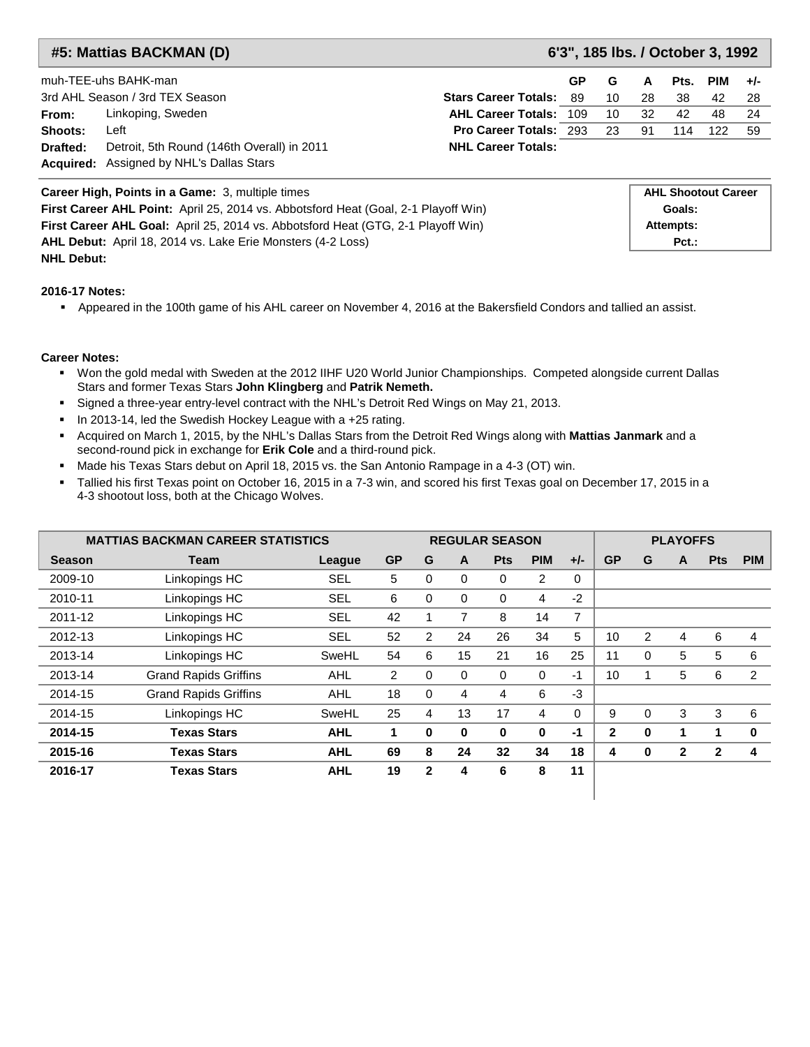**#5: Mattias BACKMAN (D) 6'3", 185 lbs. / October 3, 1992**

|          | muh-TEE-uhs BAHK-man                            |                                | GP. | G    | A   | Pts. | PIM | $+/-$ |
|----------|-------------------------------------------------|--------------------------------|-----|------|-----|------|-----|-------|
|          | 3rd AHL Season / 3rd TEX Season                 | <b>Stars Career Totals: 89</b> |     | 10   | 28  | -38. | 42  | -28   |
| From:    | Linkoping, Sweden                               | <b>AHL Career Totals: 109</b>  |     | 10   | -32 | 42   | 48. | - 24  |
| Shoots:  | ∟eft                                            | <b>Pro Career Totals: 293</b>  |     | - 23 | -91 | 114  | 122 | - 59  |
| Drafted: | Detroit, 5th Round (146th Overall) in 2011      | <b>NHL Career Totals:</b>      |     |      |     |      |     |       |
|          | <b>Acquired:</b> Assigned by NHL's Dallas Stars |                                |     |      |     |      |     |       |

| <b>Career High, Points in a Game: 3, multiple times</b>                                   | <b>AHL Shootout Career</b> |
|-------------------------------------------------------------------------------------------|----------------------------|
| <b>First Career AHL Point:</b> April 25, 2014 vs. Abbotsford Heat (Goal, 2-1 Playoff Win) | Goals:                     |
| <b>First Career AHL Goal:</b> April 25, 2014 vs. Abbotsford Heat (GTG, 2-1 Playoff Win)   | Attempts:                  |
| <b>AHL Debut:</b> April 18, 2014 vs. Lake Erie Monsters (4-2 Loss)                        | $Pct.$ :                   |
| <b>NHL Debut:</b>                                                                         |                            |

#### **2016-17 Notes:**

Appeared in the 100th game of his AHL career on November 4, 2016 at the Bakersfield Condors and tallied an assist.

- Won the gold medal with Sweden at the 2012 IIHF U20 World Junior Championships. Competed alongside current Dallas Stars and former Texas Stars **John Klingberg** and **Patrik Nemeth.**
- Signed a three-year entry-level contract with the NHL's Detroit Red Wings on May 21, 2013.
- In 2013-14, led the Swedish Hockey League with a +25 rating.
- Acquired on March 1, 2015, by the NHL's Dallas Stars from the Detroit Red Wings along with **Mattias Janmark** and a second-round pick in exchange for **Erik Cole** and a third-round pick.
- Made his Texas Stars debut on April 18, 2015 vs. the San Antonio Rampage in a 4-3 (OT) win.
- Tallied his first Texas point on October 16, 2015 in a 7-3 win, and scored his first Texas goal on December 17, 2015 in a 4-3 shootout loss, both at the Chicago Wolves.

|               | <b>MATTIAS BACKMAN CAREER STATISTICS</b> |            |           |              |          | <b>REGULAR SEASON</b> |            |          |              | <b>PLAYOFFS</b> |              |            |            |  |  |
|---------------|------------------------------------------|------------|-----------|--------------|----------|-----------------------|------------|----------|--------------|-----------------|--------------|------------|------------|--|--|
| <b>Season</b> | Team                                     | League     | <b>GP</b> | G            | A        | <b>Pts</b>            | <b>PIM</b> | $+/-$    | <b>GP</b>    | G               | A            | <b>Pts</b> | <b>PIM</b> |  |  |
| 2009-10       | Linkopings HC                            | SEL        | 5         | 0            | 0        | 0                     | 2          | 0        |              |                 |              |            |            |  |  |
| 2010-11       | Linkopings HC                            | <b>SEL</b> | 6         | $\Omega$     | $\Omega$ | 0                     | 4          | $-2$     |              |                 |              |            |            |  |  |
| 2011-12       | Linkopings HC                            | SEL        | 42        |              | 7        | 8                     | 14         | 7        |              |                 |              |            |            |  |  |
| 2012-13       | Linkopings HC                            | <b>SEL</b> | 52        | 2            | 24       | 26                    | 34         | 5        | 10           | $\overline{2}$  | 4            | 6          | 4          |  |  |
| 2013-14       | Linkopings HC                            | SweHL      | 54        | 6            | 15       | 21                    | 16         | 25       | 11           | 0               | 5            | 5          | 6          |  |  |
| 2013-14       | <b>Grand Rapids Griffins</b>             | AHL        | 2         | $\Omega$     | 0        | 0                     | 0          | $-1$     | 10           |                 | 5            | 6          | 2          |  |  |
| 2014-15       | <b>Grand Rapids Griffins</b>             | AHL        | 18        | 0            | 4        | 4                     | 6          | -3       |              |                 |              |            |            |  |  |
| 2014-15       | Linkopings HC                            | SweHL      | 25        | 4            | 13       | 17                    | 4          | $\Omega$ | 9            | 0               | 3            | 3          | 6          |  |  |
| 2014-15       | <b>Texas Stars</b>                       | <b>AHL</b> | 1         | 0            | 0        | 0                     | 0          | -1       | $\mathbf{2}$ | $\bf{0}$        | 1            |            | $\bf{0}$   |  |  |
| 2015-16       | <b>Texas Stars</b>                       | <b>AHL</b> | 69        | 8            | 24       | 32                    | 34         | 18       | 4            | $\bf{0}$        | $\mathbf{2}$ | 2          | 4          |  |  |
| 2016-17       | <b>Texas Stars</b>                       | <b>AHL</b> | 19        | $\mathbf{2}$ | 4        | 6                     | 8          | 11       |              |                 |              |            |            |  |  |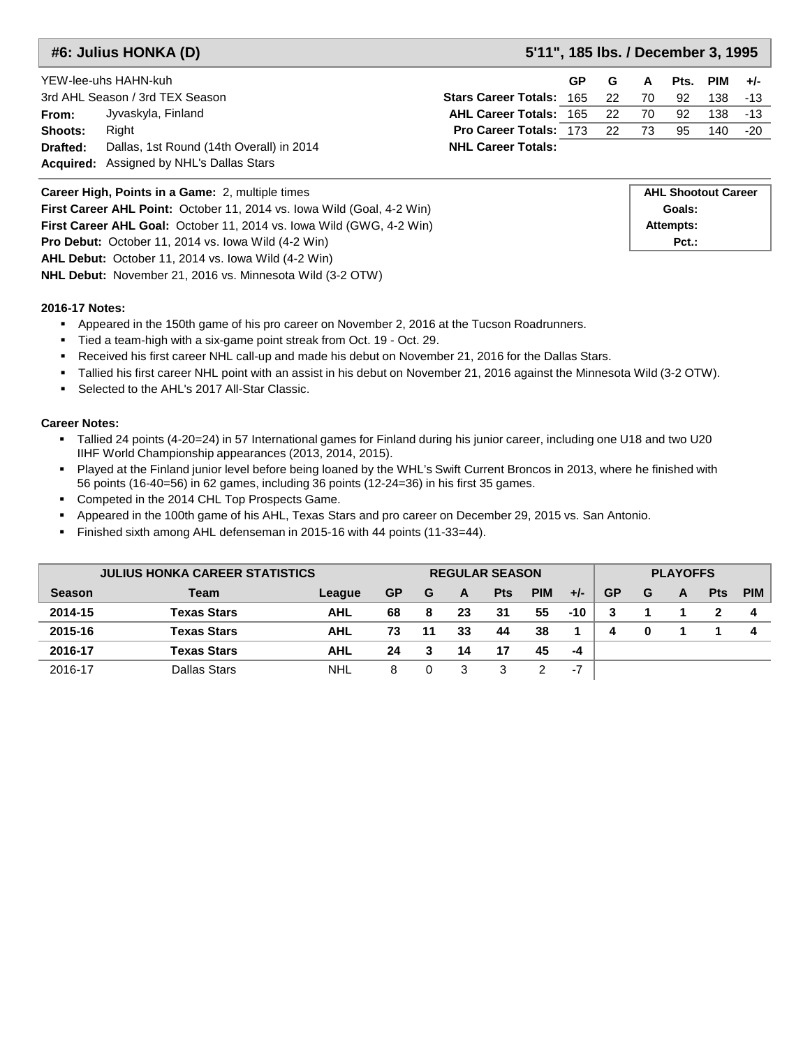**#6: Julius HONKA (D) 5'11", 185 lbs. / December 3, 1995**

|          | YEW-lee-uhs HAHN-kuh                            |                                    | GP. | G | A  | Pts. | PIM      | $+/-$ |
|----------|-------------------------------------------------|------------------------------------|-----|---|----|------|----------|-------|
|          | 3rd AHL Season / 3rd TEX Season                 | <b>Stars Career Totals: 165 22</b> |     |   | 70 | 92   | 138 - 13 |       |
| From:    | Jyvaskyla, Finland                              | <b>AHL Career Totals: 165 22</b>   |     |   | 70 | 92   | 138 -13  |       |
| Shoots:  | Right                                           | <b>Pro Career Totals: 173 22</b>   |     |   | 73 | 95   | 140      | -20   |
| Drafted: | Dallas, 1st Round (14th Overall) in 2014        | <b>NHL Career Totals:</b>          |     |   |    |      |          |       |
|          | <b>Acquired:</b> Assigned by NHL's Dallas Stars |                                    |     |   |    |      |          |       |

| <b>Career High, Points in a Game: 2, multiple times</b>                     |
|-----------------------------------------------------------------------------|
| First Career AHL Point: October 11, 2014 vs. lowa Wild (Goal, 4-2 Win)      |
| <b>First Career AHL Goal:</b> October 11, 2014 vs. lowa Wild (GWG, 4-2 Win) |
| <b>Pro Debut:</b> October 11, 2014 vs. Iowa Wild (4-2 Win)                  |
| <b>AHL Debut:</b> October 11, 2014 vs. lowa Wild (4-2 Win)                  |
| <b>NHL Debut:</b> November 21, 2016 vs. Minnesota Wild (3-2 OTW)            |

#### **2016-17 Notes:**

- Appeared in the 150th game of his pro career on November 2, 2016 at the Tucson Roadrunners.
- Tied a team-high with a six-game point streak from Oct. 19 Oct. 29.
- Received his first career NHL call-up and made his debut on November 21, 2016 for the Dallas Stars.
- Tallied his first career NHL point with an assist in his debut on November 21, 2016 against the Minnesota Wild (3-2 OTW).
- Selected to the AHL's 2017 All-Star Classic.

- Tallied 24 points (4-20=24) in 57 International games for Finland during his junior career, including one U18 and two U20 IIHF World Championship appearances (2013, 2014, 2015).
- Played at the Finland junior level before being loaned by the WHL's Swift Current Broncos in 2013, where he finished with 56 points (16-40=56) in 62 games, including 36 points (12-24=36) in his first 35 games.
- **Competed in the 2014 CHL Top Prospects Game.**
- Appeared in the 100th game of his AHL, Texas Stars and pro career on December 29, 2015 vs. San Antonio.
- Finished sixth among AHL defenseman in 2015-16 with 44 points (11-33=44).

|               | <b>JULIUS HONKA CAREER STATISTICS</b> |            |    |    | <b>REGULAR SEASON</b> |            |            |       |           |   |   | <b>PLAYOFFS</b> |     |  |  |  |
|---------------|---------------------------------------|------------|----|----|-----------------------|------------|------------|-------|-----------|---|---|-----------------|-----|--|--|--|
| <b>Season</b> | Team                                  | League     | GP | G  | A                     | <b>Pts</b> | <b>PIM</b> | $+/-$ | <b>GP</b> | G | A | <b>Pts</b>      | PIM |  |  |  |
| 2014-15       | Texas Stars                           | AHL        | 68 | 8  | 23                    | 31         | 55         | $-10$ |           |   |   |                 |     |  |  |  |
| 2015-16       | <b>Texas Stars</b>                    | AHL        | 73 | 11 | 33                    | 44         | 38         |       | 4         | 0 |   |                 |     |  |  |  |
| 2016-17       | Texas Stars                           | AHL        | 24 | 3  | 14                    | 17         | 45         | -4    |           |   |   |                 |     |  |  |  |
| 2016-17       | Dallas Stars                          | <b>NHL</b> | 8  |    |                       |            |            | $-7$  |           |   |   |                 |     |  |  |  |

| <b>AHL Shootout Career</b> |
|----------------------------|
| Goals:                     |
| <b>Attempts:</b>           |
| $Pct.$ :                   |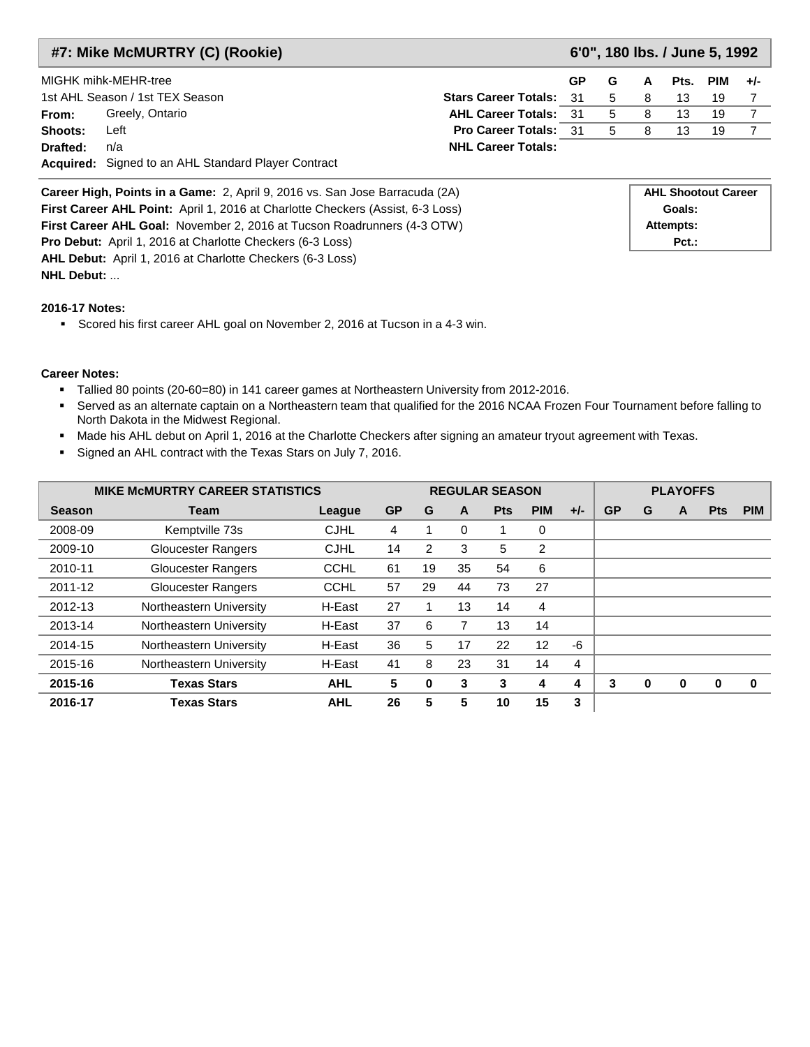|          | #7: Mike McMURTRY (C) (Rookie)                      |                                |           |             | 6'0", 180 lbs. / June 5, 1992 |    |                |  |
|----------|-----------------------------------------------------|--------------------------------|-----------|-------------|-------------------------------|----|----------------|--|
|          | MIGHK mihk-MEHR-tree                                |                                | <b>GP</b> | G           | A                             |    | Pts. PIM $+/-$ |  |
|          | 1st AHL Season / 1st TEX Season                     | <b>Stars Career Totals: 31</b> |           | $5^{\circ}$ | 8 <sup>8</sup>                | 13 | -19            |  |
| From:    | Greely, Ontario                                     | <b>AHL Career Totals: 31</b>   |           | -5          | -8                            | 13 | 19             |  |
| Shoots:  | Left                                                | <b>Pro Career Totals: 31</b>   |           | -5          | 8                             | 13 | 19             |  |
| Drafted: | n/a                                                 | <b>NHL Career Totals:</b>      |           |             |                               |    |                |  |
|          | Acquired: Signed to an AHL Standard Player Contract |                                |           |             |                               |    |                |  |

| <b>Career High, Points in a Game:</b> 2, April 9, 2016 vs. San Jose Barracuda (2A)    | <b>AHL Shootout Career</b> |
|---------------------------------------------------------------------------------------|----------------------------|
| <b>First Career AHL Point:</b> April 1, 2016 at Charlotte Checkers (Assist, 6-3 Loss) | Goals:                     |
| <b>First Career AHL Goal: November 2, 2016 at Tucson Roadrunners (4-3 OTW)</b>        | Attempts:                  |
| <b>Pro Debut:</b> April 1, 2016 at Charlotte Checkers (6-3 Loss)                      | $Pct.$ :                   |
| <b>AHL Debut:</b> April 1, 2016 at Charlotte Checkers (6-3 Loss)                      |                            |
| <b>NHL Debut: </b>                                                                    |                            |

Scored his first career AHL goal on November 2, 2016 at Tucson in a 4-3 win.

- Tallied 80 points (20-60=80) in 141 career games at Northeastern University from 2012-2016.
- Served as an alternate captain on a Northeastern team that qualified for the 2016 NCAA Frozen Four Tournament before falling to North Dakota in the Midwest Regional.
- Made his AHL debut on April 1, 2016 at the Charlotte Checkers after signing an amateur tryout agreement with Texas.
- Signed an AHL contract with the Texas Stars on July 7, 2016.

|               | <b>MIKE MCMURTRY CAREER STATISTICS</b> |             |           |                |    | <b>REGULAR SEASON</b> |            |                |           |   | <b>PLAYOFFS</b> |            |            |
|---------------|----------------------------------------|-------------|-----------|----------------|----|-----------------------|------------|----------------|-----------|---|-----------------|------------|------------|
| <b>Season</b> | Team                                   | League      | <b>GP</b> | G              | A  | <b>Pts</b>            | <b>PIM</b> | $+/-$          | <b>GP</b> | G | A               | <b>Pts</b> | <b>PIM</b> |
| 2008-09       | Kemptville 73s                         | <b>CJHL</b> | 4         |                | 0  |                       | 0          |                |           |   |                 |            |            |
| 2009-10       | <b>Gloucester Rangers</b>              | <b>CJHL</b> | 14        | $\overline{2}$ | 3  | 5                     | 2          |                |           |   |                 |            |            |
| 2010-11       | <b>Gloucester Rangers</b>              | <b>CCHL</b> | 61        | 19             | 35 | 54                    | 6          |                |           |   |                 |            |            |
| 2011-12       | <b>Gloucester Rangers</b>              | <b>CCHL</b> | 57        | 29             | 44 | 73                    | 27         |                |           |   |                 |            |            |
| 2012-13       | Northeastern University                | H-East      | 27        |                | 13 | 14                    | 4          |                |           |   |                 |            |            |
| 2013-14       | Northeastern University                | H-East      | 37        | 6              |    | 13                    | 14         |                |           |   |                 |            |            |
| 2014-15       | Northeastern University                | H-East      | 36        | 5              | 17 | 22                    | 12         | -6             |           |   |                 |            |            |
| 2015-16       | Northeastern University                | H-East      | 41        | 8              | 23 | 31                    | 14         | $\overline{4}$ |           |   |                 |            |            |
| 2015-16       | <b>Texas Stars</b>                     | <b>AHL</b>  | 5         | $\bf{0}$       | 3  | 3                     | 4          | 4              | 3         | 0 | 0               | $\bf{0}$   | $\bf{0}$   |
| 2016-17       | <b>Texas Stars</b>                     | <b>AHL</b>  | 26        | 5              | 5  | 10                    | 15         | 3              |           |   |                 |            |            |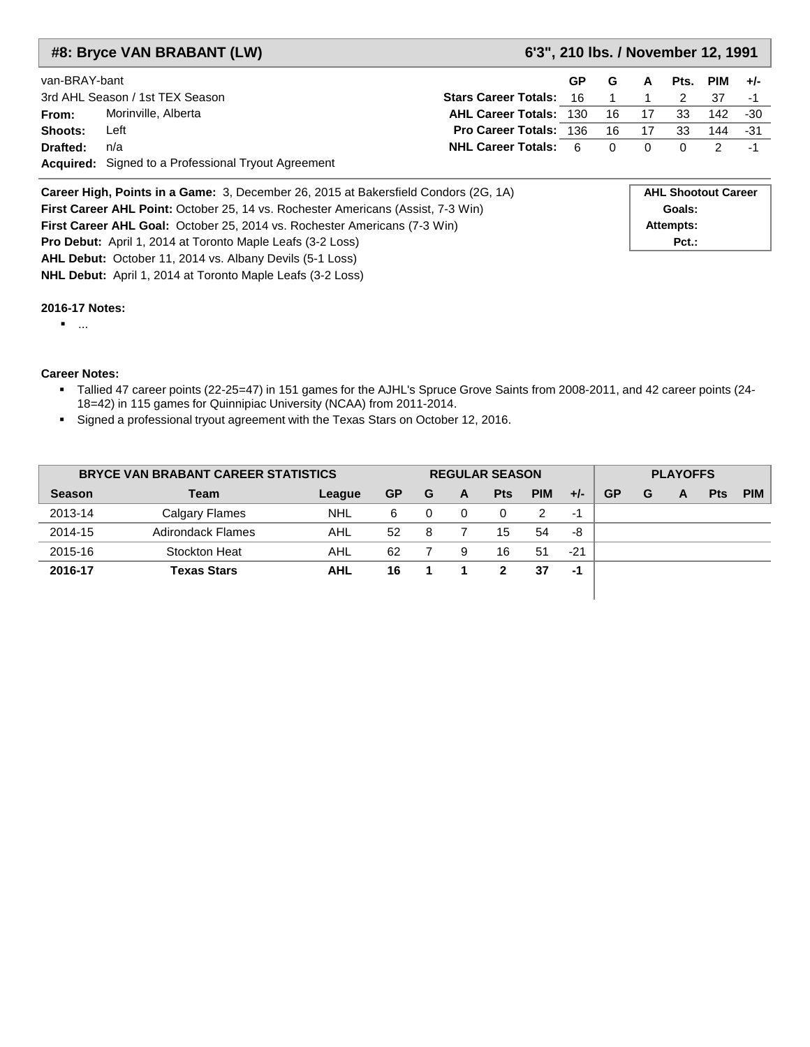|               | #8: Bryce VAN BRABANT (LW)                                                                 | 6'3", 210 lbs. / November 12, 1991 |           |    |    |                            |     |       |
|---------------|--------------------------------------------------------------------------------------------|------------------------------------|-----------|----|----|----------------------------|-----|-------|
| van-BRAY-bant |                                                                                            |                                    | <b>GP</b> | G  | A  | Pts.                       | PIM | $+/-$ |
|               | 3rd AHL Season / 1st TEX Season                                                            | <b>Stars Career Totals:</b>        | 16.       |    |    | 2                          | 37  | -1    |
| From:         | Morinville, Alberta                                                                        | <b>AHL Career Totals: 130</b>      |           | 16 | 17 | 33                         | 142 | -30   |
| Shoots:       | Left                                                                                       | <b>Pro Career Totals: 136</b>      |           | 16 | 17 | 33                         | 144 | -31   |
| Drafted:      | n/a                                                                                        | <b>NHL Career Totals:</b>          | 6         | 0  | 0  | $\Omega$                   | 2   | -1    |
|               | <b>Acquired:</b> Signed to a Professional Tryout Agreement                                 |                                    |           |    |    |                            |     |       |
|               | <b>Career High, Points in a Game:</b> 3, December 26, 2015 at Bakersfield Condors (2G, 1A) |                                    |           |    |    | <b>AHL Shootout Career</b> |     |       |
|               | First Career AHL Point: October 25, 14 vs. Rochester Americans (Assist, 7-3 Win)           |                                    |           |    |    | Goals:                     |     |       |
|               | <b>First Career AHL Goal: October 25, 2014 vs. Rochester Americans (7-3 Win)</b>           |                                    |           |    |    | Attempts:                  |     |       |
|               | <b>Pro Debut:</b> April 1, 2014 at Toronto Maple Leafs (3-2 Loss)                          |                                    |           |    |    | $Pct.$ :                   |     |       |
|               | <b>AHL Debut:</b> October 11, 2014 vs. Albany Devils (5-1 Loss)                            |                                    |           |    |    |                            |     |       |

...

#### **Career Notes:**

- Tallied 47 career points (22-25=47) in 151 games for the AJHL's Spruce Grove Saints from 2008-2011, and 42 career points (24- 18=42) in 115 games for Quinnipiac University (NCAA) from 2011-2014.
- Signed a professional tryout agreement with the Texas Stars on October 12, 2016.

**NHL Debut:** April 1, 2014 at Toronto Maple Leafs (3-2 Loss)

| <b>BRYCE VAN BRABANT CAREER STATISTICS</b> |                    |            | <b>REGULAR SEASON</b> |   |   |            |            |       | <b>PLAYOFFS</b> |   |   |            |            |  |
|--------------------------------------------|--------------------|------------|-----------------------|---|---|------------|------------|-------|-----------------|---|---|------------|------------|--|
| <b>Season</b>                              | <b>Team</b>        | League     | <b>GP</b>             | G | A | <b>Pts</b> | <b>PIM</b> | $+/-$ | <b>GP</b>       | G | A | <b>Pts</b> | <b>PIM</b> |  |
| 2013-14                                    | Calgary Flames     | <b>NHL</b> | 6                     | 0 | 0 |            | 2          | -1    |                 |   |   |            |            |  |
| 2014-15                                    | Adirondack Flames  | AHL        | 52                    | 8 |   | 15         | 54         | -8    |                 |   |   |            |            |  |
| 2015-16                                    | Stockton Heat      | AHL        | 62                    |   | 9 | 16         | 51         | $-21$ |                 |   |   |            |            |  |
| 2016-17                                    | <b>Texas Stars</b> | <b>AHL</b> | 16                    |   |   | 2          | 37         | -1    |                 |   |   |            |            |  |
|                                            |                    |            |                       |   |   |            |            |       |                 |   |   |            |            |  |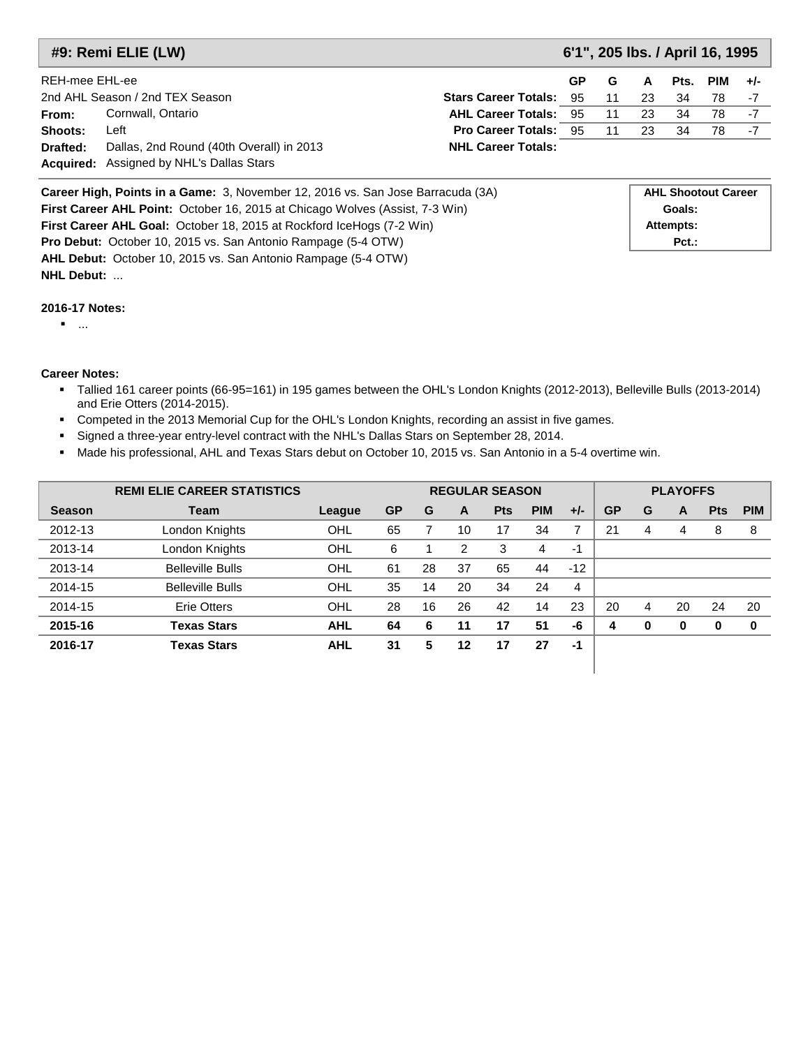|                | 6'1", 205 lbs. / April 16, 1995<br>#9: Remi ELIE (LW)                                                              |                                |   |      |            |       |    |    |  |  |  |
|----------------|--------------------------------------------------------------------------------------------------------------------|--------------------------------|---|------|------------|-------|----|----|--|--|--|
| REH-mee EHL-ee |                                                                                                                    | G                              | A | Pts. | <b>PIM</b> | $+/-$ |    |    |  |  |  |
|                | 2nd AHL Season / 2nd TEX Season                                                                                    | <b>Stars Career Totals: 95</b> |   | 11   | 23         | 34    | 78 | -7 |  |  |  |
| From:          | Cornwall, Ontario                                                                                                  | <b>AHL Career Totals: 95</b>   |   | 11   | 23         | 34    | 78 | -7 |  |  |  |
| Shoots:        | Left                                                                                                               | <b>Pro Career Totals: 95</b>   |   | 11   | 23         | 34    | 78 | -7 |  |  |  |
| Drafted:       | Dallas, 2nd Round (40th Overall) in 2013                                                                           | <b>NHL Career Totals:</b>      |   |      |            |       |    |    |  |  |  |
|                | <b>Acquired:</b> Assigned by NHL's Dallas Stars                                                                    |                                |   |      |            |       |    |    |  |  |  |
|                | <b>AHL Shootout Career</b><br><b>Career High, Points in a Game:</b> 3 November 12 2016 vs. San Jose Barracuda (3A) |                                |   |      |            |       |    |    |  |  |  |

| Career High, Points in a Game: 3, November 12, 2016 vs. San Jose Barracuda (3A)     | <b>AHL Shootout Career</b> |
|-------------------------------------------------------------------------------------|----------------------------|
| <b>First Career AHL Point:</b> October 16, 2015 at Chicago Wolves (Assist, 7-3 Win) | Goals:                     |
| <b>First Career AHL Goal:</b> October 18, 2015 at Rockford IceHogs (7-2 Win)        | Attempts:                  |
| <b>Pro Debut:</b> October 10, 2015 vs. San Antonio Rampage (5-4 OTW)                | $Pct.$ :                   |
| AHL Debut: October 10, 2015 vs. San Antonio Rampage (5-4 OTW)                       |                            |

**NHL Debut:** ...

...

- Tallied 161 career points (66-95=161) in 195 games between the OHL's London Knights (2012-2013), Belleville Bulls (2013-2014) and Erie Otters (2014-2015).
- Competed in the 2013 Memorial Cup for the OHL's London Knights, recording an assist in five games.
- Signed a three-year entry-level contract with the NHL's Dallas Stars on September 28, 2014.
- Made his professional, AHL and Texas Stars debut on October 10, 2015 vs. San Antonio in a 5-4 overtime win.

|               | <b>REMI ELIE CAREER STATISTICS</b> |            |           |    |    | <b>REGULAR SEASON</b> |            |       |           |          | <b>PLAYOFFS</b> |            |            |
|---------------|------------------------------------|------------|-----------|----|----|-----------------------|------------|-------|-----------|----------|-----------------|------------|------------|
| <b>Season</b> | <b>Team</b>                        | League     | <b>GP</b> | G  | A  | <b>Pts</b>            | <b>PIM</b> | $+/-$ | <b>GP</b> | G        | A               | <b>Pts</b> | <b>PIM</b> |
| 2012-13       | London Knights                     | OHL        | 65        |    | 10 | 17                    | 34         |       | 21        | 4        | 4               | 8          | 8          |
| 2013-14       | London Knights                     | OHL        | 6         |    | 2  | 3                     | 4          | $-1$  |           |          |                 |            |            |
| 2013-14       | <b>Belleville Bulls</b>            | OHL        | 61        | 28 | 37 | 65                    | 44         | $-12$ |           |          |                 |            |            |
| 2014-15       | <b>Belleville Bulls</b>            | OHL        | 35        | 14 | 20 | 34                    | 24         | 4     |           |          |                 |            |            |
| 2014-15       | <b>Erie Otters</b>                 | OHL        | 28        | 16 | 26 | 42                    | 14         | 23    | 20        | 4        | 20              | 24         | 20         |
| 2015-16       | <b>Texas Stars</b>                 | <b>AHL</b> | 64        | 6  | 11 | 17                    | 51         | -6    | 4         | $\bf{0}$ | $\bf{0}$        | 0          | 0          |
| 2016-17       | <b>Texas Stars</b>                 | <b>AHL</b> | 31        | 5  | 12 | 17                    | 27         | $-1$  |           |          |                 |            |            |
|               |                                    |            |           |    |    |                       |            |       |           |          |                 |            |            |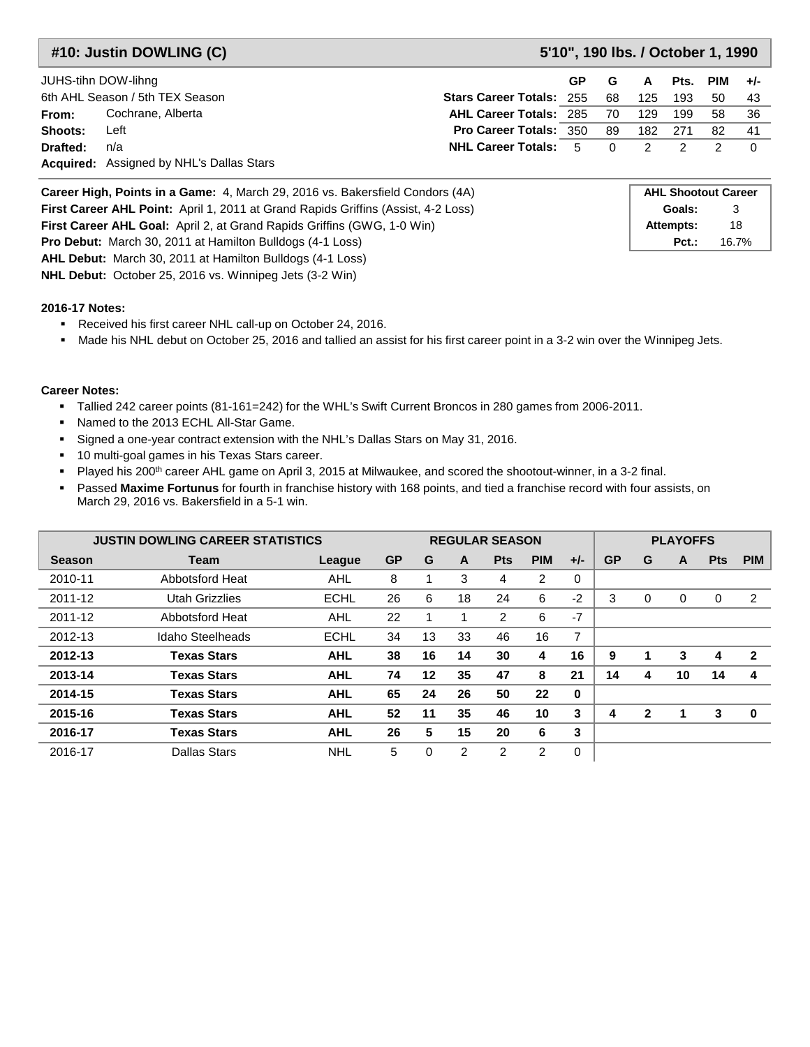**#10: Justin DOWLING (C) 5'10", 190 lbs. / October 1, 1990**

| JUHS-tihn DOW-lihng |                                                 |                                 | GP. | G    | A       | Pts. | PIM | $+/-$ |
|---------------------|-------------------------------------------------|---------------------------------|-----|------|---------|------|-----|-------|
|                     | 6th AHL Season / 5th TEX Season                 | <b>Stars Career Totals: 255</b> |     | 68   | 125     | 193  | 50  | -43   |
| From:               | Cochrane, Alberta                               | <b>AHL Career Totals: 285</b>   |     | - 70 | 129     | 199  | 58. | - 36  |
| Shoots:             | Left                                            | <b>Pro Career Totals: 350</b>   |     | 89   | 182     | -271 | 82  | -41   |
| Drafted:            | n/a                                             | <b>NHL Career Totals: 5 0</b>   |     |      | $2 \t2$ |      |     |       |
|                     | <b>Acquired:</b> Assigned by NHL's Dallas Stars |                                 |     |      |         |      |     |       |

| Career High, Points in a Game: 4, March 29, 2016 vs. Bakersfield Condors (4A)            | <b>AHL Shootout Career</b> |       |
|------------------------------------------------------------------------------------------|----------------------------|-------|
| <b>First Career AHL Point:</b> April 1, 2011 at Grand Rapids Griffins (Assist, 4-2 Loss) | Goals:                     |       |
| <b>First Career AHL Goal:</b> April 2, at Grand Rapids Griffins (GWG, 1-0 Win)           | Attempts:                  | 18    |
| <b>Pro Debut:</b> March 30, 2011 at Hamilton Bulldogs (4-1 Loss)                         | $Pct.$ :                   | 16.7% |
| <b>AHL Debut:</b> March 30, 2011 at Hamilton Bulldogs (4-1 Loss)                         |                            |       |

**NHL Debut:** October 25, 2016 vs. Winnipeg Jets (3-2 Win)

#### **2016-17 Notes:**

- Received his first career NHL call-up on October 24, 2016.
- Made his NHL debut on October 25, 2016 and tallied an assist for his first career point in a 3-2 win over the Winnipeg Jets.

- Tallied 242 career points (81-161=242) for the WHL's Swift Current Broncos in 280 games from 2006-2011.
- Named to the 2013 ECHL All-Star Game.
- Signed a one-year contract extension with the NHL's Dallas Stars on May 31, 2016.
- 10 multi-goal games in his Texas Stars career.
- Played his 200<sup>th</sup> career AHL game on April 3, 2015 at Milwaukee, and scored the shootout-winner, in a 3-2 final.
- Passed **Maxime Fortunus** for fourth in franchise history with 168 points, and tied a franchise record with four assists, on March 29, 2016 vs. Bakersfield in a 5-1 win.

| <b>JUSTIN DOWLING CAREER STATISTICS</b> |                    |             | <b>PLAYOFFS</b><br><b>REGULAR SEASON</b> |    |                |                |               |       |           |              |          |            |            |
|-----------------------------------------|--------------------|-------------|------------------------------------------|----|----------------|----------------|---------------|-------|-----------|--------------|----------|------------|------------|
| <b>Season</b>                           | Team               | League      | <b>GP</b>                                | G  | A              | <b>Pts</b>     | <b>PIM</b>    | $+/-$ | <b>GP</b> | G            | A        | <b>Pts</b> | <b>PIM</b> |
| 2010-11                                 | Abbotsford Heat    | AHL         | 8                                        |    | 3              | 4              | 2             | 0     |           |              |          |            |            |
| 2011-12                                 | Utah Grizzlies     | <b>ECHL</b> | 26                                       | 6  | 18             | 24             | 6             | $-2$  | 3         | 0            | $\Omega$ | 0          | 2          |
| 2011-12                                 | Abbotsford Heat    | AHL         | 22                                       |    |                | $\overline{2}$ | 6             | $-7$  |           |              |          |            |            |
| 2012-13                                 | Idaho Steelheads   | <b>ECHL</b> | 34                                       | 13 | 33             | 46             | 16            | 7     |           |              |          |            |            |
| 2012-13                                 | <b>Texas Stars</b> | <b>AHL</b>  | 38                                       | 16 | 14             | 30             | 4             | 16    | 9         |              | 3        | 4          | 2          |
| 2013-14                                 | <b>Texas Stars</b> | <b>AHL</b>  | 74                                       | 12 | 35             | 47             | 8             | 21    | 14        | 4            | 10       | 14         | 4          |
| 2014-15                                 | <b>Texas Stars</b> | <b>AHL</b>  | 65                                       | 24 | 26             | 50             | 22            | 0     |           |              |          |            |            |
| 2015-16                                 | <b>Texas Stars</b> | <b>AHL</b>  | 52                                       | 11 | 35             | 46             | 10            | 3     | 4         | $\mathbf{2}$ |          | 3          | $\bf{0}$   |
| 2016-17                                 | <b>Texas Stars</b> | <b>AHL</b>  | 26                                       | 5  | 15             | 20             | 6             | 3     |           |              |          |            |            |
| 2016-17                                 | Dallas Stars       | NHL         | 5                                        | 0  | $\overline{2}$ | $\mathcal{P}$  | $\mathcal{P}$ | 0     |           |              |          |            |            |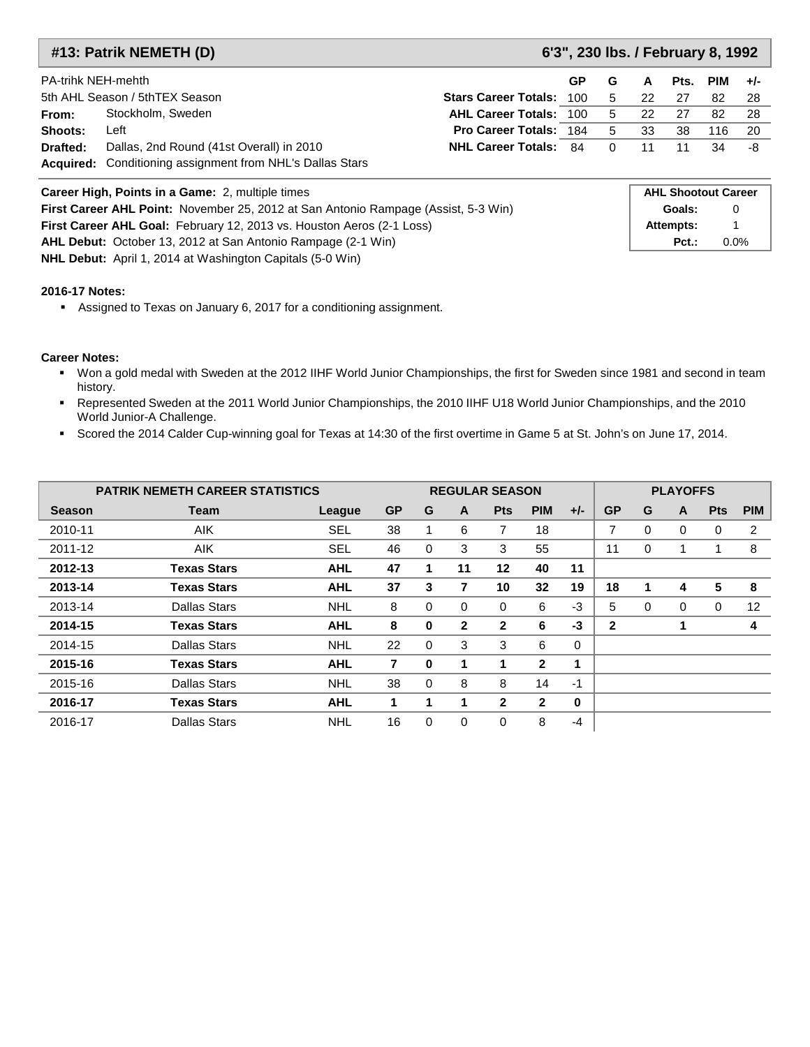### **#13: Patrik NEMETH (D) 6'3", 230 lbs. / February 8, 1992**

**Pct.:** 0.0%

**Attempts:** 1

|                                                         | <b>PA-trihk NEH-mehth</b><br>G<br>GP                                               |                               |                            |          |    |      |            |       |
|---------------------------------------------------------|------------------------------------------------------------------------------------|-------------------------------|----------------------------|----------|----|------|------------|-------|
|                                                         |                                                                                    |                               |                            |          | A  | Pts. | <b>PIM</b> | $+/-$ |
|                                                         | 5th AHL Season / 5thTEX Season<br><b>Stars Career Totals: 100</b>                  |                               |                            |          | 22 | 27   | 82         | -28   |
| From:                                                   | Stockholm, Sweden                                                                  | <b>AHL Career Totals: 100</b> |                            | -5       | 22 | -27  | 82         | -28   |
| Shoots:                                                 | Left                                                                               | <b>Pro Career Totals: 184</b> |                            | 5        | 33 | 38   | 116        | -20   |
| Drafted:                                                | Dallas, 2nd Round (41st Overall) in 2010                                           | <b>NHL Career Totals: 84</b>  |                            | $\Omega$ | 11 | 11   | 34         | -8    |
|                                                         | <b>Acquired:</b> Conditioning assignment from NHL's Dallas Stars                   |                               |                            |          |    |      |            |       |
| <b>Career High, Points in a Game: 2, multiple times</b> |                                                                                    |                               | <b>AHL Shootout Career</b> |          |    |      |            |       |
|                                                         | First Career AHL Point: November 25, 2012 at San Antonio Rampage (Assist, 5-3 Win) |                               |                            |          |    |      |            | 0     |

**AHL Debut:** October 13, 2012 at San Antonio Rampage (2-1 Win) **NHL Debut:** April 1, 2014 at Washington Capitals (5-0 Win)

#### **2016-17 Notes:**

Assigned to Texas on January 6, 2017 for a conditioning assignment.

**First Career AHL Goal:** February 12, 2013 vs. Houston Aeros (2-1 Loss)

- Won a gold medal with Sweden at the 2012 IIHF World Junior Championships, the first for Sweden since 1981 and second in team history.
- Represented Sweden at the 2011 World Junior Championships, the 2010 IIHF U18 World Junior Championships, and the 2010 World Junior-A Challenge.
- Scored the 2014 Calder Cup-winning goal for Texas at 14:30 of the first overtime in Game 5 at St. John's on June 17, 2014.

|               | <b>PATRIK NEMETH CAREER STATISTICS</b> |            |           | <b>REGULAR SEASON</b> |              |              |              |       |           | <b>PLAYOFFS</b> |   |            |            |  |  |
|---------------|----------------------------------------|------------|-----------|-----------------------|--------------|--------------|--------------|-------|-----------|-----------------|---|------------|------------|--|--|
| <b>Season</b> | <b>Team</b>                            | League     | <b>GP</b> | G                     | $\mathbf{A}$ | <b>Pts</b>   | <b>PIM</b>   | $+/-$ | <b>GP</b> | G               | A | <b>Pts</b> | <b>PIM</b> |  |  |
| 2010-11       | <b>AIK</b>                             | SEL        | 38        |                       | 6            | 7            | 18           |       | 7         | 0               | 0 | 0          | 2          |  |  |
| 2011-12       | <b>AIK</b>                             | <b>SEL</b> | 46        | 0                     | 3            | 3            | 55           |       | 11        | 0               |   |            | 8          |  |  |
| 2012-13       | <b>Texas Stars</b>                     | <b>AHL</b> | 47        | 1                     | 11           | $12 \,$      | 40           | 11    |           |                 |   |            |            |  |  |
| 2013-14       | <b>Texas Stars</b>                     | <b>AHL</b> | 37        | 3                     | 7            | 10           | 32           | 19    | 18        |                 | 4 | 5          | 8          |  |  |
| 2013-14       | Dallas Stars                           | <b>NHL</b> | 8         | 0                     | 0            | 0            | 6            | $-3$  | 5         | 0               | 0 | 0          | 12         |  |  |
| 2014-15       | <b>Texas Stars</b>                     | <b>AHL</b> | 8         | 0                     | 2            | 2            | 6            | $-3$  | 2         |                 |   |            | 4          |  |  |
| 2014-15       | Dallas Stars                           | <b>NHL</b> | 22        | 0                     | 3            | 3            | 6            | 0     |           |                 |   |            |            |  |  |
| 2015-16       | <b>Texas Stars</b>                     | <b>AHL</b> | 7         | 0                     | 1            |              | $\mathbf{2}$ | 1     |           |                 |   |            |            |  |  |
| 2015-16       | Dallas Stars                           | <b>NHL</b> | 38        | $\Omega$              | 8            | 8            | 14           | $-1$  |           |                 |   |            |            |  |  |
| 2016-17       | <b>Texas Stars</b>                     | <b>AHL</b> | 1         | 1                     | 1            | $\mathbf{2}$ | $\mathbf{2}$ | 0     |           |                 |   |            |            |  |  |
| 2016-17       | <b>Dallas Stars</b>                    | <b>NHL</b> | 16        | 0                     | 0            | 0            | 8            | $-4$  |           |                 |   |            |            |  |  |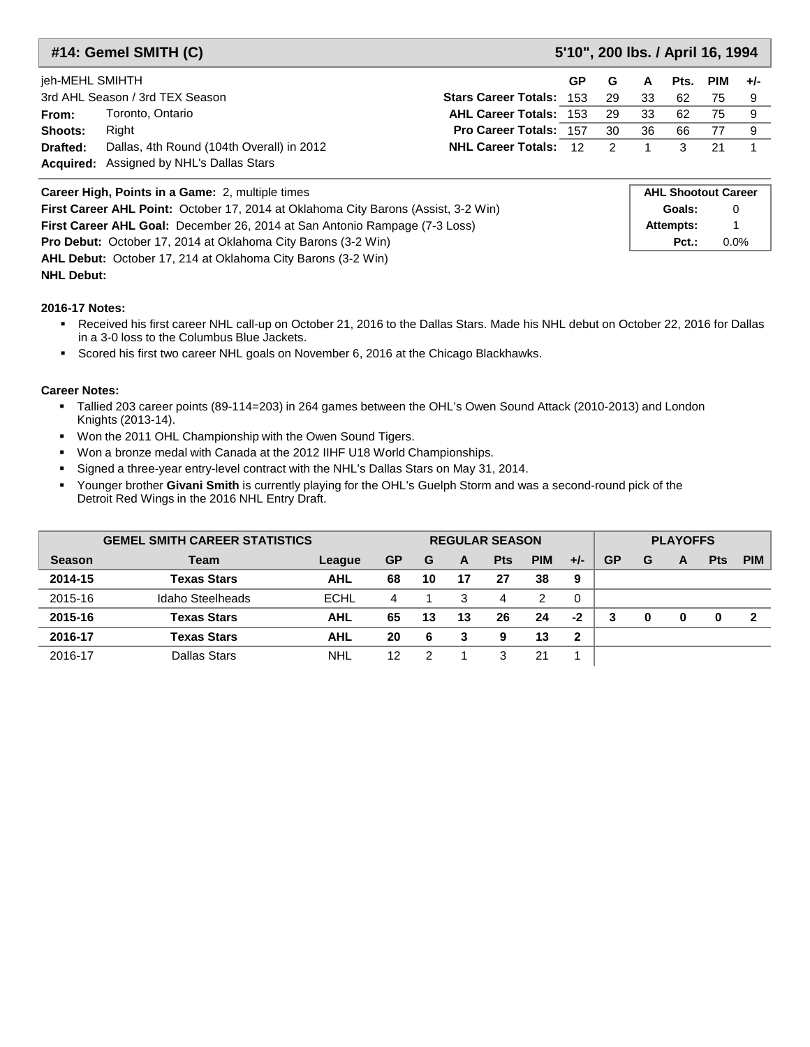### **#14: Gemel SMITH (C) 5'10", 200 lbs. / April 16, 1994**

| jeh-MEHL SMIHTH |                                                                                              |                                 | <b>GP</b> | G   | A    | Pts. | PIM | $+/-$ |
|-----------------|----------------------------------------------------------------------------------------------|---------------------------------|-----------|-----|------|------|-----|-------|
|                 | 3rd AHL Season / 3rd TEX Season                                                              | <b>Stars Career Totals: 153</b> |           | -29 | 33   | 62   | 75. |       |
| From:           | Toronto, Ontario                                                                             | <b>AHL Career Totals: 153</b>   |           | 29  | - 33 | -62  | 75  |       |
| Shoots:         | Riaht                                                                                        | <b>Pro Career Totals: 157</b>   |           | 30  | 36   | 66   |     |       |
| Drafted:        | Dallas, 4th Round (104th Overall) in 2012<br><b>Acquired:</b> Assigned by NHL's Dallas Stars | <b>NHL Career Totals: 12 2</b>  |           |     |      |      |     |       |

| <b>Career High, Points in a Game: 2, multiple times</b>                                   | <b>AHL Shootout Career</b> |         |  |  |  |  |
|-------------------------------------------------------------------------------------------|----------------------------|---------|--|--|--|--|
| <b>First Career AHL Point:</b> October 17, 2014 at Oklahoma City Barons (Assist, 3-2 Win) | Goals:                     |         |  |  |  |  |
| <b>First Career AHL Goal:</b> December 26, 2014 at San Antonio Rampage (7-3 Loss)         | Attempts:                  |         |  |  |  |  |
| <b>Pro Debut:</b> October 17, 2014 at Oklahoma City Barons (3-2 Win)                      | $Pct.$ :                   | $0.0\%$ |  |  |  |  |
| AHL Debut: October 17, 214 at Oklahoma City Barons (3-2 Win)                              |                            |         |  |  |  |  |

### **NHL Debut:**

#### **2016-17 Notes:**

- Received his first career NHL call-up on October 21, 2016 to the Dallas Stars. Made his NHL debut on October 22, 2016 for Dallas in a 3-0 loss to the Columbus Blue Jackets.
- Scored his first two career NHL goals on November 6, 2016 at the Chicago Blackhawks.

- Tallied 203 career points (89-114=203) in 264 games between the OHL's Owen Sound Attack (2010-2013) and London Knights (2013-14).
- Won the 2011 OHL Championship with the Owen Sound Tigers.
- Won a bronze medal with Canada at the 2012 IIHF U18 World Championships.
- Signed a three-year entry-level contract with the NHL's Dallas Stars on May 31, 2014.
- Younger brother Givani Smith is currently playing for the OHL's Guelph Storm and was a second-round pick of the Detroit Red Wings in the 2016 NHL Entry Draft.

| <b>GEMEL SMITH CAREER STATISTICS</b> |                     |             |           | <b>REGULAR SEASON</b> |    |            |            |       |           | <b>PLAYOFFS</b> |          |            |            |  |  |
|--------------------------------------|---------------------|-------------|-----------|-----------------------|----|------------|------------|-------|-----------|-----------------|----------|------------|------------|--|--|
| <b>Season</b>                        | Team                | League      | <b>GP</b> | G                     | A  | <b>Pts</b> | <b>PIM</b> | $+/-$ | <b>GP</b> | G               | A        | <b>Pts</b> | <b>PIM</b> |  |  |
| 2014-15                              | Texas Stars         | <b>AHL</b>  | 68        | 10                    | 17 | 27         | 38         | 9     |           |                 |          |            |            |  |  |
| 2015-16                              | Idaho Steelheads    | <b>ECHL</b> | 4         |                       | 3  | 4          | 2          | 0     |           |                 |          |            |            |  |  |
| 2015-16                              | Texas Stars         | <b>AHL</b>  | 65        | 13                    | 13 | 26         | 24         | -2    | 3         | 0               | $\bf{0}$ | 0          | 2          |  |  |
| 2016-17                              | Texas Stars         | <b>AHL</b>  | 20        | 6                     | 3  | 9          | 13         | 2     |           |                 |          |            |            |  |  |
| 2016-17                              | <b>Dallas Stars</b> | <b>NHL</b>  | 12        | っ                     |    | 3          | 21         |       |           |                 |          |            |            |  |  |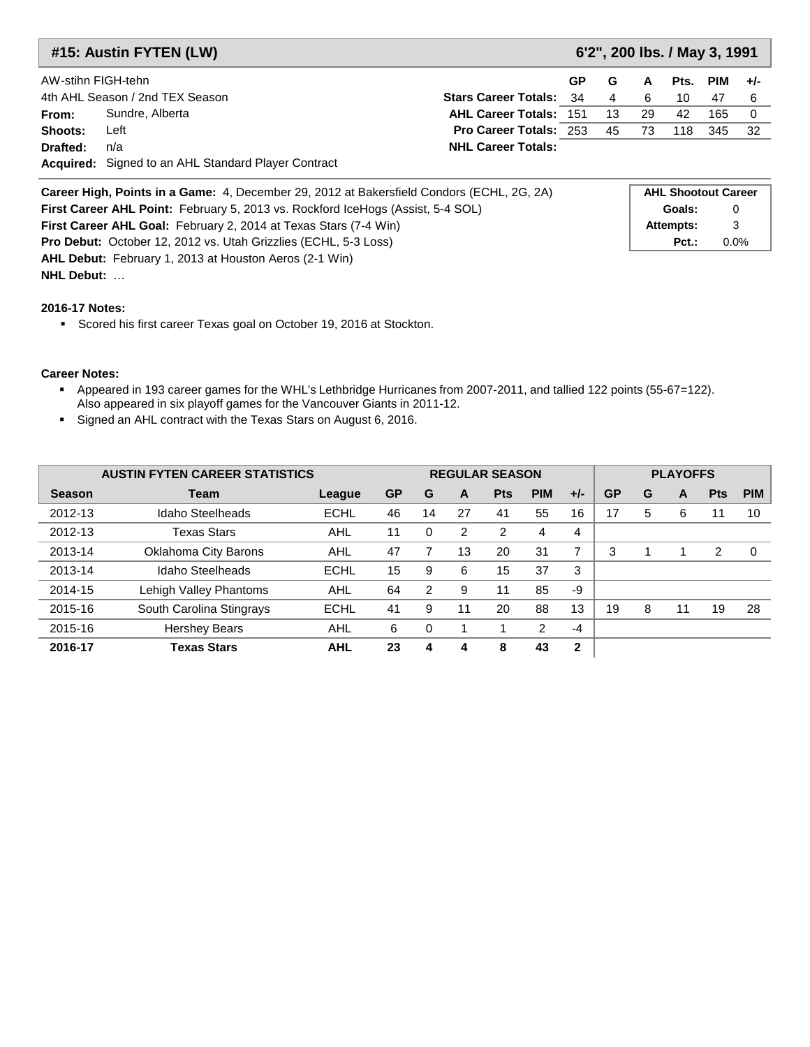| #15: Austin FYTEN (LW)                                                                           |                                                                   |                               | 6'2", 200 lbs. / May 3, 1991 |    |    |     |     |      |  |  |  |
|--------------------------------------------------------------------------------------------------|-------------------------------------------------------------------|-------------------------------|------------------------------|----|----|-----|-----|------|--|--|--|
|                                                                                                  | AW-stihn FIGH-tehn<br>G<br><b>GP</b>                              |                               |                              |    |    |     |     |      |  |  |  |
|                                                                                                  | 4th AHL Season / 2nd TEX Season<br><b>Stars Career Totals: 34</b> |                               |                              | 4  | 6  | 10  | 47  | -6   |  |  |  |
| From:                                                                                            | Sundre, Alberta                                                   | <b>AHL Career Totals: 151</b> |                              | 13 | 29 | 42  | 165 | 0    |  |  |  |
| Shoots:                                                                                          | Left                                                              | <b>Pro Career Totals: 253</b> |                              | 45 | 73 | 118 | 345 | - 32 |  |  |  |
| Drafted:                                                                                         | n/a                                                               | <b>NHL Career Totals:</b>     |                              |    |    |     |     |      |  |  |  |
|                                                                                                  | <b>Acquired:</b> Signed to an AHL Standard Player Contract        |                               |                              |    |    |     |     |      |  |  |  |
| <b>Career High, Points in a Game:</b> 4, December 29, 2012 at Bakersfield Condors (ECHL, 2G, 2A) |                                                                   |                               | <b>AHL Shootout Career</b>   |    |    |     |     |      |  |  |  |

**AHL Debut:** February 1, 2013 at Houston Aeros (2-1 Win) **NHL Debut:** … **First Career AHL Goal:** February 2, 2014 at Texas Stars (7-4 Win) **Attempts:** 3 **Pro Debut:** October 12, 2012 vs. Utah Grizzlies (ECHL, 5-3 Loss) **Pct.: Pct.:** 0.0% **First Career AHL Point:** February 5, 2013 vs. Rockford IceHogs (Assist, 5-4 SOL) **Goals:** 0

#### **2016-17 Notes:**

Scored his first career Texas goal on October 19, 2016 at Stockton.

- Appeared in 193 career games for the WHL's Lethbridge Hurricanes from 2007-2011, and tallied 122 points (55-67=122). Also appeared in six playoff games for the Vancouver Giants in 2011-12.
- Signed an AHL contract with the Texas Stars on August 6, 2016.

|               | <b>AUSTIN FYTEN CAREER STATISTICS</b> |             |           |    | <b>REGULAR SEASON</b> |            |            |              |           | <b>PLAYOFFS</b> |    |            |            |  |  |
|---------------|---------------------------------------|-------------|-----------|----|-----------------------|------------|------------|--------------|-----------|-----------------|----|------------|------------|--|--|
| <b>Season</b> | Team                                  | League      | <b>GP</b> | G  | A                     | <b>Pts</b> | <b>PIM</b> | $+/-$        | <b>GP</b> | G               | A  | <b>Pts</b> | <b>PIM</b> |  |  |
| 2012-13       | Idaho Steelheads                      | <b>ECHL</b> | 46        | 14 | 27                    | 41         | 55         | 16           | 17        | 5               | 6  | 11         | 10         |  |  |
| 2012-13       | <b>Texas Stars</b>                    | AHL         | 11        | 0  | 2                     | 2          | 4          | 4            |           |                 |    |            |            |  |  |
| 2013-14       | Oklahoma City Barons                  | AHL         | 47        |    | 13                    | 20         | 31         | 7            | 3         |                 |    | 2          | $\Omega$   |  |  |
| 2013-14       | Idaho Steelheads                      | <b>ECHL</b> | 15        | 9  | 6                     | 15         | 37         | 3            |           |                 |    |            |            |  |  |
| 2014-15       | Lehigh Valley Phantoms                | <b>AHL</b>  | 64        | 2  | 9                     | 11         | 85         | -9           |           |                 |    |            |            |  |  |
| 2015-16       | South Carolina Stingrays              | <b>ECHL</b> | 41        | 9  | 11                    | 20         | 88         | 13           | 19        | 8               | 11 | 19         | 28         |  |  |
| 2015-16       | <b>Hershey Bears</b>                  | AHL         | 6         | 0  |                       |            | 2          | $-4$         |           |                 |    |            |            |  |  |
| 2016-17       | <b>Texas Stars</b>                    | <b>AHL</b>  | 23        | 4  | 4                     | 8          | 43         | $\mathbf{2}$ |           |                 |    |            |            |  |  |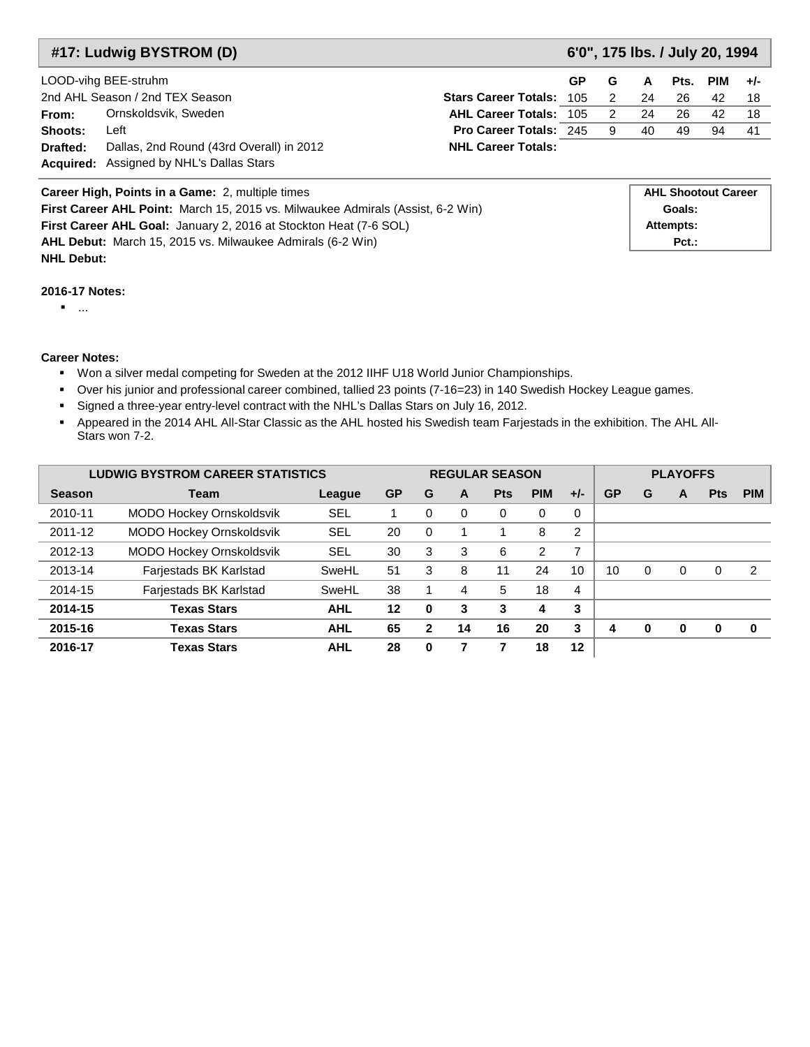### **#17: Ludwig BYSTROM (D) 6'0", 175 lbs. / July 20, 1994**

|          | LOOD-vihg BEE-struhm<br>GP.                     |                                   |  |  | A  |     | Pts. PIM | $+/-$ |
|----------|-------------------------------------------------|-----------------------------------|--|--|----|-----|----------|-------|
|          | 2nd AHL Season / 2nd TEX Season                 | <b>Stars Career Totals: 105 2</b> |  |  | 24 | -26 | 42       | 18    |
| From:    | Ornskoldsvik, Sweden                            | AHL Career Totals: 105 2          |  |  | 24 | -26 | 42       | 18    |
| Shoots:  | Left                                            | <b>Pro Career Totals: 245 9</b>   |  |  | 40 | 49  | 94       | -41   |
| Drafted: | Dallas, 2nd Round (43rd Overall) in 2012        | <b>NHL Career Totals:</b>         |  |  |    |     |          |       |
|          | <b>Acquired:</b> Assigned by NHL's Dallas Stars |                                   |  |  |    |     |          |       |

| Career High, Points in a Game: 2, multiple times                                       | <b>AHL Shootout Career</b> |
|----------------------------------------------------------------------------------------|----------------------------|
| <b>First Career AHL Point:</b> March 15, 2015 vs. Milwaukee Admirals (Assist, 6-2 Win) | Goals:                     |
| First Career AHL Goal: January 2, 2016 at Stockton Heat (7-6 SOL)                      | Attempts:                  |
| <b>AHL Debut:</b> March 15, 2015 vs. Milwaukee Admirals (6-2 Win)                      | $Pct.$ :                   |
| <b>NHL Debut:</b>                                                                      |                            |

#### **2016-17 Notes:**

...

- Won a silver medal competing for Sweden at the 2012 IIHF U18 World Junior Championships.
- Over his junior and professional career combined, tallied 23 points (7-16=23) in 140 Swedish Hockey League games.
- Signed a three-year entry-level contract with the NHL's Dallas Stars on July 16, 2012.
- Appeared in the 2014 AHL All-Star Classic as the AHL hosted his Swedish team Farjestads in the exhibition. The AHL All-Stars won 7-2.

|               | <b>LUDWIG BYSTROM CAREER STATISTICS</b> |            |           | <b>REGULAR SEASON</b> |    |            |            |       | <b>PLAYOFFS</b> |   |              |            |            |  |
|---------------|-----------------------------------------|------------|-----------|-----------------------|----|------------|------------|-------|-----------------|---|--------------|------------|------------|--|
| <b>Season</b> | Team                                    | League     | <b>GP</b> | G                     | A  | <b>Pts</b> | <b>PIM</b> | $+/-$ | <b>GP</b>       | G | A            | <b>Pts</b> | <b>PIM</b> |  |
| 2010-11       | <b>MODO Hockey Ornskoldsvik</b>         | SEL        |           | 0                     | 0  | 0          | 0          | 0     |                 |   |              |            |            |  |
| 2011-12       | MODO Hockey Ornskoldsvik                | <b>SEL</b> | 20        | $\Omega$              |    |            | 8          | 2     |                 |   |              |            |            |  |
| 2012-13       | MODO Hockey Ornskoldsvik                | SEL        | 30        | 3                     | 3  | 6          | 2          | 7     |                 |   |              |            |            |  |
| 2013-14       | Farjestads BK Karlstad                  | SweHL      | 51        | 3                     | 8  | 11         | 24         | 10    | 10              | 0 | $\Omega$     | O          | 2          |  |
| 2014-15       | Farjestads BK Karlstad                  | SweHL      | 38        |                       | 4  | 5          | 18         | 4     |                 |   |              |            |            |  |
| 2014-15       | <b>Texas Stars</b>                      | <b>AHL</b> | 12        | $\bf{0}$              | 3  | 3          | 4          | 3     |                 |   |              |            |            |  |
| 2015-16       | <b>Texas Stars</b>                      | <b>AHL</b> | 65        | 2                     | 14 | 16         | 20         | 3     | 4               | 0 | <sup>0</sup> |            | $\bf{0}$   |  |
| 2016-17       | <b>Texas Stars</b>                      | <b>AHL</b> | 28        | 0                     |    |            | 18         | 12    |                 |   |              |            |            |  |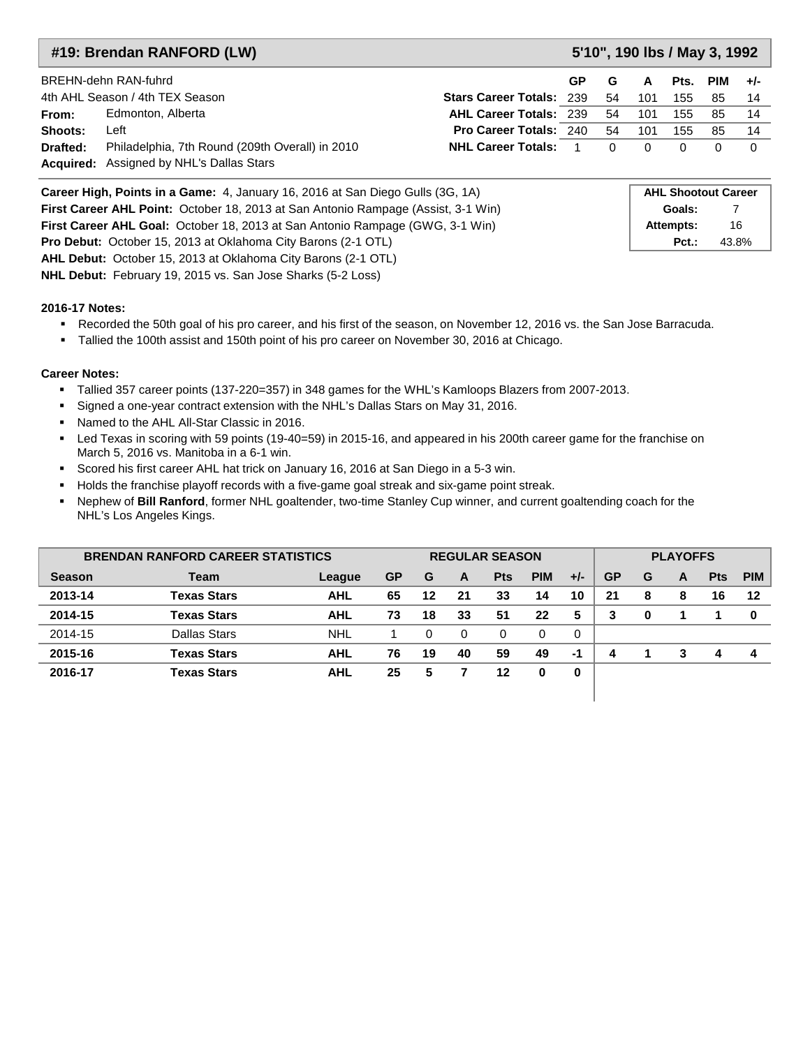| 5'10", 190 lbs / May 3, 1992<br>#19: Brendan RANFORD (LW) |                                                                                                    |                                 |  |    |     |          |     |       |  |  |  |
|-----------------------------------------------------------|----------------------------------------------------------------------------------------------------|---------------------------------|--|----|-----|----------|-----|-------|--|--|--|
|                                                           | BREHN-dehn RAN-fuhrd<br>GP                                                                         |                                 |  |    |     |          | PIM | $+/-$ |  |  |  |
|                                                           | 4th AHL Season / 4th TEX Season                                                                    | <b>Stars Career Totals: 239</b> |  | 54 | 101 | 155      | 85  | - 14  |  |  |  |
| From:                                                     | Edmonton, Alberta                                                                                  | <b>AHL Career Totals: 239</b>   |  | 54 | 101 | 155      | 85  | - 14  |  |  |  |
| Shoots:                                                   | Left                                                                                               | <b>Pro Career Totals: 240</b>   |  | 54 | 101 | 155      | 85  | -14   |  |  |  |
| Drafted:                                                  | Philadelphia, 7th Round (209th Overall) in 2010<br><b>Acquired:</b> Assigned by NHL's Dallas Stars | <b>NHL Career Totals:</b>       |  | 0  | 0   | $\Omega$ |     | -0    |  |  |  |

| Career High, Points in a Game: 4, January 16, 2016 at San Diego Gulls (3G, 1A)       | <b>AHL Shootout Career</b> |       |
|--------------------------------------------------------------------------------------|----------------------------|-------|
| First Career AHL Point: October 18, 2013 at San Antonio Rampage (Assist, 3-1 Win)    | Goals:                     |       |
| <b>First Career AHL Goal: October 18, 2013 at San Antonio Rampage (GWG, 3-1 Win)</b> | Attempts:                  | 16    |
| <b>Pro Debut:</b> October 15, 2013 at Oklahoma City Barons (2-1 OTL)                 | $Pct.$ :                   | 43.8% |
| <b>AHL Debut:</b> October 15, 2013 at Oklahoma City Barons (2-1 OTL)                 |                            |       |

**NHL Debut:** February 19, 2015 vs. San Jose Sharks (5-2 Loss)

#### **2016-17 Notes:**

- Recorded the 50th goal of his pro career, and his first of the season, on November 12, 2016 vs. the San Jose Barracuda.
- Tallied the 100th assist and 150th point of his pro career on November 30, 2016 at Chicago.

#### **Career Notes:**

- Tallied 357 career points (137-220=357) in 348 games for the WHL's Kamloops Blazers from 2007-2013.
- Signed a one-year contract extension with the NHL's Dallas Stars on May 31, 2016.
- **Named to the AHL All-Star Classic in 2016.**
- Led Texas in scoring with 59 points (19-40=59) in 2015-16, and appeared in his 200th career game for the franchise on March 5, 2016 vs. Manitoba in a 6-1 win.
- Scored his first career AHL hat trick on January 16, 2016 at San Diego in a 5-3 win.
- Holds the franchise playoff records with a five-game goal streak and six-game point streak.
- Nephew of **Bill Ranford**, former NHL goaltender, two-time Stanley Cup winner, and current goaltending coach for the NHL's Los Angeles Kings.

| <b>BRENDAN RANFORD CAREER STATISTICS</b> |                     |            |           | <b>REGULAR SEASON</b> |    |            |            |       |           |   | <b>PLAYOFFS</b> |            |            |  |  |  |
|------------------------------------------|---------------------|------------|-----------|-----------------------|----|------------|------------|-------|-----------|---|-----------------|------------|------------|--|--|--|
| <b>Season</b>                            | Team                | League     | <b>GP</b> | G                     | A  | <b>Pts</b> | <b>PIM</b> | $+/-$ | <b>GP</b> | G | A               | <b>Pts</b> | <b>PIM</b> |  |  |  |
| 2013-14                                  | <b>Texas Stars</b>  | <b>AHL</b> | 65        | 12                    | 21 | 33         | 14         | 10    | 21        | 8 | 8               | 16         | 12         |  |  |  |
| 2014-15                                  | <b>Texas Stars</b>  | <b>AHL</b> | 73        | 18                    | 33 | 51         | 22         | 5     | 3         | 0 |                 |            | 0          |  |  |  |
| 2014-15                                  | <b>Dallas Stars</b> | <b>NHL</b> |           | 0                     | 0  | 0          | 0          | 0     |           |   |                 |            |            |  |  |  |
| 2015-16                                  | <b>Texas Stars</b>  | <b>AHL</b> | 76        | 19                    | 40 | 59         | 49         | -1    | 4         |   | 3               | 4          | д          |  |  |  |
| 2016-17                                  | <b>Texas Stars</b>  | <b>AHL</b> | 25        | 5                     |    | 12         |            | 0     |           |   |                 |            |            |  |  |  |

I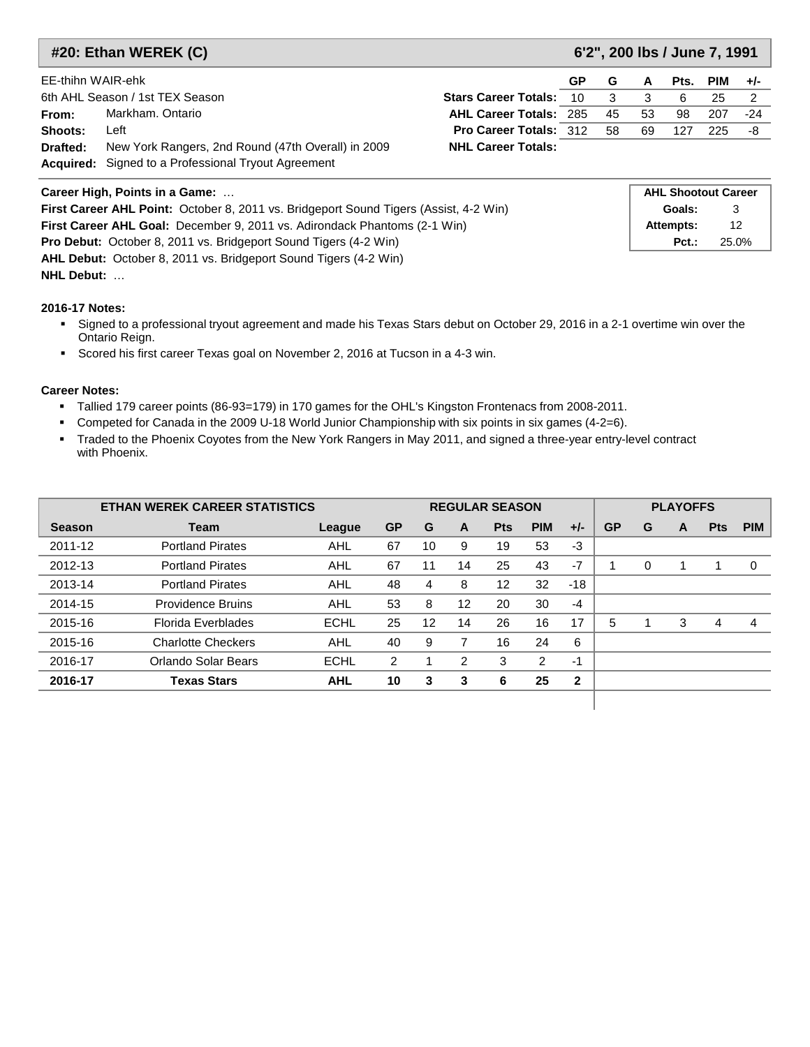|                                | #20: Ethan WEREK (C)<br>6'2", 200 lbs / June 7, 1991       |                               |                            |    |    |      |     |                |  |  |  |
|--------------------------------|------------------------------------------------------------|-------------------------------|----------------------------|----|----|------|-----|----------------|--|--|--|
| EE-thihn WAIR-ehk              |                                                            |                               | GP                         | G  | A  | Pts. | PIM | $+/-$          |  |  |  |
|                                | 6th AHL Season / 1st TEX Season                            | <b>Stars Career Totals:</b>   | 10                         | 3  | 3  | 6    | 25  | $\overline{2}$ |  |  |  |
| From:                          | Markham, Ontario                                           | <b>AHL Career Totals: 285</b> |                            | 45 | 53 | 98   | 207 | $-24$          |  |  |  |
| Shoots:                        | Left                                                       | <b>Pro Career Totals: 312</b> |                            | 58 | 69 | 127  | 225 | -8             |  |  |  |
| Drafted:                       | New York Rangers, 2nd Round (47th Overall) in 2009         | <b>NHL Career Totals:</b>     |                            |    |    |      |     |                |  |  |  |
|                                | <b>Acquired:</b> Signed to a Professional Tryout Agreement |                               |                            |    |    |      |     |                |  |  |  |
| Career High, Points in a Game: |                                                            |                               | <b>AHL Shootout Career</b> |    |    |      |     |                |  |  |  |

| Career High, Points in a Game:                                                               | ANL SHOOLOUL CATEEL |       |
|----------------------------------------------------------------------------------------------|---------------------|-------|
| <b>First Career AHL Point:</b> October 8, 2011 vs. Bridgeport Sound Tigers (Assist, 4-2 Win) | Goals:              |       |
| <b>First Career AHL Goal:</b> December 9, 2011 vs. Adirondack Phantoms (2-1 Win)             | Attempts:           | 12    |
| <b>Pro Debut:</b> October 8, 2011 vs. Bridgeport Sound Tigers (4-2 Win)                      | $Pct.$ :            | 25.0% |
| <b>AHL Debut:</b> October 8, 2011 vs. Bridgeport Sound Tigers (4-2 Win)                      |                     |       |
| <b>NHL Debut:</b>                                                                            |                     |       |

- Signed to a professional tryout agreement and made his Texas Stars debut on October 29, 2016 in a 2-1 overtime win over the Ontario Reign.
- Scored his first career Texas goal on November 2, 2016 at Tucson in a 4-3 win.

- Tallied 179 career points (86-93=179) in 170 games for the OHL's Kingston Frontenacs from 2008-2011.
- Competed for Canada in the 2009 U-18 World Junior Championship with six points in six games (4-2=6).
- Traded to the Phoenix Coyotes from the New York Rangers in May 2011, and signed a three-year entry-level contract with Phoenix.

|               | <b>ETHAN WEREK CAREER STATISTICS</b> |             |           |    |                   | <b>REGULAR SEASON</b> | <b>PLAYOFFS</b> |              |           |   |   |            |            |
|---------------|--------------------------------------|-------------|-----------|----|-------------------|-----------------------|-----------------|--------------|-----------|---|---|------------|------------|
| <b>Season</b> | Team                                 | League      | <b>GP</b> | G  | A                 | <b>Pts</b>            | <b>PIM</b>      | $+/-$        | <b>GP</b> | G | A | <b>Pts</b> | <b>PIM</b> |
| 2011-12       | <b>Portland Pirates</b>              | AHL         | 67        | 10 | 9                 | 19                    | 53              | $-3$         |           |   |   |            |            |
| 2012-13       | <b>Portland Pirates</b>              | AHL         | 67        | 11 | 14                | 25                    | 43              | $-7$         |           | 0 |   |            | $\Omega$   |
| 2013-14       | <b>Portland Pirates</b>              | <b>AHL</b>  | 48        | 4  | 8                 | 12                    | 32              | $-18$        |           |   |   |            |            |
| 2014-15       | <b>Providence Bruins</b>             | AHL         | 53        | 8  | $12 \overline{ }$ | 20                    | 30              | $-4$         |           |   |   |            |            |
| 2015-16       | Florida Everblades                   | <b>ECHL</b> | 25        | 12 | 14                | 26                    | 16              | 17           | 5         |   | 3 | 4          | 4          |
| 2015-16       | <b>Charlotte Checkers</b>            | <b>AHL</b>  | 40        | 9  | 7                 | 16                    | 24              | 6            |           |   |   |            |            |
| 2016-17       | Orlando Solar Bears                  | <b>ECHL</b> | 2         |    | 2                 | 3                     | 2               | $-1$         |           |   |   |            |            |
| 2016-17       | <b>Texas Stars</b>                   | <b>AHL</b>  | 10        | 3  | 3                 | 6                     | 25              | $\mathbf{2}$ |           |   |   |            |            |
|               |                                      |             |           |    |                   |                       |                 |              |           |   |   |            |            |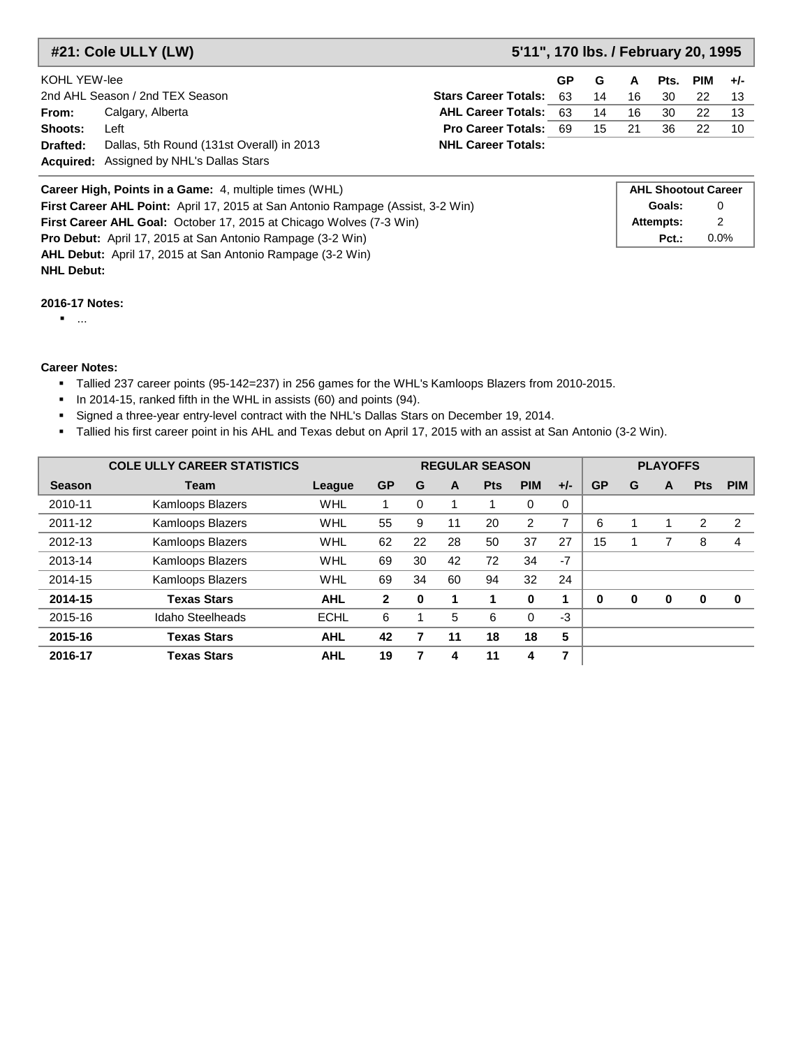**#21: Cole ULLY (LW) 5'11", 170 lbs. / February 20, 1995**

| KOHL YEW-lee    |                                                 |                                    | GP G |    | A  |     | Pts. PIM $+/-$ |     |
|-----------------|-------------------------------------------------|------------------------------------|------|----|----|-----|----------------|-----|
|                 | 2nd AHL Season / 2nd TEX Season                 | <b>Stars Career Totals: 63</b>     |      | 14 | 16 | -30 | 22.            |     |
| From:           | Calgary, Alberta                                | <b>AHL Career Totals: 63</b>       |      | 14 | 16 | -30 | 22.            |     |
| Shoots:         | Left                                            | <b>Pro Career Totals: 69 15 21</b> |      |    |    | 36  | 22.            | -10 |
| <b>Drafted:</b> | Dallas, 5th Round (131st Overall) in 2013       | <b>NHL Career Totals:</b>          |      |    |    |     |                |     |
|                 | <b>Acquired:</b> Assigned by NHL's Dallas Stars |                                    |      |    |    |     |                |     |

| <b>Career High, Points in a Game:</b> 4, multiple times (WHL)                   | <b>AHL Shootout Career</b> |         |
|---------------------------------------------------------------------------------|----------------------------|---------|
| First Career AHL Point: April 17, 2015 at San Antonio Rampage (Assist, 3-2 Win) | Goals:                     | 0       |
| <b>First Career AHL Goal:</b> October 17, 2015 at Chicago Wolves (7-3 Win)      | Attempts:                  |         |
| <b>Pro Debut:</b> April 17, 2015 at San Antonio Rampage (3-2 Win)               | $Pct.$ :                   | $0.0\%$ |
| <b>AHL Debut:</b> April 17, 2015 at San Antonio Rampage (3-2 Win)               |                            |         |

#### **2016-17 Notes:**

...

**NHL Debut:**

- Tallied 237 career points (95-142=237) in 256 games for the WHL's Kamloops Blazers from 2010-2015.
- **In 2014-15, ranked fifth in the WHL in assists (60) and points (94).**
- Signed a three-year entry-level contract with the NHL's Dallas Stars on December 19, 2014.
- Tallied his first career point in his AHL and Texas debut on April 17, 2015 with an assist at San Antonio (3-2 Win).

|               | <b>COLE ULLY CAREER STATISTICS</b> |             |              |              |    | <b>REGULAR SEASON</b> |            |       |           |   | <b>PLAYOFFS</b> |            |            |
|---------------|------------------------------------|-------------|--------------|--------------|----|-----------------------|------------|-------|-----------|---|-----------------|------------|------------|
| <b>Season</b> | <b>Team</b>                        | League      | <b>GP</b>    | G            | A  | <b>Pts</b>            | <b>PIM</b> | $+/-$ | <b>GP</b> | G | A               | <b>Pts</b> | <b>PIM</b> |
| 2010-11       | <b>Kamloops Blazers</b>            | WHL         |              | $\Omega$     |    |                       | 0          | 0     |           |   |                 |            |            |
| 2011-12       | Kamloops Blazers                   | WHL         | 55           | 9            | 11 | 20                    | 2          | 7     | 6         |   |                 | 2          | 2          |
| 2012-13       | Kamloops Blazers                   | WHL         | 62           | 22           | 28 | 50                    | 37         | 27    | 15        |   |                 | 8          | 4          |
| 2013-14       | <b>Kamloops Blazers</b>            | WHL         | 69           | 30           | 42 | 72                    | 34         | $-7$  |           |   |                 |            |            |
| 2014-15       | Kamloops Blazers                   | WHL         | 69           | 34           | 60 | 94                    | 32         | 24    |           |   |                 |            |            |
| 2014-15       | <b>Texas Stars</b>                 | <b>AHL</b>  | $\mathbf{2}$ | $\mathbf{0}$ | 1  |                       | $\bf{0}$   |       | $\bf{0}$  | 0 | $\bf{0}$        | 0          | $\bf{0}$   |
| 2015-16       | Idaho Steelheads                   | <b>ECHL</b> | 6            |              | 5  | 6                     | 0          | -3    |           |   |                 |            |            |
| 2015-16       | <b>Texas Stars</b>                 | <b>AHL</b>  | 42           |              | 11 | 18                    | 18         | 5     |           |   |                 |            |            |
| 2016-17       | <b>Texas Stars</b>                 | <b>AHL</b>  | 19           |              | 4  | 11                    | 4          | 7     |           |   |                 |            |            |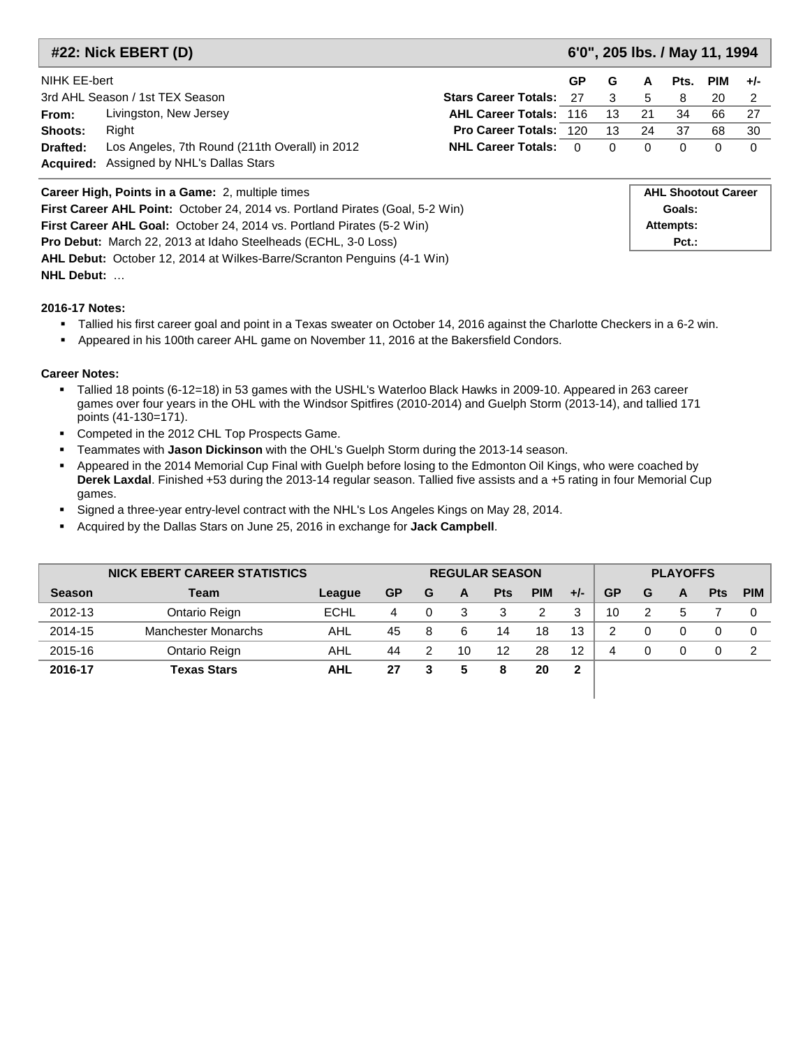|                                                                               | #22: Nick EBERT (D)                                                                  |                                |           | 6'0", 205 lbs. / May 11, 1994 |        |                            |            |          |
|-------------------------------------------------------------------------------|--------------------------------------------------------------------------------------|--------------------------------|-----------|-------------------------------|--------|----------------------------|------------|----------|
| NIHK EE-bert                                                                  |                                                                                      |                                | <b>GP</b> | G                             | A      | Pts.                       | <b>PIM</b> | $+/-$    |
|                                                                               | 3rd AHL Season / 1st TEX Season                                                      | <b>Stars Career Totals: 27</b> |           | 3                             | 5      | 8                          | 20         | 2        |
| From:                                                                         | Livingston, New Jersey                                                               | <b>AHL Career Totals: 116</b>  |           | 13                            | 21     | 34                         | 66         | 27       |
| Shoots:                                                                       | Right                                                                                | <b>Pro Career Totals: 120</b>  |           | 13                            | 24     | 37                         | 68         | 30       |
| Drafted:                                                                      | Los Angeles, 7th Round (211th Overall) in 2012                                       | <b>NHL Career Totals: 0</b>    |           | 0                             | 0      | 0                          | 0          | $\Omega$ |
| <b>Acquired:</b>                                                              | Assigned by NHL's Dallas Stars                                                       |                                |           |                               |        |                            |            |          |
|                                                                               | Career High, Points in a Game: 2, multiple times                                     |                                |           |                               |        | <b>AHL Shootout Career</b> |            |          |
|                                                                               | <b>First Career AHL Point:</b> October 24, 2014 vs. Portland Pirates (Goal, 5-2 Win) |                                |           |                               | Goals: |                            |            |          |
| <b>First Career AHL Goal:</b> October 24, 2014 vs. Portland Pirates (5-2 Win) | Attempts:                                                                            |                                |           |                               |        |                            |            |          |
| <b>Pro Debut:</b> March 22, 2013 at Idaho Steelheads (ECHL, 3-0 Loss)         | $Pct.$ :                                                                             |                                |           |                               |        |                            |            |          |

**NHL Debut:** …

- Tallied his first career goal and point in a Texas sweater on October 14, 2016 against the Charlotte Checkers in a 6-2 win.
- Appeared in his 100th career AHL game on November 11, 2016 at the Bakersfield Condors.

#### **Career Notes:**

- Tallied 18 points (6-12=18) in 53 games with the USHL's Waterloo Black Hawks in 2009-10. Appeared in 263 career games over four years in the OHL with the Windsor Spitfires (2010-2014) and Guelph Storm (2013-14), and tallied 171 points (41-130=171).
- Competed in the 2012 CHL Top Prospects Game.

**AHL Debut:** October 12, 2014 at Wilkes-Barre/Scranton Penguins (4-1 Win)

- Teammates with **Jason Dickinson** with the OHL's Guelph Storm during the 2013-14 season.
- Appeared in the 2014 Memorial Cup Final with Guelph before losing to the Edmonton Oil Kings, who were coached by **Derek Laxdal**. Finished +53 during the 2013-14 regular season. Tallied five assists and a +5 rating in four Memorial Cup games.
- Signed a three-year entry-level contract with the NHL's Los Angeles Kings on May 28, 2014.
- Acquired by the Dallas Stars on June 25, 2016 in exchange for **Jack Campbell**.

| <b>NICK EBERT CAREER STATISTICS</b> |                            |             | <b>REGULAR SEASON</b> |   |    |            |            |       |           | <b>PLAYOFFS</b> |   |            |            |  |
|-------------------------------------|----------------------------|-------------|-----------------------|---|----|------------|------------|-------|-----------|-----------------|---|------------|------------|--|
| <b>Season</b>                       | Team                       | League      | <b>GP</b>             | G | A  | <b>Pts</b> | <b>PIM</b> | $+/-$ | <b>GP</b> | G               | A | <b>Pts</b> | <b>PIM</b> |  |
| 2012-13                             | Ontario Reign              | <b>ECHL</b> | 4                     | 0 | 3  | 3          | 2          | 3     | 10        | 2               | 5 |            |            |  |
| 2014-15                             | <b>Manchester Monarchs</b> | AHL         | 45                    | 8 | 6  | 14         | 18         | 13    | 2         | 0               | 0 |            |            |  |
| 2015-16                             | Ontario Reign              | AHL         | 44                    | 2 | 10 | 12         | 28         | 12    | 4         | 0               | 0 |            |            |  |
| 2016-17                             | Texas Stars                | <b>AHL</b>  | 27                    | 3 | 5  | 8          | 20         | 2     |           |                 |   |            |            |  |
|                                     |                            |             |                       |   |    |            |            |       |           |                 |   |            |            |  |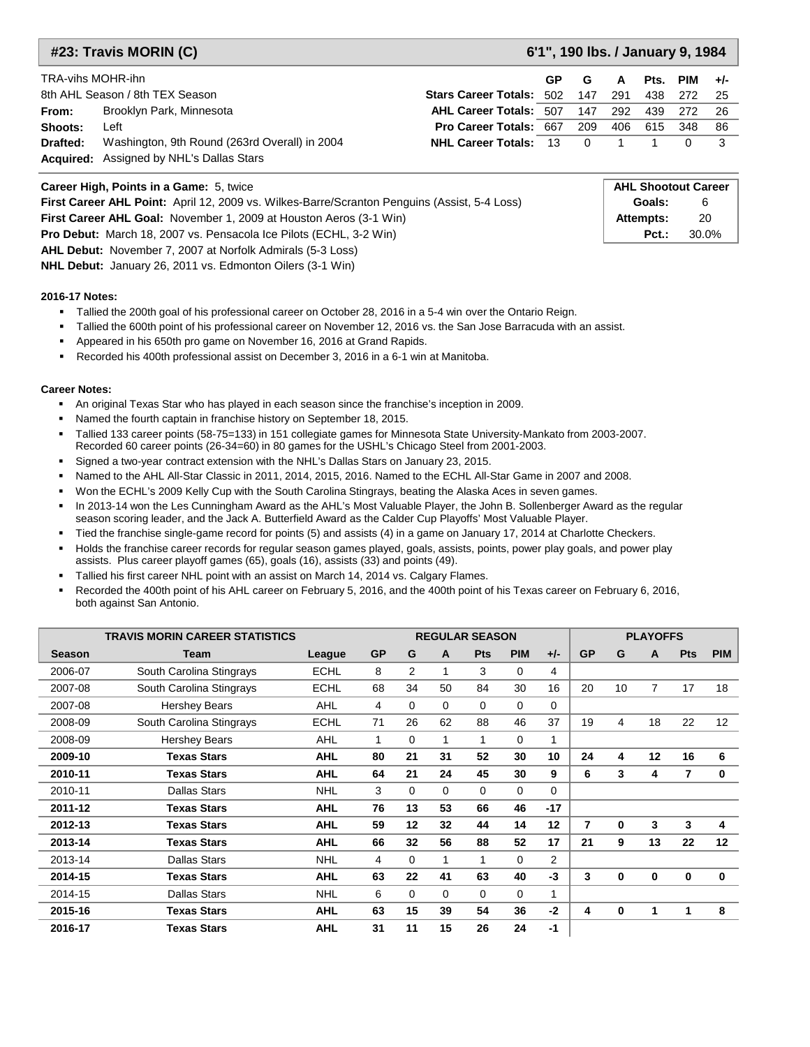#### **#23: Travis MORIN (C) 6'1", 190 lbs. / January 9, 1984**

| TRA-vihs MOHR-ihn |                                                 |                                 | GP | G              | A    |     | Pts. PIM | $+/-$ |
|-------------------|-------------------------------------------------|---------------------------------|----|----------------|------|-----|----------|-------|
|                   | 8th AHL Season / 8th TEX Season                 | <b>Stars Career Totals: 502</b> |    | 147            | -291 | 438 | 272      | - 25  |
| From:             | Brooklyn Park, Minnesota                        | <b>AHL Career Totals: 507</b>   |    | 147            | 292  | 439 | 272      | - 26  |
| Shoots:           | Left                                            | <b>Pro Career Totals: 667</b>   |    | 209            | 406  | 615 | 348      | - 86  |
| Drafted:          | Washington, 9th Round (263rd Overall) in 2004   | <b>NHL Career Totals: 13</b>    |    | $\overline{0}$ |      |     |          |       |
|                   | <b>Acquired:</b> Assigned by NHL's Dallas Stars |                                 |    |                |      |     |          |       |

| <b>Career High, Points in a Game: 5, twice</b>                                                      | <b>AHL Shootout Career</b> |       |
|-----------------------------------------------------------------------------------------------------|----------------------------|-------|
| <b>First Career AHL Point:</b> April 12, 2009 vs. Wilkes-Barre/Scranton Penguins (Assist, 5-4 Loss) | Goals:                     |       |
| <b>First Career AHL Goal:</b> November 1, 2009 at Houston Aeros (3-1 Win)                           | Attempts:                  | 20    |
| <b>Pro Debut:</b> March 18, 2007 vs. Pensacola Ice Pilots (ECHL, 3-2 Win)                           | $Pct.$ :                   | 30.0% |
| <b>AHL Debut:</b> November 7, 2007 at Norfolk Admirals (5-3 Loss)                                   |                            |       |

**NHL Debut:** January 26, 2011 vs. Edmonton Oilers (3-1 Win)

#### **2016-17 Notes:**

Tallied the 200th goal of his professional career on October 28, 2016 in a 5-4 win over the Ontario Reign.

Tallied the 600th point of his professional career on November 12, 2016 vs. the San Jose Barracuda with an assist.

- Appeared in his 650th pro game on November 16, 2016 at Grand Rapids.
- Recorded his 400th professional assist on December 3, 2016 in a 6-1 win at Manitoba.

- An original Texas Star who has played in each season since the franchise's inception in 2009.
- **Named the fourth captain in franchise history on September 18, 2015.**
- Tallied 133 career points (58-75=133) in 151 collegiate games for Minnesota State University-Mankato from 2003-2007. Recorded 60 career points (26-34=60) in 80 games for the USHL's Chicago Steel from 2001-2003.
- Signed a two-year contract extension with the NHL's Dallas Stars on January 23, 2015.
- Named to the AHL All-Star Classic in 2011, 2014, 2015, 2016. Named to the ECHL All-Star Game in 2007 and 2008.
- Won the ECHL's 2009 Kelly Cup with the South Carolina Stingrays, beating the Alaska Aces in seven games.
- In 2013-14 won the Les Cunningham Award as the AHL's Most Valuable Player, the John B. Sollenberger Award as the regular season scoring leader, and the Jack A. Butterfield Award as the Calder Cup Playoffs' Most Valuable Player.
- Tied the franchise single-game record for points (5) and assists (4) in a game on January 17, 2014 at Charlotte Checkers.
- Holds the franchise career records for regular season games played, goals, assists, points, power play goals, and power play assists. Plus career playoff games (65), goals (16), assists (33) and points (49).
- Tallied his first career NHL point with an assist on March 14, 2014 vs. Calgary Flames.
- Recorded the 400th point of his AHL career on February 5, 2016, and the 400th point of his Texas career on February 6, 2016, both against San Antonio.

|               | <b>TRAVIS MORIN CAREER STATISTICS</b> |             |              |                |              | <b>REGULAR SEASON</b> |             |                | <b>PLAYOFFS</b> |    |    |                |             |  |
|---------------|---------------------------------------|-------------|--------------|----------------|--------------|-----------------------|-------------|----------------|-----------------|----|----|----------------|-------------|--|
| <b>Season</b> | Team                                  | League      | <b>GP</b>    | G              | A            | <b>Pts</b>            | <b>PIM</b>  | $+/-$          | <b>GP</b>       | G  | A  | <b>Pts</b>     | <b>PIM</b>  |  |
| 2006-07       | South Carolina Stingrays              | <b>ECHL</b> | 8            | $\overline{2}$ | 1            | 3                     | $\Omega$    | 4              |                 |    |    |                |             |  |
| 2007-08       | South Carolina Stingrays              | <b>ECHL</b> | 68           | 34             | 50           | 84                    | 30          | 16             | 20              | 10 | 7  | 17             | 18          |  |
| 2007-08       | <b>Hershey Bears</b>                  | AHL         | 4            | 0              | $\Omega$     | $\Omega$              | $\Omega$    | 0              |                 |    |    |                |             |  |
| 2008-09       | South Carolina Stingrays              | <b>ECHL</b> | 71           | 26             | 62           | 88                    | 46          | 37             | 19              | 4  | 18 | 22             | 12          |  |
| 2008-09       | <b>Hershey Bears</b>                  | AHL         | $\mathbf{1}$ | 0              | $\mathbf{1}$ | 1                     | 0           | 1              |                 |    |    |                |             |  |
| 2009-10       | <b>Texas Stars</b>                    | <b>AHL</b>  | 80           | 21             | 31           | 52                    | 30          | 10             | 24              | 4  | 12 | 16             | 6           |  |
| 2010-11       | <b>Texas Stars</b>                    | <b>AHL</b>  | 64           | 21             | 24           | 45                    | 30          | 9              | 6               | 3  | 4  | $\overline{7}$ | 0           |  |
| 2010-11       | <b>Dallas Stars</b>                   | <b>NHL</b>  | 3            | $\Omega$       | $\Omega$     | $\Omega$              | $\Omega$    | $\Omega$       |                 |    |    |                |             |  |
| 2011-12       | <b>Texas Stars</b>                    | <b>AHL</b>  | 76           | 13             | 53           | 66                    | 46          | $-17$          |                 |    |    |                |             |  |
| 2012-13       | <b>Texas Stars</b>                    | <b>AHL</b>  | 59           | 12             | 32           | 44                    | 14          | 12             | $\overline{7}$  | 0  | 3  | 3              | 4           |  |
| 2013-14       | Texas Stars                           | <b>AHL</b>  | 66           | 32             | 56           | 88                    | 52          | 17             | 21              | 9  | 13 | 22             | 12          |  |
| 2013-14       | Dallas Stars                          | <b>NHL</b>  | 4            | $\Omega$       | 1            | 1                     | $\Omega$    | $\overline{2}$ |                 |    |    |                |             |  |
| 2014-15       | <b>Texas Stars</b>                    | <b>AHL</b>  | 63           | 22             | 41           | 63                    | 40          | $-3$           | 3               | 0  | 0  | 0              | $\mathbf 0$ |  |
| 2014-15       | <b>Dallas Stars</b>                   | <b>NHL</b>  | 6            | $\mathbf 0$    | $\mathbf 0$  | $\Omega$              | $\mathbf 0$ | 1              |                 |    |    |                |             |  |
| 2015-16       | <b>Texas Stars</b>                    | <b>AHL</b>  | 63           | 15             | 39           | 54                    | 36          | $-2$           | 4               | 0  | 1  |                | 8           |  |
| 2016-17       | <b>Texas Stars</b>                    | <b>AHL</b>  | 31           | 11             | 15           | 26                    | 24          | $-1$           |                 |    |    |                |             |  |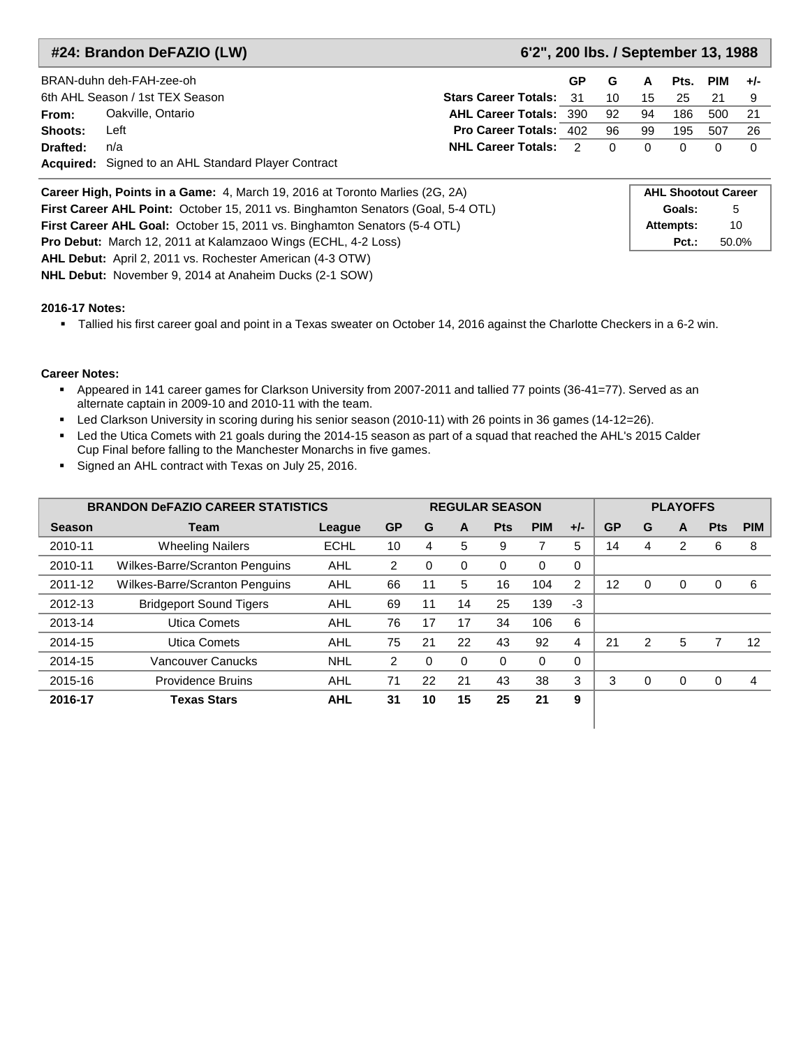### **#24: Brandon DeFAZIO (LW) 6'2", 200 lbs. / September 13, 1988**

|          | BRAN-duhn deh-FAH-zee-oh                                   |                                | GP. | G        | A        | Pts. | PIM | $+/-$ |
|----------|------------------------------------------------------------|--------------------------------|-----|----------|----------|------|-----|-------|
|          | 6th AHL Season / 1st TEX Season                            | <b>Stars Career Totals: 31</b> |     | 10       | 15       | 25   |     |       |
| From:    | Oakville, Ontario                                          | <b>AHL Career Totals: 390</b>  |     | 92       | 94       | 186  | 500 |       |
| Shoots:  | Left                                                       | <b>Pro Career Totals: 402</b>  |     | 96       | 99       | 195  | 507 | 26    |
| Drafted: | n/a                                                        | <b>NHL Career Totals: 2</b>    |     | $\Omega$ | $\Omega$ |      |     |       |
|          | <b>Acquired:</b> Signed to an AHL Standard Player Contract |                                |     |          |          |      |     |       |

| Career High, Points in a Game: 4, March 19, 2016 at Toronto Marlies (2G, 2A)     | <b>AHL Shootout Career</b> |       |
|----------------------------------------------------------------------------------|----------------------------|-------|
| First Career AHL Point: October 15, 2011 vs. Binghamton Senators (Goal, 5-4 OTL) | Goals:                     | 5     |
| <b>First Career AHL Goal: October 15, 2011 vs. Binghamton Senators (5-4 OTL)</b> | Attempts:                  | 10    |
| <b>Pro Debut:</b> March 12, 2011 at Kalamzaoo Wings (ECHL, 4-2 Loss)             | $Pct.$ :                   | 50.0% |
| <b>AHL Debut:</b> April 2, 2011 vs. Rochester American (4-3 OTW)                 |                            |       |

**NHL Debut:** November 9, 2014 at Anaheim Ducks (2-1 SOW)

#### **2016-17 Notes:**

Tallied his first career goal and point in a Texas sweater on October 14, 2016 against the Charlotte Checkers in a 6-2 win.

- Appeared in 141 career games for Clarkson University from 2007-2011 and tallied 77 points (36-41=77). Served as an alternate captain in 2009-10 and 2010-11 with the team.
- Led Clarkson University in scoring during his senior season (2010-11) with 26 points in 36 games (14-12=26).
- Led the Utica Comets with 21 goals during the 2014-15 season as part of a squad that reached the AHL's 2015 Calder Cup Final before falling to the Manchester Monarchs in five games.
- Signed an AHL contract with Texas on July 25, 2016.

|               | <b>BRANDON DeFAZIO CAREER STATISTICS</b> |             |                |          |    | <b>REGULAR SEASON</b> |            |               |           |             | <b>PLAYOFFS</b> |            |            |
|---------------|------------------------------------------|-------------|----------------|----------|----|-----------------------|------------|---------------|-----------|-------------|-----------------|------------|------------|
| <b>Season</b> | Team                                     | League      | <b>GP</b>      | G        | A  | <b>Pts</b>            | <b>PIM</b> | $+/-$         | <b>GP</b> | G           | A               | <b>Pts</b> | <b>PIM</b> |
| 2010-11       | <b>Wheeling Nailers</b>                  | <b>ECHL</b> | 10             | 4        | 5  | 9                     | 7          | 5             | 14        | 4           | 2               | 6          | 8          |
| 2010-11       | Wilkes-Barre/Scranton Penguins           | AHL         | $\overline{2}$ | $\Omega$ | 0  | 0                     | 0          | $\Omega$      |           |             |                 |            |            |
| 2011-12       | Wilkes-Barre/Scranton Penguins           | AHL         | 66             | 11       | 5  | 16                    | 104        | $\mathcal{P}$ | 12        | $\mathbf 0$ | $\Omega$        |            | 6          |
| 2012-13       | <b>Bridgeport Sound Tigers</b>           | <b>AHL</b>  | 69             | 11       | 14 | 25                    | 139        | $-3$          |           |             |                 |            |            |
| 2013-14       | Utica Comets                             | AHL         | 76             | 17       | 17 | 34                    | 106        | 6             |           |             |                 |            |            |
| 2014-15       | Utica Comets                             | <b>AHL</b>  | 75             | 21       | 22 | 43                    | 92         | 4             | 21        | 2           | 5               |            | 12         |
| 2014-15       | Vancouver Canucks                        | <b>NHL</b>  | 2              | $\Omega$ | 0  | 0                     | 0          | $\Omega$      |           |             |                 |            |            |
| 2015-16       | <b>Providence Bruins</b>                 | AHL         | 71             | 22       | 21 | 43                    | 38         | 3             | 3         | 0           | $\Omega$        | 0          | 4          |
| 2016-17       | <b>Texas Stars</b>                       | <b>AHL</b>  | 31             | 10       | 15 | 25                    | 21         | 9             |           |             |                 |            |            |
|               |                                          |             |                |          |    |                       |            |               |           |             |                 |            |            |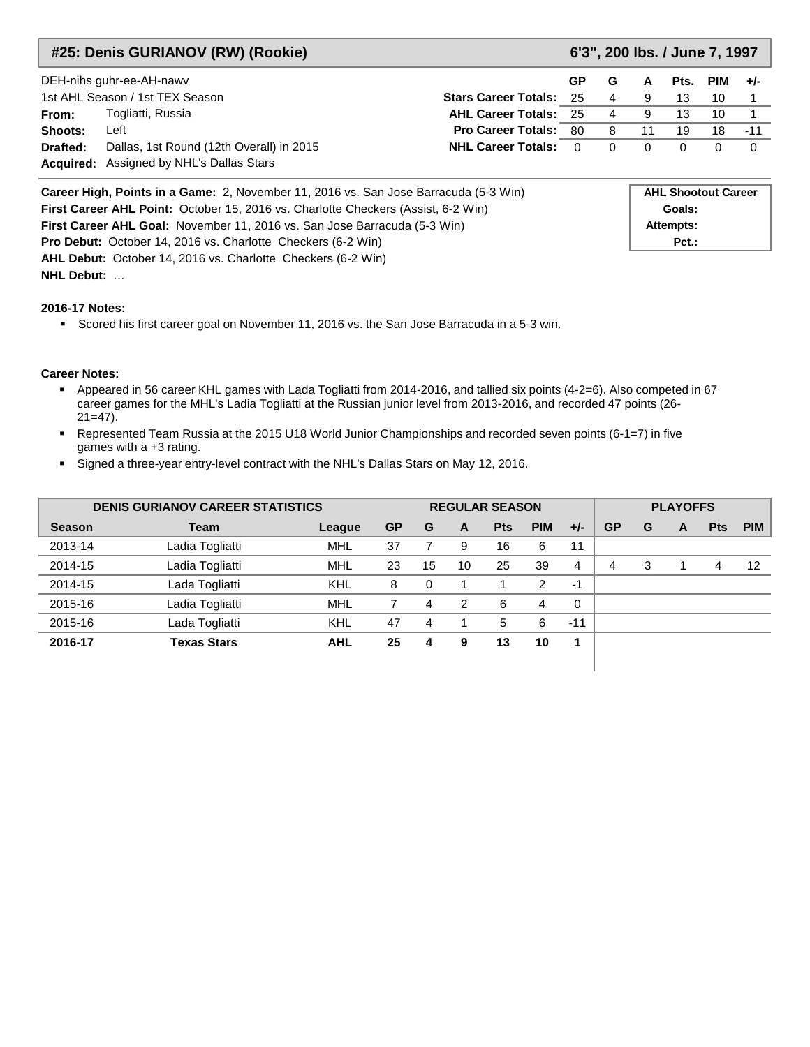|          | #25: Denis GURIANOV (RW) (Rookie)                                                           |                              |          |                            |          | 6'3", 200 lbs. / June 7, 1997 |            |          |
|----------|---------------------------------------------------------------------------------------------|------------------------------|----------|----------------------------|----------|-------------------------------|------------|----------|
|          | DEH-nihs guhr-ee-AH-nawv                                                                    |                              | GP       | G                          | A        | Pts.                          | <b>PIM</b> | $+/-$    |
|          | 1st AHL Season / 1st TEX Season<br><b>Stars Career Totals: 25</b>                           |                              |          | 4                          | 9        | 13                            | 10         |          |
| From:    | Togliatti, Russia                                                                           | <b>AHL Career Totals: 25</b> |          | 4                          | 9        | 13                            | 10         |          |
| Shoots:  | Left                                                                                        | <b>Pro Career Totals: 80</b> |          | 8                          | 11       | 19                            | 18         | $-11$    |
| Drafted: | Dallas, 1st Round (12th Overall) in 2015                                                    | <b>NHL Career Totals:</b>    | $\Omega$ | 0                          | $\Omega$ | $\Omega$                      | 0          | $\Omega$ |
|          | <b>Acquired:</b> Assigned by NHL's Dallas Stars                                             |                              |          |                            |          |                               |            |          |
|          | <b>Career High, Points in a Game:</b> 2, November 11, 2016 vs. San Jose Barracuda (5-3 Win) |                              |          | <b>AHL Shootout Career</b> |          |                               |            |          |
|          | First Career AHL Point: October 15, 2016 vs. Charlotte Checkers (Assist, 6-2 Win)           |                              |          |                            | Goals:   |                               |            |          |

**First Career AHL Goal:** November 11, 2016 vs. San Jose Barracuda (5-3 Win) **Attempts: Attempts: Pro Debut:** October 14, 2016 vs. Charlotte Checkers (6-2 Win) **Pct.: Pct.: Pct.: AHL Debut:** October 14, 2016 vs. Charlotte Checkers (6-2 Win)

#### **2016-17 Notes:**

**NHL Debut:** …

Scored his first career goal on November 11, 2016 vs. the San Jose Barracuda in a 5-3 win.

- Appeared in 56 career KHL games with Lada Togliatti from 2014-2016, and tallied six points (4-2=6). Also competed in 67 career games for the MHL's Ladia Togliatti at the Russian junior level from 2013-2016, and recorded 47 points (26-  $21=47$ ).
- Represented Team Russia at the 2015 U18 World Junior Championships and recorded seven points (6-1=7) in five games with a +3 rating.
- Signed a three-year entry-level contract with the NHL's Dallas Stars on May 12, 2016.

|               | <b>DENIS GURIANOV CAREER STATISTICS</b> |            | <b>REGULAR SEASON</b><br><b>PLAYOFFS</b> |    |    |            |            |       |           |   |   |            |            |
|---------------|-----------------------------------------|------------|------------------------------------------|----|----|------------|------------|-------|-----------|---|---|------------|------------|
| <b>Season</b> | <b>Team</b>                             | League     | <b>GP</b>                                | G  | A  | <b>Pts</b> | <b>PIM</b> | $+/-$ | <b>GP</b> | G | A | <b>Pts</b> | <b>PIM</b> |
| 2013-14       | Ladia Togliatti                         | <b>MHL</b> | 37                                       |    | 9  | 16         | 6          | 11    |           |   |   |            |            |
| 2014-15       | Ladia Togliatti                         | <b>MHL</b> | 23                                       | 15 | 10 | 25         | 39         | 4     | 4         | 3 |   | 4          | 12         |
| 2014-15       | Lada Togliatti                          | KHL        | 8                                        | 0  |    |            | 2          | -1    |           |   |   |            |            |
| 2015-16       | Ladia Togliatti                         | <b>MHL</b> |                                          | 4  | 2  | 6          | 4          | 0     |           |   |   |            |            |
| 2015-16       | Lada Togliatti                          | KHL        | 47                                       | 4  |    | 5          | 6          | $-11$ |           |   |   |            |            |
| 2016-17       | <b>Texas Stars</b>                      | <b>AHL</b> | 25                                       | 4  | 9  | 13         | 10         | и     |           |   |   |            |            |
|               |                                         |            |                                          |    |    |            |            |       |           |   |   |            |            |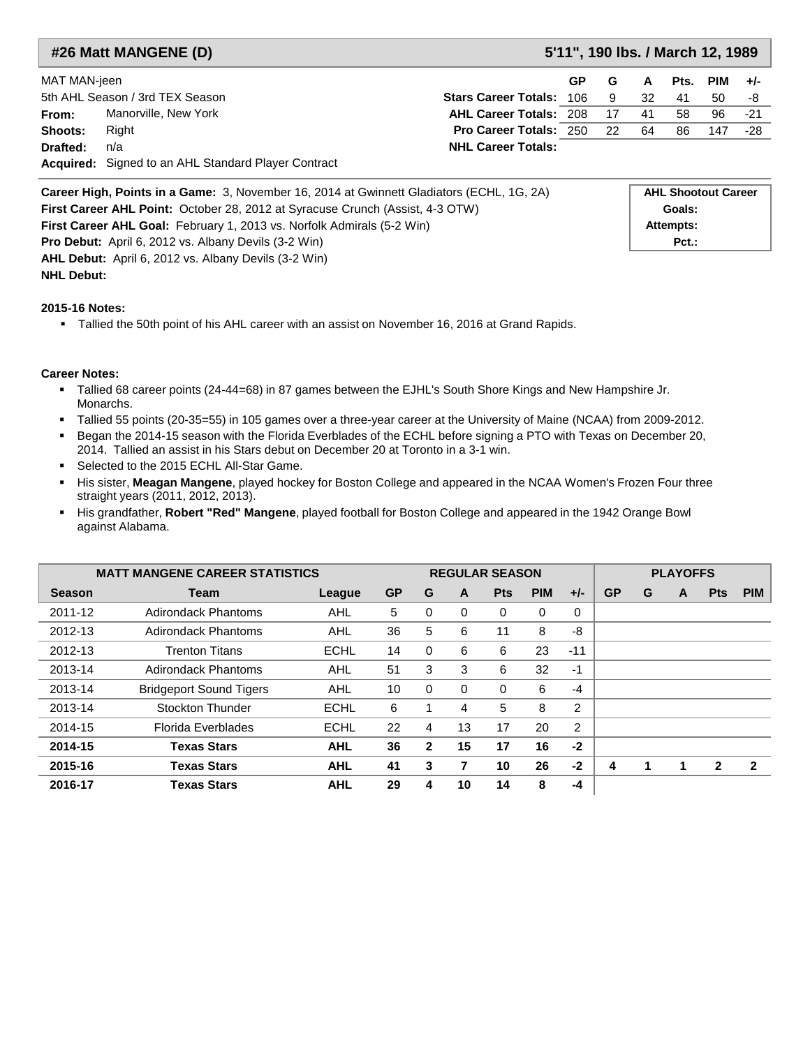|              | #26 Matt MANGENE (D)                                |                               | 5'11", 190 lbs. / March 12, 1989 |     |      |      |     |       |  |  |  |
|--------------|-----------------------------------------------------|-------------------------------|----------------------------------|-----|------|------|-----|-------|--|--|--|
| MAT MAN-jeen |                                                     |                               | <b>GP</b>                        | G   | A    | Pts. | PIM | $+/-$ |  |  |  |
|              | 5th AHL Season / 3rd TEX Season                     | Stars Career Totals: 106 9    |                                  |     | - 32 | -41  | 50  | -8    |  |  |  |
| From:        | Manorville, New York                                | <b>AHL Career Totals: 208</b> |                                  | -17 | -41  | 58   | 96. | $-21$ |  |  |  |
| Shoots:      | Right                                               | <b>Pro Career Totals: 250</b> |                                  | 22  | 64   | 86   | 147 | -28   |  |  |  |
| Drafted:     | n/a                                                 | <b>NHL Career Totals:</b>     |                                  |     |      |      |     |       |  |  |  |
|              | Acquired: Signed to an AHL Standard Player Contract |                               |                                  |     |      |      |     |       |  |  |  |

| <b>Career High, Points in a Game:</b> 3, November 16, 2014 at Gwinnett Gladiators (ECHL, 1G, 2A) | <b>AHL Shootout Career</b> |
|--------------------------------------------------------------------------------------------------|----------------------------|
| <b>First Career AHL Point: October 28, 2012 at Syracuse Crunch (Assist, 4-3 OTW)</b>             | Goals:                     |
| <b>First Career AHL Goal:</b> February 1, 2013 vs. Norfolk Admirals (5-2 Win)                    | Attempts:                  |
| <b>Pro Debut:</b> April 6, 2012 vs. Albany Devils (3-2 Win)                                      | $Pct.$ :                   |
| <b>AHL Debut:</b> April 6, 2012 vs. Albany Devils (3-2 Win)                                      |                            |

**NHL Debut:** 

### **2015-16 Notes:**

Tallied the 50th point of his AHL career with an assist on November 16, 2016 at Grand Rapids.

- Tallied 68 career points (24-44=68) in 87 games between the EJHL's South Shore Kings and New Hampshire Jr. Monarchs.
- Tallied 55 points (20-35=55) in 105 games over a three-year career at the University of Maine (NCAA) from 2009-2012.
- Began the 2014-15 season with the Florida Everblades of the ECHL before signing a PTO with Texas on December 20, 2014. Tallied an assist in his Stars debut on December 20 at Toronto in a 3-1 win.
- Selected to the 2015 ECHL All-Star Game.
- His sister, **Meagan Mangene**, played hockey for Boston College and appeared in the NCAA Women's Frozen Four three straight years (2011, 2012, 2013).
- His grandfather, **Robert "Red" Mangene**, played football for Boston College and appeared in the 1942 Orange Bowl against Alabama.

|               | <b>MATT MANGENE CAREER STATISTICS</b> |             |           |              |    | <b>REGULAR SEASON</b> |            |                |           | <b>PLAYOFFS</b> |   |              |                         |  |
|---------------|---------------------------------------|-------------|-----------|--------------|----|-----------------------|------------|----------------|-----------|-----------------|---|--------------|-------------------------|--|
| <b>Season</b> | Team                                  | League      | <b>GP</b> | G            | A  | <b>Pts</b>            | <b>PIM</b> | $+/-$          | <b>GP</b> | G               | A | <b>Pts</b>   | <b>PIM</b>              |  |
| 2011-12       | <b>Adirondack Phantoms</b>            | <b>AHL</b>  | 5         | 0            | 0  | 0                     | 0          | 0              |           |                 |   |              |                         |  |
| 2012-13       | <b>Adirondack Phantoms</b>            | AHL         | 36        | 5            | 6  | 11                    | 8          | -8             |           |                 |   |              |                         |  |
| 2012-13       | <b>Trenton Titans</b>                 | <b>ECHL</b> | 14        | 0            | 6  | 6                     | 23         | $-11$          |           |                 |   |              |                         |  |
| 2013-14       | <b>Adirondack Phantoms</b>            | AHL         | 51        | 3            | 3  | 6                     | 32         | $-1$           |           |                 |   |              |                         |  |
| 2013-14       | <b>Bridgeport Sound Tigers</b>        | AHL         | 10        | 0            | 0  | 0                     | 6          | $-4$           |           |                 |   |              |                         |  |
| 2013-14       | Stockton Thunder                      | <b>ECHL</b> | 6         |              | 4  | 5                     | 8          | $\overline{2}$ |           |                 |   |              |                         |  |
| 2014-15       | Florida Everblades                    | <b>ECHL</b> | 22        | 4            | 13 | 17                    | 20         | 2              |           |                 |   |              |                         |  |
| 2014-15       | <b>Texas Stars</b>                    | <b>AHL</b>  | 36        | $\mathbf{2}$ | 15 | 17                    | 16         | $-2$           |           |                 |   |              |                         |  |
| 2015-16       | <b>Texas Stars</b>                    | <b>AHL</b>  | 41        | 3            | 7  | 10                    | 26         | $-2$           | 4         |                 | 1 | $\mathbf{2}$ | $\overline{\mathbf{2}}$ |  |
| 2016-17       | Texas Stars                           | <b>AHL</b>  | 29        | 4            | 10 | 14                    | 8          | -4             |           |                 |   |              |                         |  |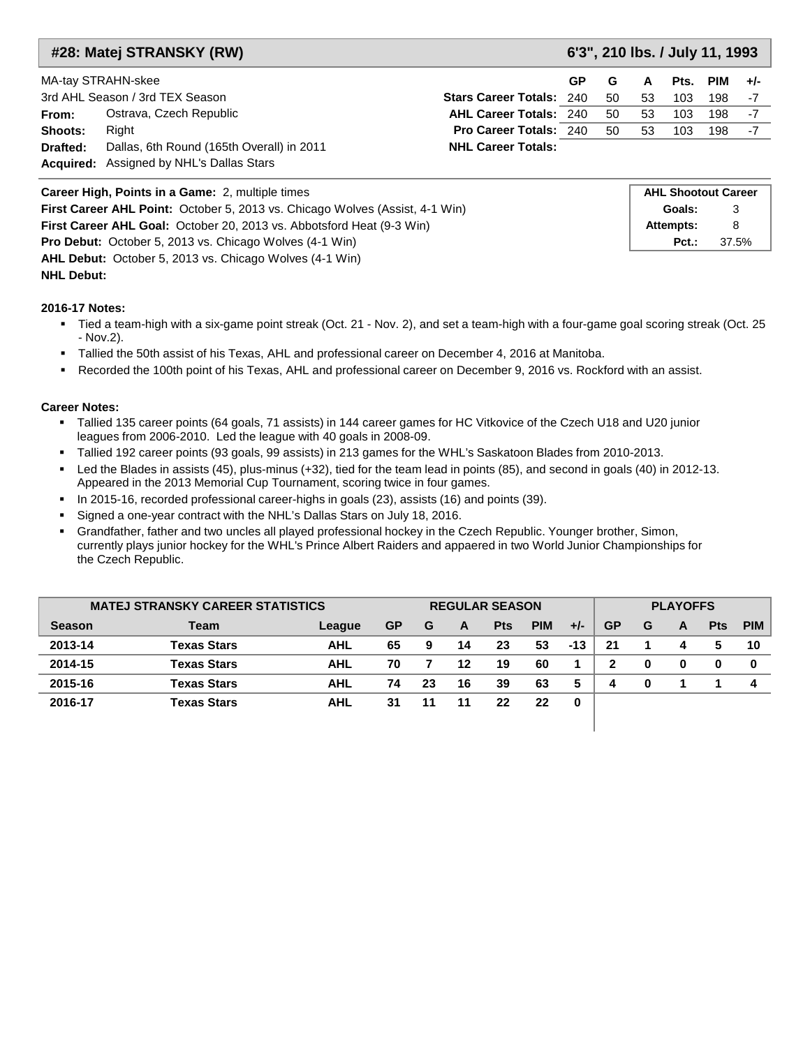### **#28: Matej STRANSKY (RW) 6'3", 210 lbs. / July 11, 1993**

|  |  | 6'3", 210 lbs. / July 11, 1993 |
|--|--|--------------------------------|
|  |  |                                |

| MA-tay STRAHN-skee |                                                 |                                 | GP. | G  | A  |     | Pts. PIM $+/-$ |    |
|--------------------|-------------------------------------------------|---------------------------------|-----|----|----|-----|----------------|----|
|                    | 3rd AHL Season / 3rd TEX Season                 | <b>Stars Career Totals: 240</b> |     | 50 | 53 | 103 | 198            | -7 |
| From:              | Ostrava, Czech Republic                         | <b>AHL Career Totals: 240</b>   |     | 50 | 53 | 103 | 198            | -7 |
| Shoots:            | Right                                           | <b>Pro Career Totals: 240</b>   |     | 50 | 53 | 103 | 198            | -7 |
| Drafted:           | Dallas, 6th Round (165th Overall) in 2011       | <b>NHL Career Totals:</b>       |     |    |    |     |                |    |
|                    | <b>Acquired:</b> Assigned by NHL's Dallas Stars |                                 |     |    |    |     |                |    |

| <b>Career High, Points in a Game: 2, multiple times</b>                      | <b>AHL Shootout Career</b> |       |
|------------------------------------------------------------------------------|----------------------------|-------|
| First Career AHL Point: October 5, 2013 vs. Chicago Wolves (Assist, 4-1 Win) | Goals:                     |       |
| First Career AHL Goal: October 20, 2013 vs. Abbotsford Heat (9-3 Win)        | Attempts:                  | 8     |
| <b>Pro Debut:</b> October 5, 2013 vs. Chicago Wolves (4-1 Win)               | $Pct.$ :                   | 37.5% |
| <b>AHL Debut:</b> October 5, 2013 vs. Chicago Wolves (4-1 Win)               |                            |       |

**NHL Debut:** 

#### **2016-17 Notes:**

- Tied a team-high with a six-game point streak (Oct. 21 Nov. 2), and set a team-high with a four-game goal scoring streak (Oct. 25 - Nov.2).
- Tallied the 50th assist of his Texas, AHL and professional career on December 4, 2016 at Manitoba.
- Recorded the 100th point of his Texas, AHL and professional career on December 9, 2016 vs. Rockford with an assist.

- Tallied 135 career points (64 goals, 71 assists) in 144 career games for HC Vitkovice of the Czech U18 and U20 junior leagues from 2006-2010. Led the league with 40 goals in 2008-09.
- Tallied 192 career points (93 goals, 99 assists) in 213 games for the WHL's Saskatoon Blades from 2010-2013.
- Led the Blades in assists (45), plus-minus (+32), tied for the team lead in points (85), and second in goals (40) in 2012-13. Appeared in the 2013 Memorial Cup Tournament, scoring twice in four games.
- In 2015-16, recorded professional career-highs in goals (23), assists (16) and points (39).
- Signed a one-year contract with the NHL's Dallas Stars on July 18, 2016.
- Grandfather, father and two uncles all played professional hockey in the Czech Republic. Younger brother, Simon, currently plays junior hockey for the WHL's Prince Albert Raiders and appaered in two World Junior Championships for the Czech Republic.

|               | <b>MATEJ STRANSKY CAREER STATISTICS</b> |            |           | <b>PLAYOFFS</b><br><b>REGULAR SEASON</b> |    |            |            |       |           |   |   |            |            |
|---------------|-----------------------------------------|------------|-----------|------------------------------------------|----|------------|------------|-------|-----------|---|---|------------|------------|
| <b>Season</b> | Team                                    | League     | <b>GP</b> | G                                        | A  | <b>Pts</b> | <b>PIM</b> | $+/-$ | <b>GP</b> | G | A | <b>Pts</b> | <b>PIM</b> |
| 2013-14       | <b>Texas Stars</b>                      | <b>AHL</b> | 65        | 9                                        | 14 | 23         | 53         | $-13$ | 21        |   | 4 |            | 10         |
| 2014-15       | <b>Texas Stars</b>                      | <b>AHL</b> | 70        |                                          | 12 | 19         | 60         |       | 2         | 0 | 0 |            | 0          |
| 2015-16       | <b>Texas Stars</b>                      | <b>AHL</b> | 74        | 23                                       | 16 | 39         | 63         | 5     | 4         | 0 |   |            | 4          |
| 2016-17       | <b>Texas Stars</b>                      | <b>AHL</b> | 31        | 11                                       | 11 | 22         | 22         | 0     |           |   |   |            |            |
|               |                                         |            |           |                                          |    |            |            |       |           |   |   |            |            |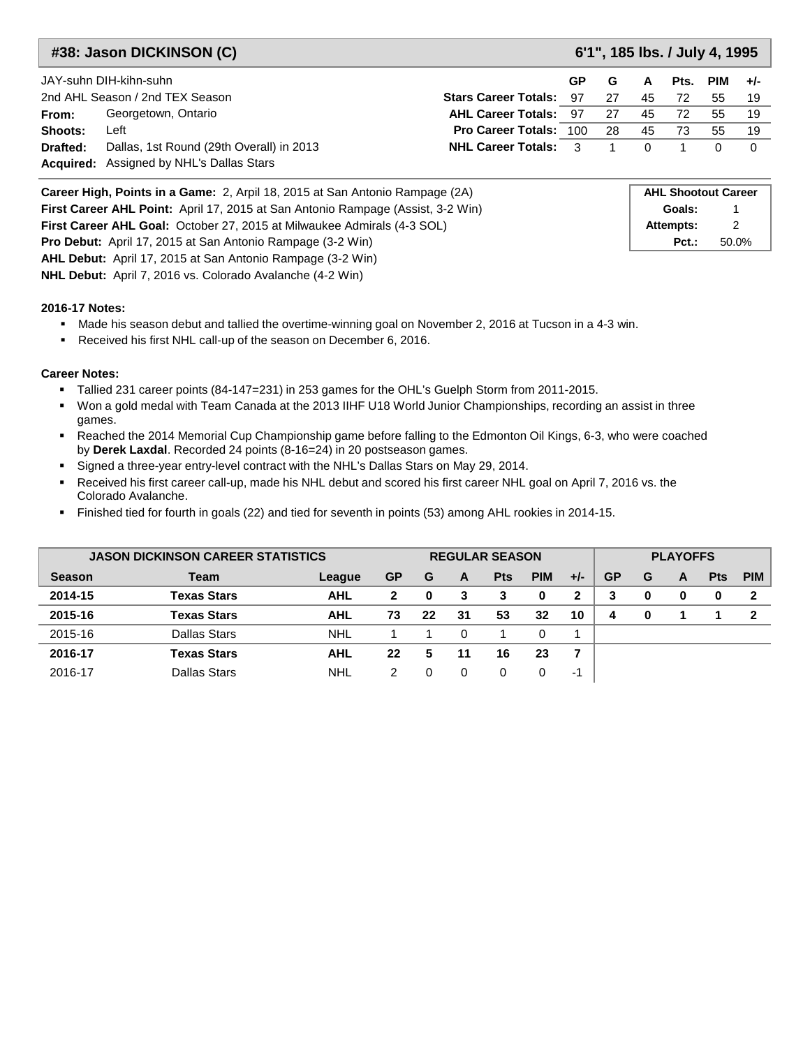### **#38: Jason DICKINSON (C) 6'1", 185 lbs. / July 4, 1995**

|          | JAY-suhn DIH-kihn-suhn                          |                                | GP. | G   | A        | Pts. | PIM | $+/-$ |
|----------|-------------------------------------------------|--------------------------------|-----|-----|----------|------|-----|-------|
|          | 2nd AHL Season / 2nd TEX Season                 | <b>Stars Career Totals: 97</b> |     | -27 | 45       | 72   | 55  |       |
| From:    | Georgetown, Ontario                             | <b>AHL Career Totals: 97</b>   |     | 27  | 45       | 72   | 55  | 19    |
| Shoots:  | Left                                            | <b>Pro Career Totals: 100</b>  |     | -28 | 45       | 73   | 55  | 19    |
| Drafted: | Dallas, 1st Round (29th Overall) in 2013        | <b>NHL Career Totals: 3</b>    |     |     | $\Omega$ |      |     |       |
|          | <b>Acquired:</b> Assigned by NHL's Dallas Stars |                                |     |     |          |      |     |       |

| Career High, Points in a Game: 2, Arpil 18, 2015 at San Antonio Rampage (2A)           | <b>AHL Shootout Career</b> |       |
|----------------------------------------------------------------------------------------|----------------------------|-------|
| <b>First Career AHL Point:</b> April 17, 2015 at San Antonio Rampage (Assist, 3-2 Win) | Goals:                     |       |
| <b>First Career AHL Goal: October 27, 2015 at Milwaukee Admirals (4-3 SOL)</b>         | Attempts:                  |       |
| <b>Pro Debut:</b> April 17, 2015 at San Antonio Rampage (3-2 Win)                      | $Pct.$ :                   | 50.0% |
| <b>AHL Debut:</b> April 17, 2015 at San Antonio Rampage (3-2 Win)                      |                            |       |

**NHL Debut:** April 7, 2016 vs. Colorado Avalanche (4-2 Win)

#### **2016-17 Notes:**

- Made his season debut and tallied the overtime-winning goal on November 2, 2016 at Tucson in a 4-3 win.
- Received his first NHL call-up of the season on December 6, 2016.

- Tallied 231 career points (84-147=231) in 253 games for the OHL's Guelph Storm from 2011-2015.
- Won a gold medal with Team Canada at the 2013 IIHF U18 World Junior Championships, recording an assist in three games.
- Reached the 2014 Memorial Cup Championship game before falling to the Edmonton Oil Kings, 6-3, who were coached by **Derek Laxdal**. Recorded 24 points (8-16=24) in 20 postseason games.
- Signed a three-year entry-level contract with the NHL's Dallas Stars on May 29, 2014.
- Received his first career call-up, made his NHL debut and scored his first career NHL goal on April 7, 2016 vs. the Colorado Avalanche.
- Finished tied for fourth in goals (22) and tied for seventh in points (53) among AHL rookies in 2014-15.

| <b>JASON DICKINSON CAREER STATISTICS</b> |                     |            |           | <b>REGULAR SEASON</b> |    |            |            |       |           | <b>PLAYOFFS</b> |   |            |            |  |  |
|------------------------------------------|---------------------|------------|-----------|-----------------------|----|------------|------------|-------|-----------|-----------------|---|------------|------------|--|--|
| <b>Season</b>                            | <b>Team</b>         | League     | <b>GP</b> | G                     | A  | <b>Pts</b> | <b>PIM</b> | $+/-$ | <b>GP</b> | G               | A | <b>Pts</b> | <b>PIM</b> |  |  |
| 2014-15                                  | <b>Texas Stars</b>  | <b>AHL</b> | 2         | 0                     | 3  | З          |            | ົ     | 3         | 0               | 0 |            |            |  |  |
| 2015-16                                  | <b>Texas Stars</b>  | <b>AHL</b> | 73        | 22                    | 31 | 53         | 32         | 10    | 4         | 0               |   |            |            |  |  |
| 2015-16                                  | Dallas Stars        | <b>NHL</b> |           |                       | 0  |            |            |       |           |                 |   |            |            |  |  |
| 2016-17                                  | <b>Texas Stars</b>  | AHL        | 22        | 5                     | 11 | 16         | 23         |       |           |                 |   |            |            |  |  |
| 2016-17                                  | <b>Dallas Stars</b> | <b>NHL</b> | 2         |                       |    |            |            | шn    |           |                 |   |            |            |  |  |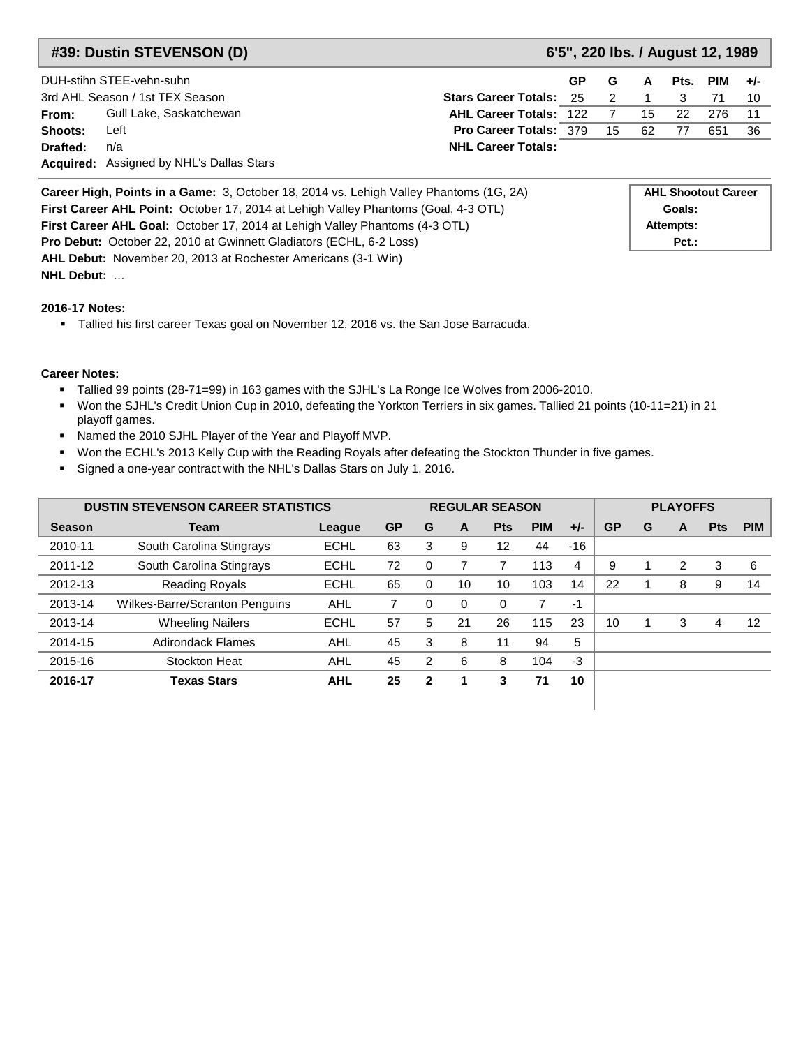### **#39: Dustin STEVENSON (D) 6'5", 220 lbs. / August 12, 1989**

|          | DUH-stihn STEE-vehn-suhn                        |                                   | <b>GP</b> | G | A  | Pts. | $PIM +/-$ |    |
|----------|-------------------------------------------------|-----------------------------------|-----------|---|----|------|-----------|----|
|          | 3rd AHL Season / 1st TEX Season                 | <b>Stars Career Totals: 25 21</b> |           |   |    |      |           |    |
| From:    | Gull Lake, Saskatchewan                         | <b>AHL Career Totals: 122 7</b>   |           |   | 15 | - 22 | 276       |    |
| Shoots:  | Left                                            | <b>Pro Career Totals: 379 15</b>  |           |   | 62 | 77   | 651       | 36 |
| Drafted: | n/a                                             | <b>NHL Career Totals:</b>         |           |   |    |      |           |    |
|          | <b>Acquired:</b> Assigned by NHL's Dallas Stars |                                   |           |   |    |      |           |    |

| <b>Career High, Points in a Game:</b> 3, October 18, 2014 vs. Lehigh Valley Phantoms (1G, 2A) | <b>AHL Shootout Career</b> |
|-----------------------------------------------------------------------------------------------|----------------------------|
| <b>First Career AHL Point:</b> October 17, 2014 at Lehigh Valley Phantoms (Goal, 4-3 OTL)     | Goals:                     |
| <b>First Career AHL Goal:</b> October 17, 2014 at Lehigh Valley Phantoms (4-3 OTL)            | Attempts:                  |
| <b>Pro Debut:</b> October 22, 2010 at Gwinnett Gladiators (ECHL, 6-2 Loss)                    | $Pct.$ :                   |
| AHL Debut: November 20, 2013 at Rochester Americans (3-1 Win)                                 |                            |
| <b>NHL Debut: </b>                                                                            |                            |

#### **2016-17 Notes:**

Tallied his first career Texas goal on November 12, 2016 vs. the San Jose Barracuda.

- Tallied 99 points (28-71=99) in 163 games with the SJHL's La Ronge Ice Wolves from 2006-2010.
- Won the SJHL's Credit Union Cup in 2010, defeating the Yorkton Terriers in six games. Tallied 21 points (10-11=21) in 21 playoff games.
- Named the 2010 SJHL Player of the Year and Playoff MVP.
- Won the ECHL's 2013 Kelly Cup with the Reading Royals after defeating the Stockton Thunder in five games.
- Signed a one-year contract with the NHL's Dallas Stars on July 1, 2016.

| <b>DUSTIN STEVENSON CAREER STATISTICS</b> |                                |             |           | <b>REGULAR SEASON</b> |          |            |            |       | <b>PLAYOFFS</b> |   |   |            |            |  |
|-------------------------------------------|--------------------------------|-------------|-----------|-----------------------|----------|------------|------------|-------|-----------------|---|---|------------|------------|--|
| <b>Season</b>                             | <b>Team</b>                    | League      | <b>GP</b> | G                     | A        | <b>Pts</b> | <b>PIM</b> | $+/-$ | <b>GP</b>       | G | A | <b>Pts</b> | <b>PIM</b> |  |
| 2010-11                                   | South Carolina Stingrays       | <b>ECHL</b> | 63        | 3                     | 9        | 12         | 44         | $-16$ |                 |   |   |            |            |  |
| 2011-12                                   | South Carolina Stingrays       | <b>ECHL</b> | 72        | 0                     |          |            | 113        | 4     | 9               |   | 2 | 3          | 6          |  |
| 2012-13                                   | <b>Reading Royals</b>          | <b>ECHL</b> | 65        | 0                     | 10       | 10         | 103        | 14    | 22              |   | 8 | 9          | 14         |  |
| 2013-14                                   | Wilkes-Barre/Scranton Penguins | AHL         |           | 0                     | $\Omega$ | $\Omega$   | 7          | -1    |                 |   |   |            |            |  |
| 2013-14                                   | <b>Wheeling Nailers</b>        | <b>ECHL</b> | 57        | 5                     | 21       | 26         | 115        | 23    | 10              |   | 3 | 4          | 12         |  |
| 2014-15                                   | <b>Adirondack Flames</b>       | AHL         | 45        | 3                     | 8        | 11         | 94         | 5     |                 |   |   |            |            |  |
| 2015-16                                   | Stockton Heat                  | <b>AHL</b>  | 45        | $\mathcal{P}$         | 6        | 8          | 104        | $-3$  |                 |   |   |            |            |  |
| 2016-17                                   | <b>Texas Stars</b>             | <b>AHL</b>  | 25        | $\mathbf 2$           |          | 3          | 71         | 10    |                 |   |   |            |            |  |
|                                           |                                |             |           |                       |          |            |            |       |                 |   |   |            |            |  |